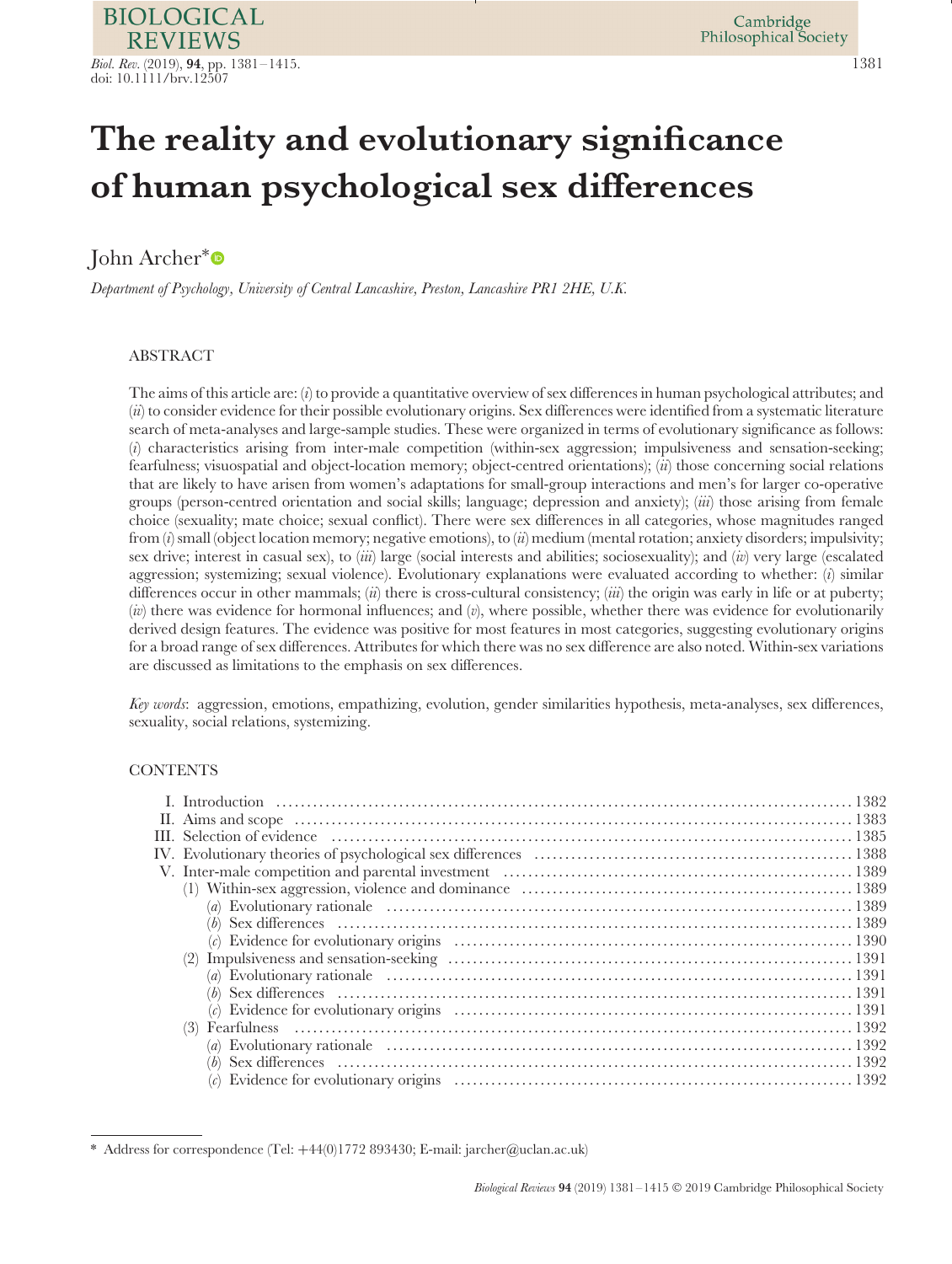# **The reality and evolutionary significance of human psychological sex differences**

## John Archer[∗](https://orcid.org/0000-0003-0483-1576)

*Department of Psychology, University of Central Lancashire, Preston, Lancashire PR1 2HE, U.K.*

## ABSTRACT

The aims of this article are: (*i*) to provide a quantitative overview of sex differences in human psychological attributes; and (*ii*) to consider evidence for their possible evolutionary origins. Sex differences were identified from a systematic literature search of meta-analyses and large-sample studies. These were organized in terms of evolutionary significance as follows: (*i*) characteristics arising from inter-male competition (within-sex aggression; impulsiveness and sensation-seeking; fearfulness; visuospatial and object-location memory; object-centred orientations); (*ii*) those concerning social relations that are likely to have arisen from women's adaptations for small-group interactions and men's for larger co-operative groups (person-centred orientation and social skills; language; depression and anxiety); (*iii*) those arising from female choice (sexuality; mate choice; sexual conflict). There were sex differences in all categories, whose magnitudes ranged from (*i*) small (object location memory; negative emotions), to (*ii*) medium (mental rotation; anxiety disorders; impulsivity; sex drive; interest in casual sex), to (*iii*) large (social interests and abilities; sociosexuality); and (*iv*) very large (escalated aggression; systemizing; sexual violence). Evolutionary explanations were evaluated according to whether: (*i*) similar differences occur in other mammals; (*ii*) there is cross-cultural consistency; (*iii*) the origin was early in life or at puberty; (*iv*) there was evidence for hormonal influences; and (*v*), where possible, whether there was evidence for evolutionarily derived design features. The evidence was positive for most features in most categories, suggesting evolutionary origins for a broad range of sex differences. Attributes for which there was no sex difference are also noted. Within-sex variations are discussed as limitations to the emphasis on sex differences.

*Key words*: aggression, emotions, empathizing, evolution, gender similarities hypothesis, meta-analyses, sex differences, sexuality, social relations, systemizing.

## **CONTENTS**

<sup>\*</sup> Address for correspondence (Tel: +44(0)1772 893430; E-mail: jarcher@uclan.ac.uk)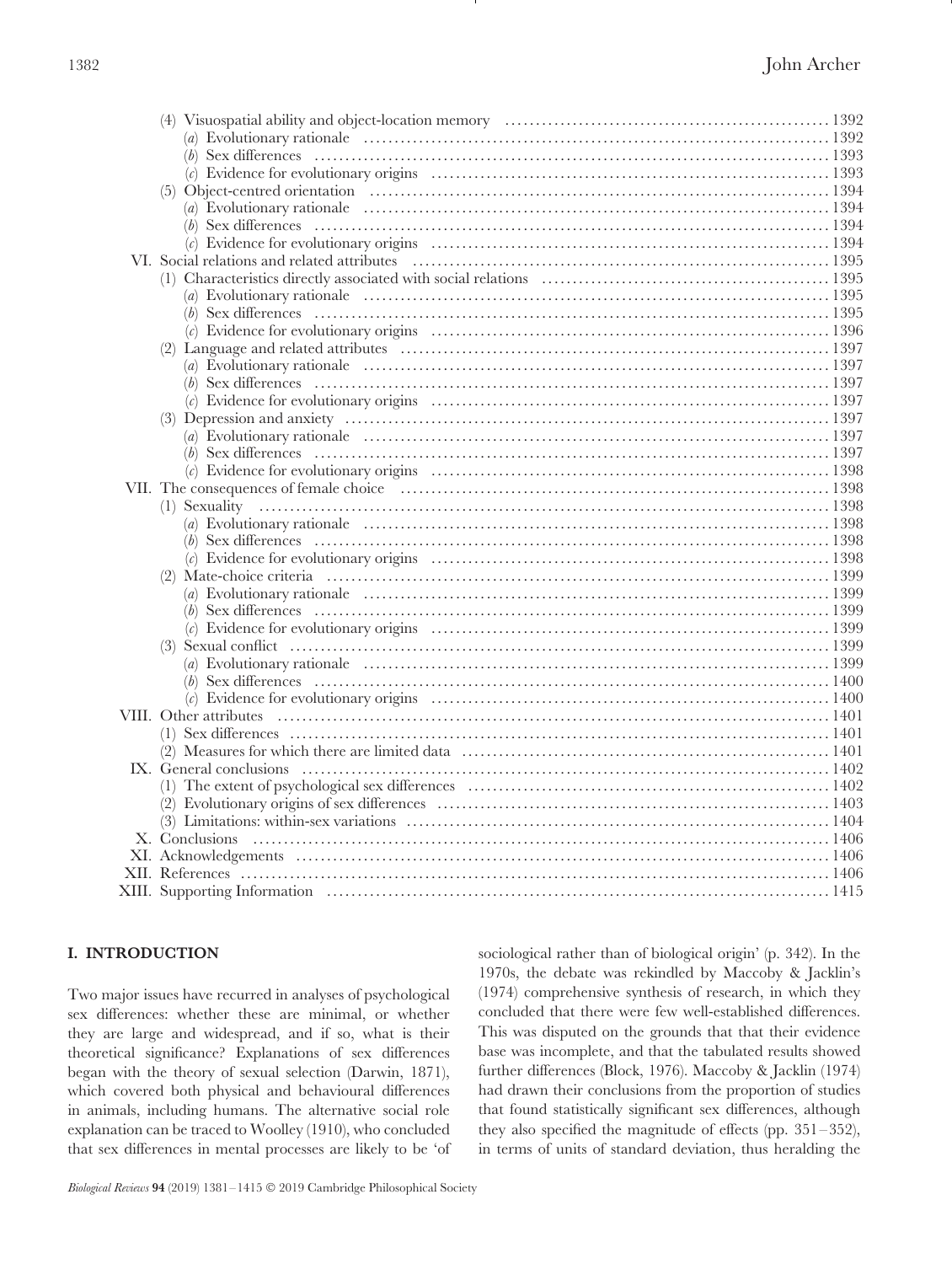| (c) Evidence for evolutionary origins $(5)$ Object-centred orientation $1393$ |  |
|-------------------------------------------------------------------------------|--|
|                                                                               |  |
|                                                                               |  |
|                                                                               |  |
|                                                                               |  |
|                                                                               |  |
|                                                                               |  |
|                                                                               |  |
|                                                                               |  |
|                                                                               |  |
|                                                                               |  |
|                                                                               |  |
|                                                                               |  |
|                                                                               |  |
|                                                                               |  |
|                                                                               |  |
|                                                                               |  |
|                                                                               |  |
|                                                                               |  |
|                                                                               |  |
|                                                                               |  |
|                                                                               |  |
|                                                                               |  |
|                                                                               |  |
|                                                                               |  |
|                                                                               |  |
|                                                                               |  |
|                                                                               |  |
|                                                                               |  |
|                                                                               |  |
|                                                                               |  |
|                                                                               |  |
|                                                                               |  |
|                                                                               |  |
|                                                                               |  |
|                                                                               |  |
|                                                                               |  |
|                                                                               |  |
|                                                                               |  |
|                                                                               |  |
|                                                                               |  |

## <span id="page-1-0"></span>**I. INTRODUCTION**

Two major issues have recurred in analyses of psychological sex differences: whether these are minimal, or whether they are large and widespread, and if so, what is their theoretical significance? Explanations of sex differences began with the theory of sexual selection (Darwin, 1871), which covered both physical and behavioural differences in animals, including humans. The alternative social role explanation can be traced to Woolley (1910), who concluded that sex differences in mental processes are likely to be 'of sociological rather than of biological origin' (p. 342). In the 1970s, the debate was rekindled by Maccoby & Jacklin's (1974) comprehensive synthesis of research, in which they concluded that there were few well-established differences. This was disputed on the grounds that that their evidence base was incomplete, and that the tabulated results showed further differences (Block, 1976). Maccoby & Jacklin (1974) had drawn their conclusions from the proportion of studies that found statistically significant sex differences, although they also specified the magnitude of effects (pp. 351–352), in terms of units of standard deviation, thus heralding the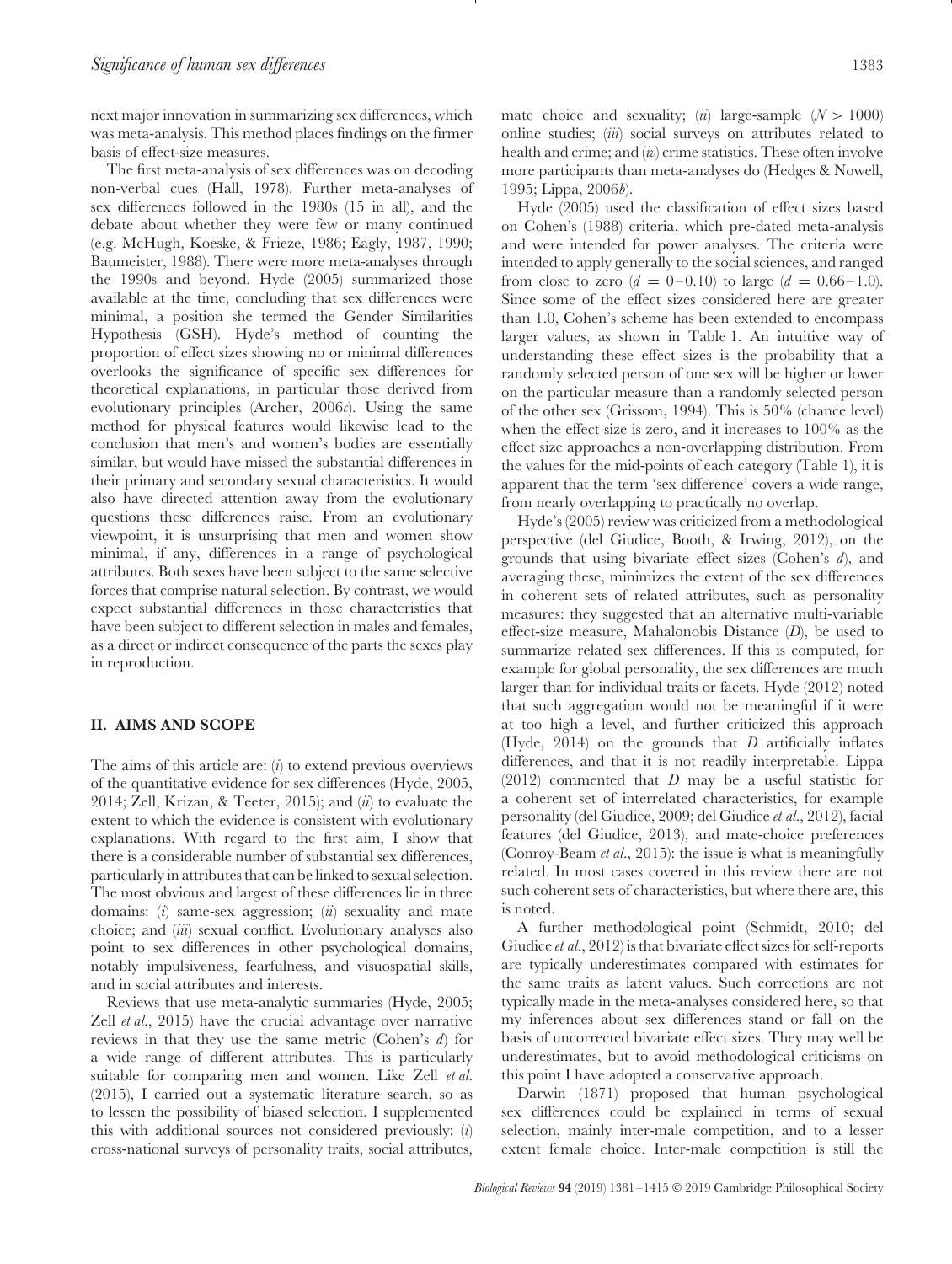next major innovation in summarizing sex differences, which was meta-analysis. This method places findings on the firmer basis of effect-size measures.

The first meta-analysis of sex differences was on decoding non-verbal cues (Hall, 1978). Further meta-analyses of sex differences followed in the 1980s (15 in all), and the debate about whether they were few or many continued (e.g. McHugh, Koeske, & Frieze, 1986; Eagly, 1987, 1990; Baumeister, 1988). There were more meta-analyses through the 1990s and beyond. Hyde (2005) summarized those available at the time, concluding that sex differences were minimal, a position she termed the Gender Similarities Hypothesis (GSH). Hyde's method of counting the proportion of effect sizes showing no or minimal differences overlooks the significance of specific sex differences for theoretical explanations, in particular those derived from evolutionary principles (Archer, 2006*c*). Using the same method for physical features would likewise lead to the conclusion that men's and women's bodies are essentially similar, but would have missed the substantial differences in their primary and secondary sexual characteristics. It would also have directed attention away from the evolutionary questions these differences raise. From an evolutionary viewpoint, it is unsurprising that men and women show minimal, if any, differences in a range of psychological attributes. Both sexes have been subject to the same selective forces that comprise natural selection. By contrast, we would expect substantial differences in those characteristics that have been subject to different selection in males and females, as a direct or indirect consequence of the parts the sexes play in reproduction.

## <span id="page-2-0"></span>**II. AIMS AND SCOPE**

The aims of this article are: (*i*) to extend previous overviews of the quantitative evidence for sex differences (Hyde, 2005, 2014; Zell, Krizan, & Teeter, 2015); and (*ii*) to evaluate the extent to which the evidence is consistent with evolutionary explanations. With regard to the first aim, I show that there is a considerable number of substantial sex differences, particularly in attributes that can be linked to sexual selection. The most obvious and largest of these differences lie in three domains: (*i*) same-sex aggression; (*ii*) sexuality and mate choice; and (*iii*) sexual conflict. Evolutionary analyses also point to sex differences in other psychological domains, notably impulsiveness, fearfulness, and visuospatial skills, and in social attributes and interests.

Reviews that use meta-analytic summaries (Hyde, 2005; Zell *et al.*, 2015) have the crucial advantage over narrative reviews in that they use the same metric (Cohen's *d*) for a wide range of different attributes. This is particularly suitable for comparing men and women. Like Zell *et al.* (2015), I carried out a systematic literature search, so as to lessen the possibility of biased selection. I supplemented this with additional sources not considered previously: (*i*) cross-national surveys of personality traits, social attributes, mate choice and sexuality; (*ii*) large-sample  $(N > 1000)$ online studies; (*iii*) social surveys on attributes related to health and crime; and (*iv*) crime statistics. These often involve more participants than meta-analyses do (Hedges & Nowell, 1995; Lippa, 2006*b*).

Hyde (2005) used the classification of effect sizes based on Cohen's (1988) criteria, which pre-dated meta-analysis and were intended for power analyses. The criteria were intended to apply generally to the social sciences, and ranged from close to zero  $(d = 0-0.10)$  to large  $(d = 0.66-1.0)$ . Since some of the effect sizes considered here are greater than 1.0, Cohen's scheme has been extended to encompass larger values, as shown in Table 1. An intuitive way of understanding these effect sizes is the probability that a randomly selected person of one sex will be higher or lower on the particular measure than a randomly selected person of the other sex (Grissom, 1994). This is 50% (chance level) when the effect size is zero, and it increases to 100% as the effect size approaches a non-overlapping distribution. From the values for the mid-points of each category (Table 1), it is apparent that the term 'sex difference' covers a wide range, from nearly overlapping to practically no overlap.

Hyde's (2005) review was criticized from a methodological perspective (del Giudice, Booth, & Irwing, 2012), on the grounds that using bivariate effect sizes (Cohen's *d*), and averaging these, minimizes the extent of the sex differences in coherent sets of related attributes, such as personality measures: they suggested that an alternative multi-variable effect-size measure, Mahalonobis Distance (*D*), be used to summarize related sex differences. If this is computed, for example for global personality, the sex differences are much larger than for individual traits or facets. Hyde (2012) noted that such aggregation would not be meaningful if it were at too high a level, and further criticized this approach (Hyde, 2014) on the grounds that *D* artificially inflates differences, and that it is not readily interpretable. Lippa (2012) commented that *D* may be a useful statistic for a coherent set of interrelated characteristics, for example personality (del Giudice, 2009; del Giudice *et al.*, 2012), facial features (del Giudice, 2013), and mate-choice preferences (Conroy-Beam *et al.,* 2015): the issue is what is meaningfully related. In most cases covered in this review there are not such coherent sets of characteristics, but where there are, this is noted.

A further methodological point (Schmidt, 2010; del Giudice *et al.*, 2012) is that bivariate effect sizes for self-reports are typically underestimates compared with estimates for the same traits as latent values. Such corrections are not typically made in the meta-analyses considered here, so that my inferences about sex differences stand or fall on the basis of uncorrected bivariate effect sizes. They may well be underestimates, but to avoid methodological criticisms on this point I have adopted a conservative approach.

Darwin (1871) proposed that human psychological sex differences could be explained in terms of sexual selection, mainly inter-male competition, and to a lesser extent female choice. Inter-male competition is still the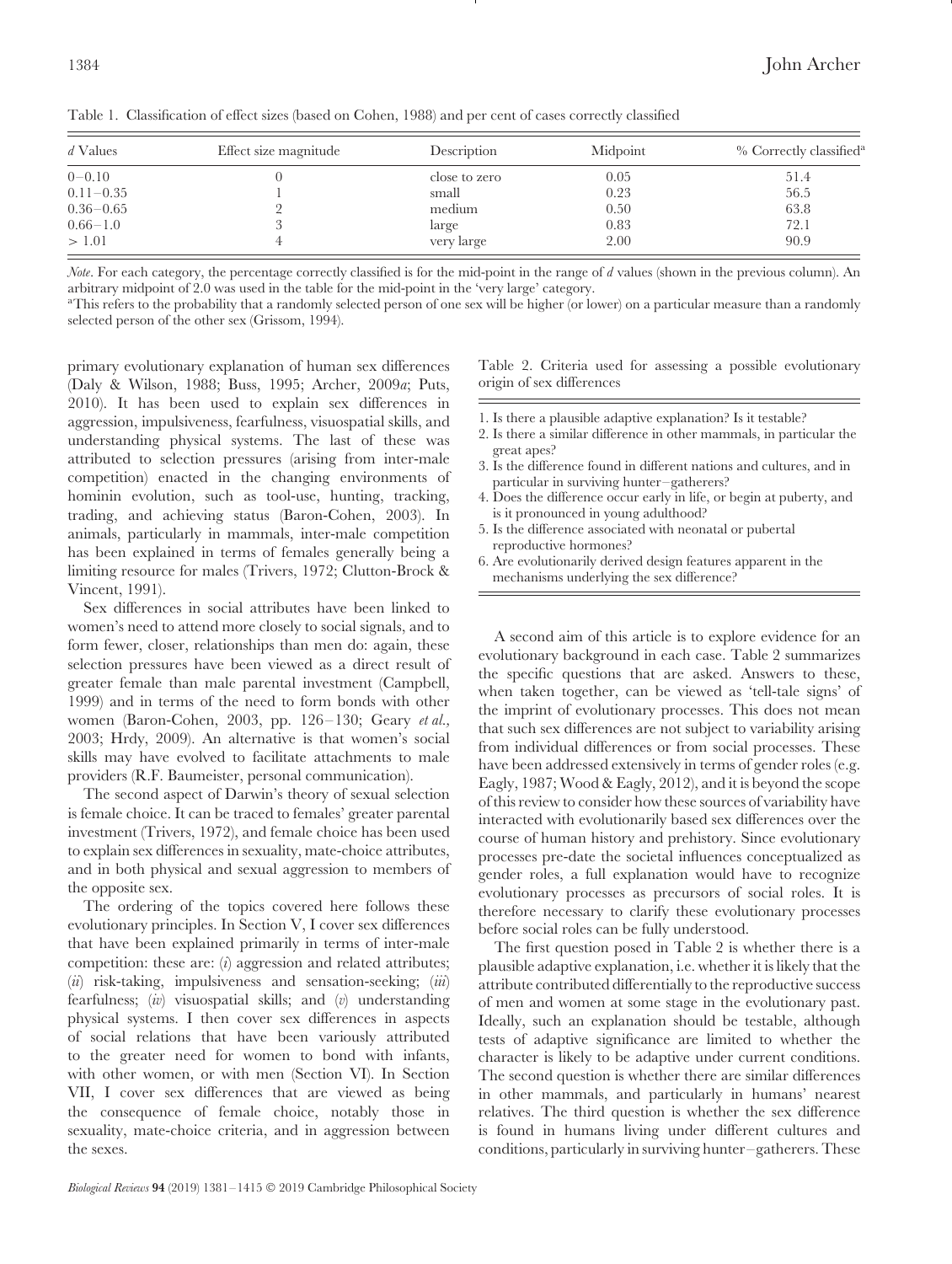| d Values      | Effect size magnitude | Description   | Midpoint | % Correctly classified <sup>a</sup> |
|---------------|-----------------------|---------------|----------|-------------------------------------|
| $0 - 0.10$    |                       | close to zero | 0.05     | 51.4                                |
| $0.11 - 0.35$ |                       | small         | 0.23     | 56.5                                |
| $0.36 - 0.65$ |                       | medium        | 0.50     | 63.8                                |
| $0.66 - 1.0$  |                       | large         | 0.83     | 72.1                                |
| >1.01         |                       | very large    | 2.00     | 90.9                                |

Table 1. Classification of effect sizes (based on Cohen, 1988) and per cent of cases correctly classified

*Note*. For each category, the percentage correctly classified is for the mid-point in the range of *d* values (shown in the previous column). An arbitrary midpoint of 2.0 was used in the table for the mid-point in the 'very large' category.

aThis refers to the probability that a randomly selected person of one sex will be higher (or lower) on a particular measure than a randomly selected person of the other sex (Grissom, 1994).

primary evolutionary explanation of human sex differences (Daly & Wilson, 1988; Buss, 1995; Archer, 2009*a*; Puts, 2010). It has been used to explain sex differences in aggression, impulsiveness, fearfulness, visuospatial skills, and understanding physical systems. The last of these was attributed to selection pressures (arising from inter-male competition) enacted in the changing environments of hominin evolution, such as tool-use, hunting, tracking, trading, and achieving status (Baron-Cohen, 2003). In animals, particularly in mammals, inter-male competition has been explained in terms of females generally being a limiting resource for males (Trivers, 1972; Clutton-Brock & Vincent, 1991).

Sex differences in social attributes have been linked to women's need to attend more closely to social signals, and to form fewer, closer, relationships than men do: again, these selection pressures have been viewed as a direct result of greater female than male parental investment (Campbell, 1999) and in terms of the need to form bonds with other women (Baron-Cohen, 2003, pp. 126–130; Geary *et al.,* 2003; Hrdy, 2009). An alternative is that women's social skills may have evolved to facilitate attachments to male providers (R.F. Baumeister, personal communication).

The second aspect of Darwin's theory of sexual selection is female choice. It can be traced to females' greater parental investment (Trivers, 1972), and female choice has been used to explain sex differences in sexuality, mate-choice attributes, and in both physical and sexual aggression to members of the opposite sex.

The ordering of the topics covered here follows these evolutionary principles. In Section V, I cover sex differences that have been explained primarily in terms of inter-male competition: these are: (*i*) aggression and related attributes; (*ii*) risk-taking, impulsiveness and sensation-seeking; (*iii*) fearfulness; (*iv*) visuospatial skills; and (*v*) understanding physical systems. I then cover sex differences in aspects of social relations that have been variously attributed to the greater need for women to bond with infants, with other women, or with men (Section VI). In Section VII, I cover sex differences that are viewed as being the consequence of female choice, notably those in sexuality, mate-choice criteria, and in aggression between the sexes.

4. Does the difference occur early in life, or begin at puberty, and is it pronounced in young adulthood?

particular in surviving hunter–gatherers?

origin of sex differences

great apes?

5. Is the difference associated with neonatal or pubertal reproductive hormones?

1. Is there a plausible adaptive explanation? Is it testable? 2. Is there a similar difference in other mammals, in particular the

Table 2. Criteria used for assessing a possible evolutionary

3. Is the difference found in different nations and cultures, and in

A second aim of this article is to explore evidence for an evolutionary background in each case. Table 2 summarizes the specific questions that are asked. Answers to these, when taken together, can be viewed as 'tell-tale signs' of the imprint of evolutionary processes. This does not mean that such sex differences are not subject to variability arising from individual differences or from social processes. These have been addressed extensively in terms of gender roles (e.g. Eagly, 1987; Wood & Eagly, 2012), and it is beyond the scope of this review to consider how these sources of variability have interacted with evolutionarily based sex differences over the course of human history and prehistory. Since evolutionary processes pre-date the societal influences conceptualized as gender roles, a full explanation would have to recognize evolutionary processes as precursors of social roles. It is therefore necessary to clarify these evolutionary processes before social roles can be fully understood.

The first question posed in Table 2 is whether there is a plausible adaptive explanation, i.e. whether it is likely that the attribute contributed differentially to the reproductive success of men and women at some stage in the evolutionary past. Ideally, such an explanation should be testable, although tests of adaptive significance are limited to whether the character is likely to be adaptive under current conditions. The second question is whether there are similar differences in other mammals, and particularly in humans' nearest relatives. The third question is whether the sex difference is found in humans living under different cultures and conditions, particularly in surviving hunter–gatherers. These

<sup>6.</sup> Are evolutionarily derived design features apparent in the mechanisms underlying the sex difference?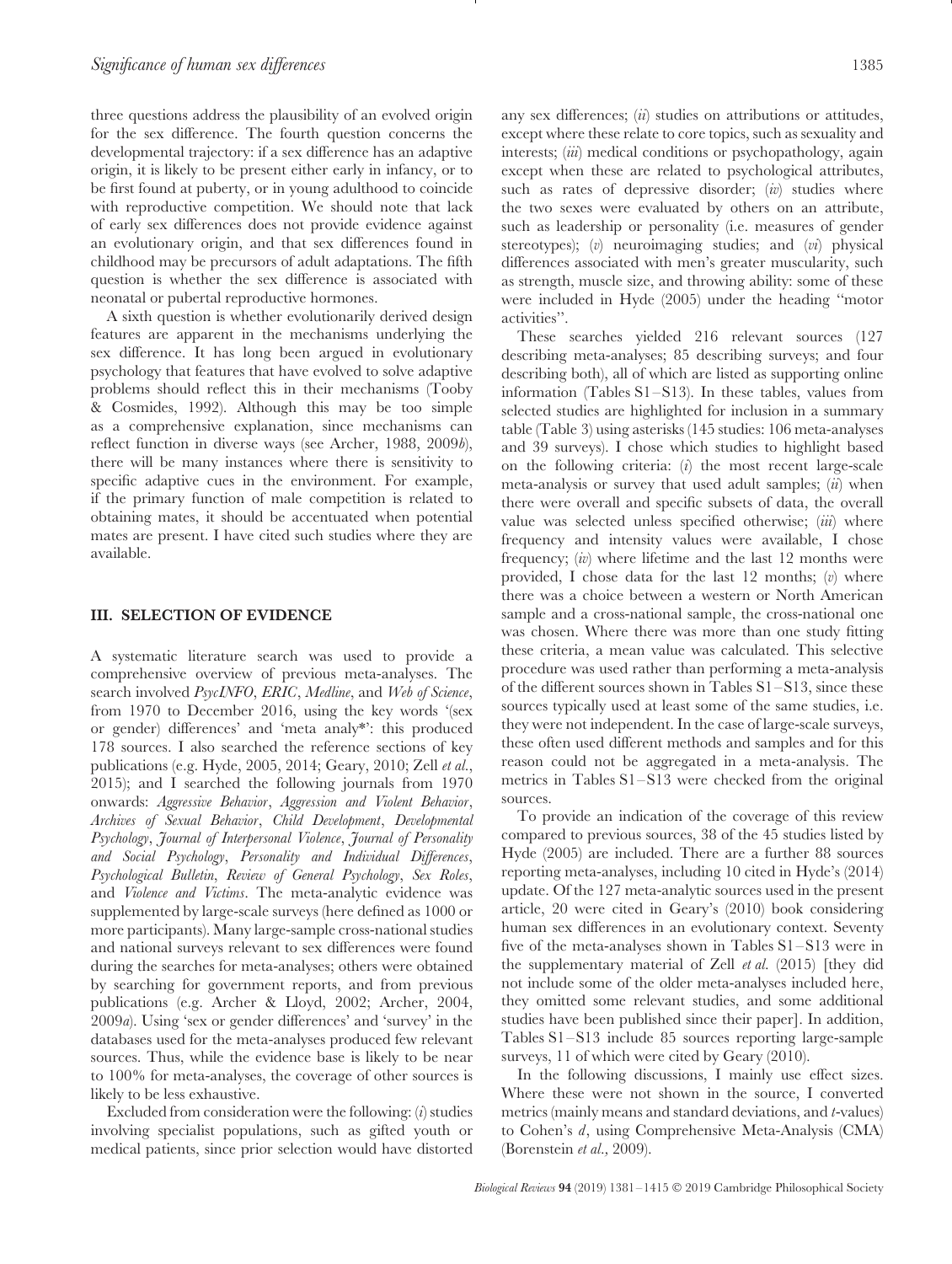three questions address the plausibility of an evolved origin for the sex difference. The fourth question concerns the developmental trajectory: if a sex difference has an adaptive origin, it is likely to be present either early in infancy, or to be first found at puberty, or in young adulthood to coincide with reproductive competition. We should note that lack of early sex differences does not provide evidence against an evolutionary origin, and that sex differences found in childhood may be precursors of adult adaptations. The fifth question is whether the sex difference is associated with neonatal or pubertal reproductive hormones.

A sixth question is whether evolutionarily derived design features are apparent in the mechanisms underlying the sex difference. It has long been argued in evolutionary psychology that features that have evolved to solve adaptive problems should reflect this in their mechanisms (Tooby & Cosmides, 1992). Although this may be too simple as a comprehensive explanation, since mechanisms can reflect function in diverse ways (see Archer, 1988, 2009*b*), there will be many instances where there is sensitivity to specific adaptive cues in the environment. For example, if the primary function of male competition is related to obtaining mates, it should be accentuated when potential mates are present. I have cited such studies where they are available.

#### <span id="page-4-0"></span>**III. SELECTION OF EVIDENCE**

A systematic literature search was used to provide a comprehensive overview of previous meta-analyses. The search involved *PsycINFO*, *ERIC*, *Medline*, and *Web of Science*, from 1970 to December 2016, using the key words '(sex or gender) differences' and 'meta analy\*': this produced 178 sources. I also searched the reference sections of key publications (e.g. Hyde, 2005, 2014; Geary, 2010; Zell *et al.*, 2015); and I searched the following journals from 1970 onwards: *Aggressive Behavior*, *Aggression and Violent Behavior*, *Archives of Sexual Behavior*, *Child Development*, *Developmental Psychology*, *Journal of Interpersonal Violence*, *Journal of Personality and Social Psychology*, *Personality and Individual Differences*, *Psychological Bulletin*, *Review of General Psychology*, *Sex Roles*, and *Violence and Victims*. The meta-analytic evidence was supplemented by large-scale surveys (here defined as 1000 or more participants). Many large-sample cross-national studies and national surveys relevant to sex differences were found during the searches for meta-analyses; others were obtained by searching for government reports, and from previous publications (e.g. Archer & Lloyd, 2002; Archer, 2004, 2009*a*). Using 'sex or gender differences' and 'survey' in the databases used for the meta-analyses produced few relevant sources. Thus, while the evidence base is likely to be near to 100% for meta-analyses, the coverage of other sources is likely to be less exhaustive.

Excluded from consideration were the following: (*i*) studies involving specialist populations, such as gifted youth or medical patients, since prior selection would have distorted any sex differences; (*ii*) studies on attributions or attitudes, except where these relate to core topics, such as sexuality and interests; (*iii*) medical conditions or psychopathology, again except when these are related to psychological attributes, such as rates of depressive disorder; (*iv*) studies where the two sexes were evaluated by others on an attribute, such as leadership or personality (i.e. measures of gender stereotypes); (*v*) neuroimaging studies; and (*vi*) physical differences associated with men's greater muscularity, such as strength, muscle size, and throwing ability: some of these were included in Hyde (2005) under the heading ''motor activities''.

These searches yielded 216 relevant sources (127 describing meta-analyses; 85 describing surveys; and four describing both), all of which are listed as supporting online information (Tables S1–S13). In these tables, values from selected studies are highlighted for inclusion in a summary table (Table 3) using asterisks (145 studies: 106 meta-analyses and 39 surveys). I chose which studies to highlight based on the following criteria: (*i*) the most recent large-scale meta-analysis or survey that used adult samples; (*ii*) when there were overall and specific subsets of data, the overall value was selected unless specified otherwise; (*iii*) where frequency and intensity values were available, I chose frequency; (*iv*) where lifetime and the last 12 months were provided, I chose data for the last 12 months; (*v*) where there was a choice between a western or North American sample and a cross-national sample, the cross-national one was chosen. Where there was more than one study fitting these criteria, a mean value was calculated. This selective procedure was used rather than performing a meta-analysis of the different sources shown in Tables S1–S13, since these sources typically used at least some of the same studies, i.e. they were not independent. In the case of large-scale surveys, these often used different methods and samples and for this reason could not be aggregated in a meta-analysis. The metrics in Tables S1–S13 were checked from the original sources.

To provide an indication of the coverage of this review compared to previous sources, 38 of the 45 studies listed by Hyde (2005) are included. There are a further 88 sources reporting meta-analyses, including 10 cited in Hyde's (2014) update. Of the 127 meta-analytic sources used in the present article, 20 were cited in Geary's (2010) book considering human sex differences in an evolutionary context. Seventy five of the meta-analyses shown in Tables S1–S13 were in the supplementary material of Zell *et al.* (2015) [they did not include some of the older meta-analyses included here, they omitted some relevant studies, and some additional studies have been published since their paper]. In addition, Tables S1–S13 include 85 sources reporting large-sample surveys, 11 of which were cited by Geary (2010).

In the following discussions, I mainly use effect sizes. Where these were not shown in the source, I converted metrics (mainly means and standard deviations, and *t*-values) to Cohen's *d*, using Comprehensive Meta-Analysis (CMA) (Borenstein *et al.,* 2009).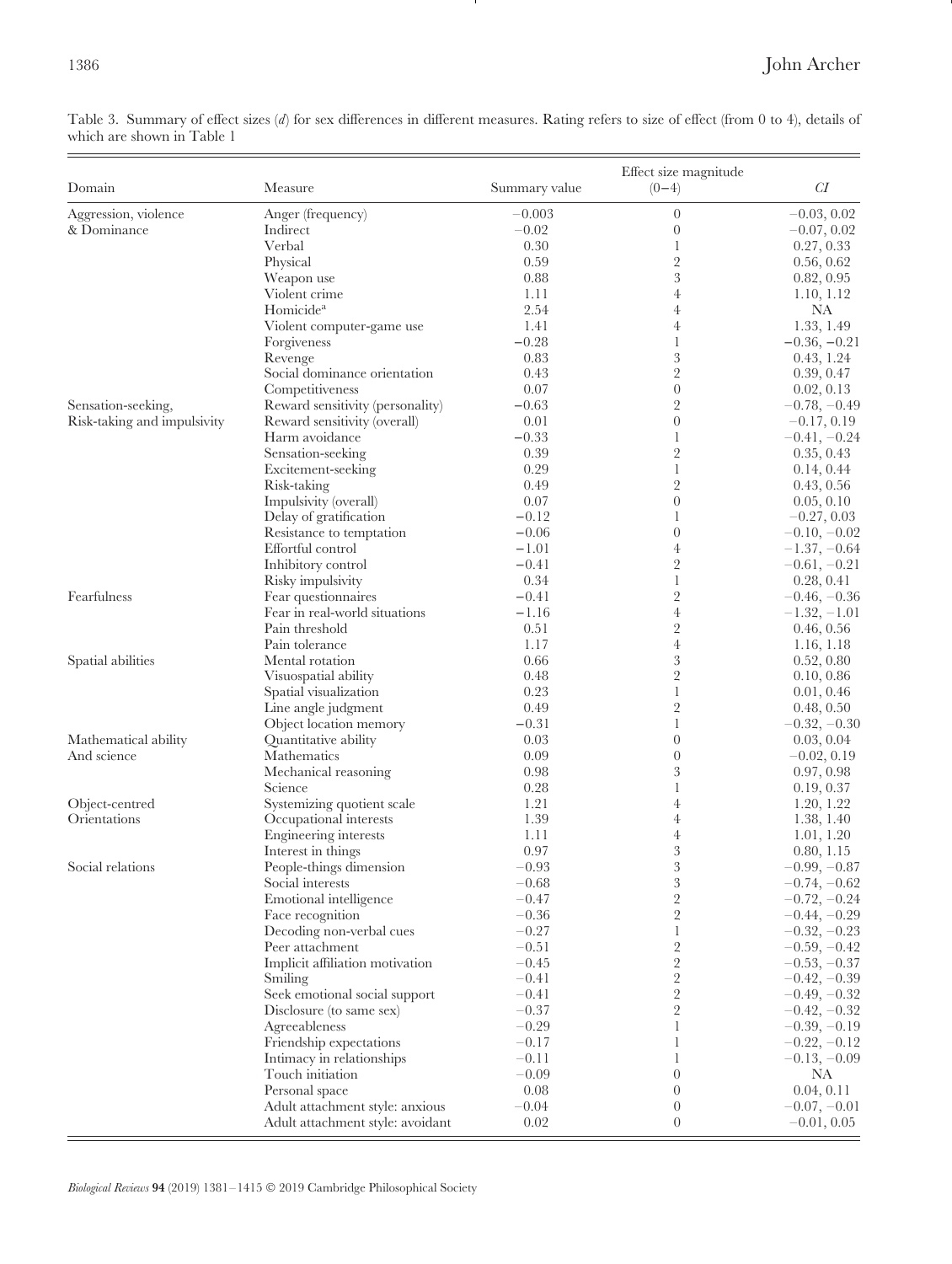Table 3. Summary of effect sizes (*d*) for sex differences in different measures. Rating refers to size of effect (from 0 to 4), details of which are shown in Table 1

- 1

| Domain                         | Measure                          | Summary value | Effect size magnitude<br>$(0-4)$ | CI                       |
|--------------------------------|----------------------------------|---------------|----------------------------------|--------------------------|
| Aggression, violence           | Anger (frequency)                | $-0.003$      | $\overline{0}$                   | $-0.03, 0.02$            |
| & Dominance                    | Indirect                         | $-0.02$       | $\overline{0}$                   | $-0.07, 0.02$            |
|                                | Verbal                           | 0.30          | 1                                | 0.27, 0.33               |
|                                | Physical                         | 0.59          | $\overline{2}$                   | 0.56, 0.62               |
|                                | Weapon use                       | 0.88          | 3                                | 0.82, 0.95               |
|                                | Violent crime                    | 1.11          | $\overline{4}$                   | 1.10, 1.12               |
|                                | Homicide <sup>a</sup>            | 2.54          | $\overline{4}$                   | NA                       |
|                                | Violent computer-game use        | 1.41          | $\overline{4}$                   | 1.33, 1.49               |
|                                | Forgiveness                      | $-0.28$       | $\mathbf{1}$                     | $-0.36, -0.21$           |
|                                | Revenge                          | 0.83          | $\boldsymbol{3}$                 | 0.43, 1.24               |
|                                | Social dominance orientation     | 0.43          | $\overline{2}$                   | 0.39, 0.47               |
|                                | Competitiveness                  | 0.07          | $\overline{0}$                   | 0.02, 0.13               |
| Sensation-seeking,             | Reward sensitivity (personality) | $-0.63$       | $\overline{2}$                   | $-0.78, -0.49$           |
| Risk-taking and impulsivity    | Reward sensitivity (overall)     | 0.01          | $\boldsymbol{0}$                 | $-0.17, 0.19$            |
|                                | Harm avoidance                   | $-0.33$       | 1                                | $-0.41, -0.24$           |
|                                | Sensation-seeking                | 0.39          | $\overline{2}$                   | 0.35, 0.43               |
|                                | Excitement-seeking               | 0.29          | $\mathbf{1}$                     | 0.14, 0.44               |
|                                | Risk-taking                      | 0.49          | $\overline{2}$                   | 0.43, 0.56               |
|                                | Impulsivity (overall)            | 0.07          | $\overline{0}$                   | 0.05, 0.10               |
|                                | Delay of gratification           | $-0.12$       | 1                                | $-0.27, 0.03$            |
|                                | Resistance to temptation         | $-0.06$       | $\overline{0}$                   | $-0.10, -0.02$           |
|                                | Effortful control                | $-1.01$       | $\overline{4}$                   | $-1.37, -0.64$           |
|                                | Inhibitory control               | $-0.41$       | $\overline{2}$                   | $-0.61, -0.21$           |
|                                | Risky impulsivity                | 0.34          | $\mathbf{1}$                     | 0.28, 0.41               |
| Fearfulness                    | Fear questionnaires              | $-0.41$       | $\overline{2}$                   | $-0.46, -0.36$           |
|                                | Fear in real-world situations    | $-1.16$       | $\overline{4}$                   | $-1.32, -1.01$           |
|                                | Pain threshold                   | 0.51          | $\overline{2}$                   | 0.46, 0.56               |
|                                | Pain tolerance                   | 1.17          | $\overline{4}$                   | 1.16, 1.18               |
| Spatial abilities              | Mental rotation                  | 0.66          | $\boldsymbol{3}$                 | 0.52, 0.80               |
|                                | Visuospatial ability             | 0.48          | $\overline{2}$                   | 0.10, 0.86               |
|                                | Spatial visualization            | 0.23          | $\mathbf{1}$                     | 0.01, 0.46               |
|                                | Line angle judgment              | 0.49          | $\overline{2}$                   | 0.48, 0.50               |
|                                | Object location memory           | $-0.31$       | 1<br>$\overline{0}$              | $-0.32, -0.30$           |
| Mathematical ability           | Quantitative ability             | 0.03<br>0.09  |                                  | 0.03, 0.04               |
| And science                    | Mathematics                      | 0.98          | $\overline{0}$<br>3              | $-0.02, 0.19$            |
|                                | Mechanical reasoning<br>Science  | 0.28          | 1                                | 0.97, 0.98               |
|                                | Systemizing quotient scale       | 1.21          | $\overline{4}$                   | 0.19, 0.37               |
| Object-centred<br>Orientations | Occupational interests           | 1.39          | $\overline{4}$                   | 1.20, 1.22<br>1.38, 1.40 |
|                                | Engineering interests            | 1.11          | 4                                | 1.01, 1.20               |
|                                | Interest in things               | 0.97          | 3                                | 0.80, 1.15               |
| Social relations               | People-things dimension          | $-0.93$       | $\boldsymbol{3}$                 | $-0.99, -0.87$           |
|                                | Social interests                 | $-0.68$       | $\boldsymbol{3}$                 | $-0.74, -0.62$           |
|                                | Emotional intelligence           | $-0.47$       | $\overline{2}$                   | $-0.72, -0.24$           |
|                                | Face recognition                 | $-0.36$       | $\sqrt{2}$                       | $-0.44, -0.29$           |
|                                | Decoding non-verbal cues         | $-0.27$       | 1                                | $-0.32, -0.23$           |
|                                | Peer attachment                  | $-0.51$       | $\sqrt{2}$                       | $-0.59, -0.42$           |
|                                | Implicit affiliation motivation  | $-0.45$       | $\sqrt{2}$                       | $-0.53, -0.37$           |
|                                | Smiling                          | $-0.41$       | $\overline{2}$                   | $-0.42, -0.39$           |
|                                | Seek emotional social support    | $-0.41$       | $\overline{2}$                   | $-0.49, -0.32$           |
|                                | Disclosure (to same sex)         | $-0.37$       | $\overline{2}$                   | $-0.42, -0.32$           |
|                                | Agreeableness                    | $-0.29$       |                                  | $-0.39, -0.19$           |
|                                | Friendship expectations          | $-0.17$       | 1                                | $-0.22, -0.12$           |
|                                | Intimacy in relationships        | $-0.11$       |                                  | $-0.13, -0.09$           |
|                                | Touch initiation                 | $-0.09$       | $\overline{0}$                   | NA                       |
|                                | Personal space                   | 0.08          | $\overline{0}$                   | 0.04, 0.11               |
|                                | Adult attachment style: anxious  | $-0.04$       | $\boldsymbol{0}$                 | $-0.07, -0.01$           |
|                                | Adult attachment style: avoidant | 0.02          | $\overline{0}$                   | $-0.01, 0.05$            |

*Biological Reviews* **94** (2019) 1381–1415 © 2019 Cambridge Philosophical Society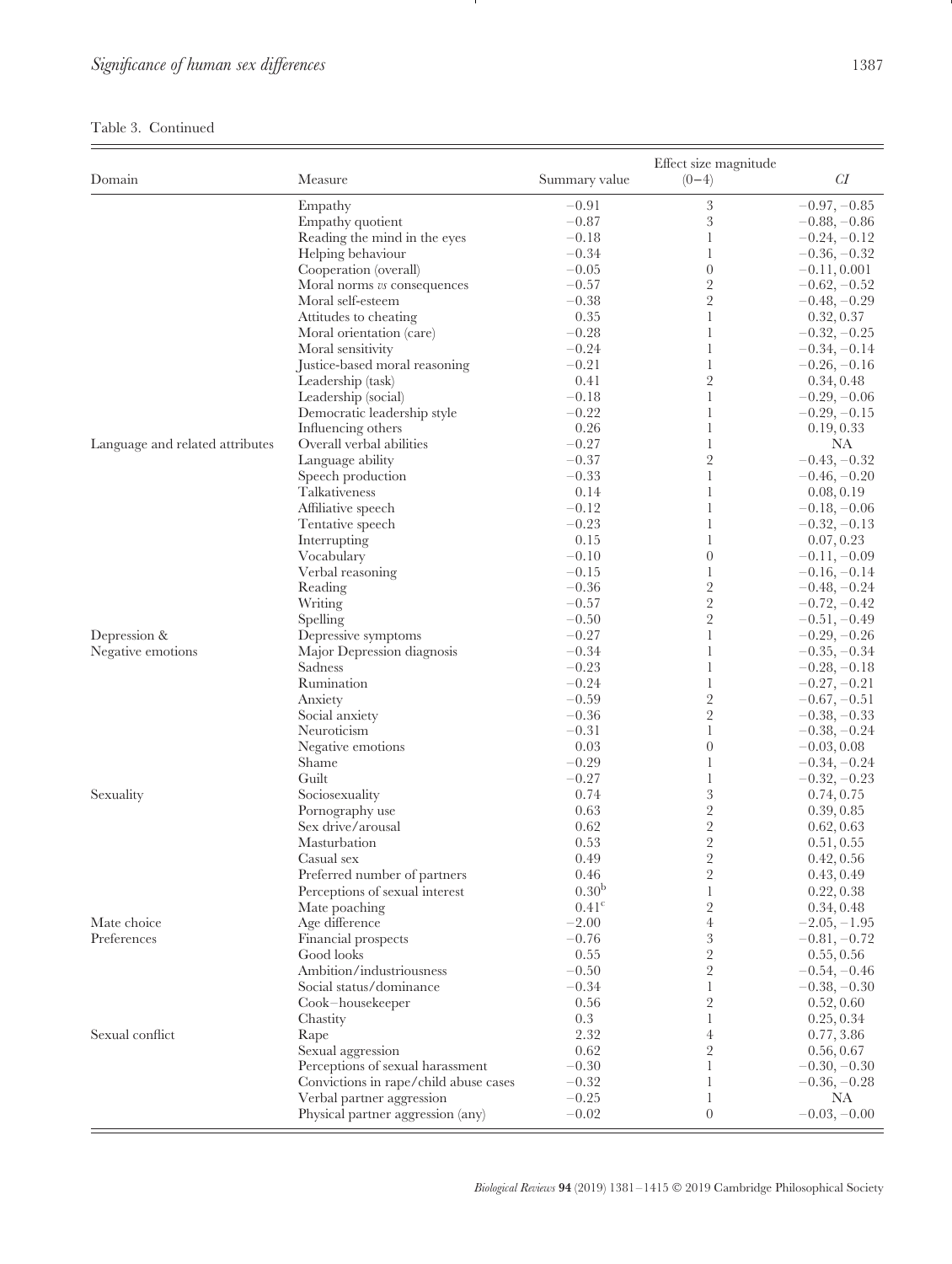## Table 3. Continued

 $\overline{\phantom{a}}$ 

| CI<br>Domain<br>Measure<br>Summary value<br>$(0-4)$<br>3<br>$-0.97, -0.85$<br>Empathy<br>$-0.91$<br>$\,3$<br>Empathy quotient<br>$-0.87$<br>$-0.88, -0.86$<br>Reading the mind in the eyes<br>$-0.18$<br>$\mathbf{1}$<br>$-0.24, -0.12$<br>$-0.34$<br>Helping behaviour<br>$\mathbf{1}$<br>$-0.36, -0.32$<br>$\overline{0}$<br>Cooperation (overall)<br>$-0.05$<br>$-0.11, 0.001$<br>$\sqrt{2}$<br>$-0.57$<br>Moral norms vs consequences<br>$-0.62, -0.52$<br>$\sqrt{2}$<br>$-0.38$<br>Moral self-esteem<br>$-0.48, -0.29$<br>0.35<br>Attitudes to cheating<br>1<br>0.32, 0.37<br>$-0.28$<br>$\mathbf{1}$<br>$-0.32, -0.25$<br>Moral orientation (care)<br>$-0.24$<br>Moral sensitivity<br>$\mathbf{1}$<br>$-0.34, -0.14$<br>Justice-based moral reasoning<br>$-0.21$<br>$\mathbf{1}$<br>$-0.26, -0.16$<br>$\sqrt{2}$<br>0.41<br>Leadership (task)<br>0.34, 0.48<br>$-0.18$<br>Leadership (social)<br>$\mathbf{1}$<br>$-0.29, -0.06$<br>Democratic leadership style<br>$-0.22$<br>$\mathbf{1}$<br>$-0.29, -0.15$<br>0.26<br>$\mathbf{1}$<br>Influencing others<br>0.19, 0.33<br>$-0.27$<br><b>NA</b><br>Overall verbal abilities<br>1<br>Language and related attributes<br>$\sqrt{2}$<br>$-0.37$<br>Language ability<br>$-0.43, -0.32$<br>$-0.33$<br>$\mathbf{1}$<br>Speech production<br>$-0.46, -0.20$<br>0.14<br>Talkativeness<br>$\mathbf{1}$<br>0.08, 0.19<br>$-0.12$<br>$\mathbf{1}$<br>Affiliative speech<br>$-0.18, -0.06$<br>$-0.23$<br>$\mathbf{1}$<br>$-0.32, -0.13$<br>Tentative speech<br>0.15<br>Interrupting<br>$\mathbf{1}$<br>0.07, 0.23<br>$-0.10$<br>$\overline{0}$<br>Vocabulary<br>$-0.11, -0.09$<br>$-0.15$<br>$\mathbf{1}$<br>Verbal reasoning<br>$-0.16, -0.14$<br>$\sqrt{2}$<br>$-0.36$<br>Reading<br>$-0.48, -0.24$<br>$\sqrt{2}$<br>$-0.57$<br>Writing<br>$-0.72, -0.42$<br>$\sqrt{2}$<br>$-0.50$<br>$-0.51, -0.49$<br>Spelling<br>Depression &<br>$-0.27$<br>Depressive symptoms<br>$\mathbf{1}$<br>$-0.29, -0.26$<br>$-0.34$<br>$\mathbf{1}$<br>Negative emotions<br>Major Depression diagnosis<br>$-0.35, -0.34$<br>$-0.23$<br>Sadness<br>$\mathbf{1}$<br>$-0.28, -0.18$<br>Rumination<br>$-0.24$<br>$\mathbf{1}$<br>$-0.27, -0.21$<br>$\sqrt{2}$<br>$-0.59$<br>Anxiety<br>$-0.67, -0.51$<br>$\sqrt{2}$<br>$-0.36$<br>Social anxiety<br>$-0.38, -0.33$<br>Neuroticism<br>$-0.31$<br>$\mathbf{1}$<br>$-0.38, -0.24$<br>$\boldsymbol{0}$<br>Negative emotions<br>0.03<br>$-0.03, 0.08$<br>$-0.29$<br>Shame<br>$\mathbf{1}$<br>$-0.34, -0.24$<br>Guilt<br>$-0.27$<br>$\mathbf{1}$<br>$-0.32, -0.23$<br>$\sqrt{3}$<br>Sexuality<br>Sociosexuality<br>0.74<br>0.74, 0.75<br>$\sqrt{2}$<br>0.63<br>0.39, 0.85<br>Pornography use<br>$\sqrt{2}$<br>Sex drive/arousal<br>0.62<br>0.62, 0.63<br>$\sqrt{2}$<br>Masturbation<br>0.53<br>0.51, 0.55<br>$\overline{2}$<br>0.49<br>0.42, 0.56<br>Casual sex<br>Preferred number of partners<br>0.46<br>$\overline{2}$<br>0.43, 0.49<br>0.30 <sup>b</sup><br>$\mathbf{1}$<br>0.22, 0.38<br>Perceptions of sexual interest<br>$\sqrt{2}$<br>0.41 <sup>c</sup><br>Mate poaching<br>0.34, 0.48<br>Mate choice<br>Age difference<br>$-2.00$<br>$\overline{4}$<br>$-2.05, -1.95$<br>3<br>Preferences<br>Financial prospects<br>$-0.76$<br>$-0.81, -0.72$<br>$\sqrt{2}$<br>0.55<br>Good looks<br>0.55, 0.56<br>$\sqrt{2}$<br>Ambition/industriousness<br>$-0.50$<br>$-0.54, -0.46$<br>Social status/dominance<br>$-0.34$<br>$\mathbf{1}$<br>$-0.38, -0.30$<br>$\sqrt{2}$<br>0.56<br>0.52, 0.60<br>Cook-housekeeper<br>0.3<br>1<br>0.25, 0.34<br>Chastity<br>2.32<br>Sexual conflict<br>$\overline{4}$<br>Rape<br>0.77, 3.86<br>$\sqrt{2}$<br>0.62<br>Sexual aggression<br>0.56, 0.67<br>$-0.30$<br>Perceptions of sexual harassment<br>1<br>$-0.30, -0.30$<br>Convictions in rape/child abuse cases<br>$-0.32$<br>$\mathbf{1}$<br>$-0.36, -0.28$<br>$-0.25$<br>$\mathbf{1}$<br>NA<br>Verbal partner aggression<br>$-0.02$<br>$\overline{0}$<br>$-0.03, -0.00$<br>Physical partner aggression (any) |  | Effect size magnitude |  |
|---------------------------------------------------------------------------------------------------------------------------------------------------------------------------------------------------------------------------------------------------------------------------------------------------------------------------------------------------------------------------------------------------------------------------------------------------------------------------------------------------------------------------------------------------------------------------------------------------------------------------------------------------------------------------------------------------------------------------------------------------------------------------------------------------------------------------------------------------------------------------------------------------------------------------------------------------------------------------------------------------------------------------------------------------------------------------------------------------------------------------------------------------------------------------------------------------------------------------------------------------------------------------------------------------------------------------------------------------------------------------------------------------------------------------------------------------------------------------------------------------------------------------------------------------------------------------------------------------------------------------------------------------------------------------------------------------------------------------------------------------------------------------------------------------------------------------------------------------------------------------------------------------------------------------------------------------------------------------------------------------------------------------------------------------------------------------------------------------------------------------------------------------------------------------------------------------------------------------------------------------------------------------------------------------------------------------------------------------------------------------------------------------------------------------------------------------------------------------------------------------------------------------------------------------------------------------------------------------------------------------------------------------------------------------------------------------------------------------------------------------------------------------------------------------------------------------------------------------------------------------------------------------------------------------------------------------------------------------------------------------------------------------------------------------------------------------------------------------------------------------------------------------------------------------------------------------------------------------------------------------------------------------------------------------------------------------------------------------------------------------------------------------------------------------------------------------------------------------------------------------------------------------------------------------------------------------------------------------------------------------------------------------------------------------------------------------------------------------------------------------------------------------------------------------------------------------------------------------------------------------------------------------------------------------------------------------------------|--|-----------------------|--|
|                                                                                                                                                                                                                                                                                                                                                                                                                                                                                                                                                                                                                                                                                                                                                                                                                                                                                                                                                                                                                                                                                                                                                                                                                                                                                                                                                                                                                                                                                                                                                                                                                                                                                                                                                                                                                                                                                                                                                                                                                                                                                                                                                                                                                                                                                                                                                                                                                                                                                                                                                                                                                                                                                                                                                                                                                                                                                                                                                                                                                                                                                                                                                                                                                                                                                                                                                                                                                                                                                                                                                                                                                                                                                                                                                                                                                                                                                                                                                               |  |                       |  |
|                                                                                                                                                                                                                                                                                                                                                                                                                                                                                                                                                                                                                                                                                                                                                                                                                                                                                                                                                                                                                                                                                                                                                                                                                                                                                                                                                                                                                                                                                                                                                                                                                                                                                                                                                                                                                                                                                                                                                                                                                                                                                                                                                                                                                                                                                                                                                                                                                                                                                                                                                                                                                                                                                                                                                                                                                                                                                                                                                                                                                                                                                                                                                                                                                                                                                                                                                                                                                                                                                                                                                                                                                                                                                                                                                                                                                                                                                                                                                               |  |                       |  |
|                                                                                                                                                                                                                                                                                                                                                                                                                                                                                                                                                                                                                                                                                                                                                                                                                                                                                                                                                                                                                                                                                                                                                                                                                                                                                                                                                                                                                                                                                                                                                                                                                                                                                                                                                                                                                                                                                                                                                                                                                                                                                                                                                                                                                                                                                                                                                                                                                                                                                                                                                                                                                                                                                                                                                                                                                                                                                                                                                                                                                                                                                                                                                                                                                                                                                                                                                                                                                                                                                                                                                                                                                                                                                                                                                                                                                                                                                                                                                               |  |                       |  |
|                                                                                                                                                                                                                                                                                                                                                                                                                                                                                                                                                                                                                                                                                                                                                                                                                                                                                                                                                                                                                                                                                                                                                                                                                                                                                                                                                                                                                                                                                                                                                                                                                                                                                                                                                                                                                                                                                                                                                                                                                                                                                                                                                                                                                                                                                                                                                                                                                                                                                                                                                                                                                                                                                                                                                                                                                                                                                                                                                                                                                                                                                                                                                                                                                                                                                                                                                                                                                                                                                                                                                                                                                                                                                                                                                                                                                                                                                                                                                               |  |                       |  |
|                                                                                                                                                                                                                                                                                                                                                                                                                                                                                                                                                                                                                                                                                                                                                                                                                                                                                                                                                                                                                                                                                                                                                                                                                                                                                                                                                                                                                                                                                                                                                                                                                                                                                                                                                                                                                                                                                                                                                                                                                                                                                                                                                                                                                                                                                                                                                                                                                                                                                                                                                                                                                                                                                                                                                                                                                                                                                                                                                                                                                                                                                                                                                                                                                                                                                                                                                                                                                                                                                                                                                                                                                                                                                                                                                                                                                                                                                                                                                               |  |                       |  |
|                                                                                                                                                                                                                                                                                                                                                                                                                                                                                                                                                                                                                                                                                                                                                                                                                                                                                                                                                                                                                                                                                                                                                                                                                                                                                                                                                                                                                                                                                                                                                                                                                                                                                                                                                                                                                                                                                                                                                                                                                                                                                                                                                                                                                                                                                                                                                                                                                                                                                                                                                                                                                                                                                                                                                                                                                                                                                                                                                                                                                                                                                                                                                                                                                                                                                                                                                                                                                                                                                                                                                                                                                                                                                                                                                                                                                                                                                                                                                               |  |                       |  |
|                                                                                                                                                                                                                                                                                                                                                                                                                                                                                                                                                                                                                                                                                                                                                                                                                                                                                                                                                                                                                                                                                                                                                                                                                                                                                                                                                                                                                                                                                                                                                                                                                                                                                                                                                                                                                                                                                                                                                                                                                                                                                                                                                                                                                                                                                                                                                                                                                                                                                                                                                                                                                                                                                                                                                                                                                                                                                                                                                                                                                                                                                                                                                                                                                                                                                                                                                                                                                                                                                                                                                                                                                                                                                                                                                                                                                                                                                                                                                               |  |                       |  |
|                                                                                                                                                                                                                                                                                                                                                                                                                                                                                                                                                                                                                                                                                                                                                                                                                                                                                                                                                                                                                                                                                                                                                                                                                                                                                                                                                                                                                                                                                                                                                                                                                                                                                                                                                                                                                                                                                                                                                                                                                                                                                                                                                                                                                                                                                                                                                                                                                                                                                                                                                                                                                                                                                                                                                                                                                                                                                                                                                                                                                                                                                                                                                                                                                                                                                                                                                                                                                                                                                                                                                                                                                                                                                                                                                                                                                                                                                                                                                               |  |                       |  |
|                                                                                                                                                                                                                                                                                                                                                                                                                                                                                                                                                                                                                                                                                                                                                                                                                                                                                                                                                                                                                                                                                                                                                                                                                                                                                                                                                                                                                                                                                                                                                                                                                                                                                                                                                                                                                                                                                                                                                                                                                                                                                                                                                                                                                                                                                                                                                                                                                                                                                                                                                                                                                                                                                                                                                                                                                                                                                                                                                                                                                                                                                                                                                                                                                                                                                                                                                                                                                                                                                                                                                                                                                                                                                                                                                                                                                                                                                                                                                               |  |                       |  |
|                                                                                                                                                                                                                                                                                                                                                                                                                                                                                                                                                                                                                                                                                                                                                                                                                                                                                                                                                                                                                                                                                                                                                                                                                                                                                                                                                                                                                                                                                                                                                                                                                                                                                                                                                                                                                                                                                                                                                                                                                                                                                                                                                                                                                                                                                                                                                                                                                                                                                                                                                                                                                                                                                                                                                                                                                                                                                                                                                                                                                                                                                                                                                                                                                                                                                                                                                                                                                                                                                                                                                                                                                                                                                                                                                                                                                                                                                                                                                               |  |                       |  |
|                                                                                                                                                                                                                                                                                                                                                                                                                                                                                                                                                                                                                                                                                                                                                                                                                                                                                                                                                                                                                                                                                                                                                                                                                                                                                                                                                                                                                                                                                                                                                                                                                                                                                                                                                                                                                                                                                                                                                                                                                                                                                                                                                                                                                                                                                                                                                                                                                                                                                                                                                                                                                                                                                                                                                                                                                                                                                                                                                                                                                                                                                                                                                                                                                                                                                                                                                                                                                                                                                                                                                                                                                                                                                                                                                                                                                                                                                                                                                               |  |                       |  |
|                                                                                                                                                                                                                                                                                                                                                                                                                                                                                                                                                                                                                                                                                                                                                                                                                                                                                                                                                                                                                                                                                                                                                                                                                                                                                                                                                                                                                                                                                                                                                                                                                                                                                                                                                                                                                                                                                                                                                                                                                                                                                                                                                                                                                                                                                                                                                                                                                                                                                                                                                                                                                                                                                                                                                                                                                                                                                                                                                                                                                                                                                                                                                                                                                                                                                                                                                                                                                                                                                                                                                                                                                                                                                                                                                                                                                                                                                                                                                               |  |                       |  |
|                                                                                                                                                                                                                                                                                                                                                                                                                                                                                                                                                                                                                                                                                                                                                                                                                                                                                                                                                                                                                                                                                                                                                                                                                                                                                                                                                                                                                                                                                                                                                                                                                                                                                                                                                                                                                                                                                                                                                                                                                                                                                                                                                                                                                                                                                                                                                                                                                                                                                                                                                                                                                                                                                                                                                                                                                                                                                                                                                                                                                                                                                                                                                                                                                                                                                                                                                                                                                                                                                                                                                                                                                                                                                                                                                                                                                                                                                                                                                               |  |                       |  |
|                                                                                                                                                                                                                                                                                                                                                                                                                                                                                                                                                                                                                                                                                                                                                                                                                                                                                                                                                                                                                                                                                                                                                                                                                                                                                                                                                                                                                                                                                                                                                                                                                                                                                                                                                                                                                                                                                                                                                                                                                                                                                                                                                                                                                                                                                                                                                                                                                                                                                                                                                                                                                                                                                                                                                                                                                                                                                                                                                                                                                                                                                                                                                                                                                                                                                                                                                                                                                                                                                                                                                                                                                                                                                                                                                                                                                                                                                                                                                               |  |                       |  |
|                                                                                                                                                                                                                                                                                                                                                                                                                                                                                                                                                                                                                                                                                                                                                                                                                                                                                                                                                                                                                                                                                                                                                                                                                                                                                                                                                                                                                                                                                                                                                                                                                                                                                                                                                                                                                                                                                                                                                                                                                                                                                                                                                                                                                                                                                                                                                                                                                                                                                                                                                                                                                                                                                                                                                                                                                                                                                                                                                                                                                                                                                                                                                                                                                                                                                                                                                                                                                                                                                                                                                                                                                                                                                                                                                                                                                                                                                                                                                               |  |                       |  |
|                                                                                                                                                                                                                                                                                                                                                                                                                                                                                                                                                                                                                                                                                                                                                                                                                                                                                                                                                                                                                                                                                                                                                                                                                                                                                                                                                                                                                                                                                                                                                                                                                                                                                                                                                                                                                                                                                                                                                                                                                                                                                                                                                                                                                                                                                                                                                                                                                                                                                                                                                                                                                                                                                                                                                                                                                                                                                                                                                                                                                                                                                                                                                                                                                                                                                                                                                                                                                                                                                                                                                                                                                                                                                                                                                                                                                                                                                                                                                               |  |                       |  |
|                                                                                                                                                                                                                                                                                                                                                                                                                                                                                                                                                                                                                                                                                                                                                                                                                                                                                                                                                                                                                                                                                                                                                                                                                                                                                                                                                                                                                                                                                                                                                                                                                                                                                                                                                                                                                                                                                                                                                                                                                                                                                                                                                                                                                                                                                                                                                                                                                                                                                                                                                                                                                                                                                                                                                                                                                                                                                                                                                                                                                                                                                                                                                                                                                                                                                                                                                                                                                                                                                                                                                                                                                                                                                                                                                                                                                                                                                                                                                               |  |                       |  |
|                                                                                                                                                                                                                                                                                                                                                                                                                                                                                                                                                                                                                                                                                                                                                                                                                                                                                                                                                                                                                                                                                                                                                                                                                                                                                                                                                                                                                                                                                                                                                                                                                                                                                                                                                                                                                                                                                                                                                                                                                                                                                                                                                                                                                                                                                                                                                                                                                                                                                                                                                                                                                                                                                                                                                                                                                                                                                                                                                                                                                                                                                                                                                                                                                                                                                                                                                                                                                                                                                                                                                                                                                                                                                                                                                                                                                                                                                                                                                               |  |                       |  |
|                                                                                                                                                                                                                                                                                                                                                                                                                                                                                                                                                                                                                                                                                                                                                                                                                                                                                                                                                                                                                                                                                                                                                                                                                                                                                                                                                                                                                                                                                                                                                                                                                                                                                                                                                                                                                                                                                                                                                                                                                                                                                                                                                                                                                                                                                                                                                                                                                                                                                                                                                                                                                                                                                                                                                                                                                                                                                                                                                                                                                                                                                                                                                                                                                                                                                                                                                                                                                                                                                                                                                                                                                                                                                                                                                                                                                                                                                                                                                               |  |                       |  |
|                                                                                                                                                                                                                                                                                                                                                                                                                                                                                                                                                                                                                                                                                                                                                                                                                                                                                                                                                                                                                                                                                                                                                                                                                                                                                                                                                                                                                                                                                                                                                                                                                                                                                                                                                                                                                                                                                                                                                                                                                                                                                                                                                                                                                                                                                                                                                                                                                                                                                                                                                                                                                                                                                                                                                                                                                                                                                                                                                                                                                                                                                                                                                                                                                                                                                                                                                                                                                                                                                                                                                                                                                                                                                                                                                                                                                                                                                                                                                               |  |                       |  |
|                                                                                                                                                                                                                                                                                                                                                                                                                                                                                                                                                                                                                                                                                                                                                                                                                                                                                                                                                                                                                                                                                                                                                                                                                                                                                                                                                                                                                                                                                                                                                                                                                                                                                                                                                                                                                                                                                                                                                                                                                                                                                                                                                                                                                                                                                                                                                                                                                                                                                                                                                                                                                                                                                                                                                                                                                                                                                                                                                                                                                                                                                                                                                                                                                                                                                                                                                                                                                                                                                                                                                                                                                                                                                                                                                                                                                                                                                                                                                               |  |                       |  |
|                                                                                                                                                                                                                                                                                                                                                                                                                                                                                                                                                                                                                                                                                                                                                                                                                                                                                                                                                                                                                                                                                                                                                                                                                                                                                                                                                                                                                                                                                                                                                                                                                                                                                                                                                                                                                                                                                                                                                                                                                                                                                                                                                                                                                                                                                                                                                                                                                                                                                                                                                                                                                                                                                                                                                                                                                                                                                                                                                                                                                                                                                                                                                                                                                                                                                                                                                                                                                                                                                                                                                                                                                                                                                                                                                                                                                                                                                                                                                               |  |                       |  |
|                                                                                                                                                                                                                                                                                                                                                                                                                                                                                                                                                                                                                                                                                                                                                                                                                                                                                                                                                                                                                                                                                                                                                                                                                                                                                                                                                                                                                                                                                                                                                                                                                                                                                                                                                                                                                                                                                                                                                                                                                                                                                                                                                                                                                                                                                                                                                                                                                                                                                                                                                                                                                                                                                                                                                                                                                                                                                                                                                                                                                                                                                                                                                                                                                                                                                                                                                                                                                                                                                                                                                                                                                                                                                                                                                                                                                                                                                                                                                               |  |                       |  |
|                                                                                                                                                                                                                                                                                                                                                                                                                                                                                                                                                                                                                                                                                                                                                                                                                                                                                                                                                                                                                                                                                                                                                                                                                                                                                                                                                                                                                                                                                                                                                                                                                                                                                                                                                                                                                                                                                                                                                                                                                                                                                                                                                                                                                                                                                                                                                                                                                                                                                                                                                                                                                                                                                                                                                                                                                                                                                                                                                                                                                                                                                                                                                                                                                                                                                                                                                                                                                                                                                                                                                                                                                                                                                                                                                                                                                                                                                                                                                               |  |                       |  |
|                                                                                                                                                                                                                                                                                                                                                                                                                                                                                                                                                                                                                                                                                                                                                                                                                                                                                                                                                                                                                                                                                                                                                                                                                                                                                                                                                                                                                                                                                                                                                                                                                                                                                                                                                                                                                                                                                                                                                                                                                                                                                                                                                                                                                                                                                                                                                                                                                                                                                                                                                                                                                                                                                                                                                                                                                                                                                                                                                                                                                                                                                                                                                                                                                                                                                                                                                                                                                                                                                                                                                                                                                                                                                                                                                                                                                                                                                                                                                               |  |                       |  |
|                                                                                                                                                                                                                                                                                                                                                                                                                                                                                                                                                                                                                                                                                                                                                                                                                                                                                                                                                                                                                                                                                                                                                                                                                                                                                                                                                                                                                                                                                                                                                                                                                                                                                                                                                                                                                                                                                                                                                                                                                                                                                                                                                                                                                                                                                                                                                                                                                                                                                                                                                                                                                                                                                                                                                                                                                                                                                                                                                                                                                                                                                                                                                                                                                                                                                                                                                                                                                                                                                                                                                                                                                                                                                                                                                                                                                                                                                                                                                               |  |                       |  |
|                                                                                                                                                                                                                                                                                                                                                                                                                                                                                                                                                                                                                                                                                                                                                                                                                                                                                                                                                                                                                                                                                                                                                                                                                                                                                                                                                                                                                                                                                                                                                                                                                                                                                                                                                                                                                                                                                                                                                                                                                                                                                                                                                                                                                                                                                                                                                                                                                                                                                                                                                                                                                                                                                                                                                                                                                                                                                                                                                                                                                                                                                                                                                                                                                                                                                                                                                                                                                                                                                                                                                                                                                                                                                                                                                                                                                                                                                                                                                               |  |                       |  |
|                                                                                                                                                                                                                                                                                                                                                                                                                                                                                                                                                                                                                                                                                                                                                                                                                                                                                                                                                                                                                                                                                                                                                                                                                                                                                                                                                                                                                                                                                                                                                                                                                                                                                                                                                                                                                                                                                                                                                                                                                                                                                                                                                                                                                                                                                                                                                                                                                                                                                                                                                                                                                                                                                                                                                                                                                                                                                                                                                                                                                                                                                                                                                                                                                                                                                                                                                                                                                                                                                                                                                                                                                                                                                                                                                                                                                                                                                                                                                               |  |                       |  |
|                                                                                                                                                                                                                                                                                                                                                                                                                                                                                                                                                                                                                                                                                                                                                                                                                                                                                                                                                                                                                                                                                                                                                                                                                                                                                                                                                                                                                                                                                                                                                                                                                                                                                                                                                                                                                                                                                                                                                                                                                                                                                                                                                                                                                                                                                                                                                                                                                                                                                                                                                                                                                                                                                                                                                                                                                                                                                                                                                                                                                                                                                                                                                                                                                                                                                                                                                                                                                                                                                                                                                                                                                                                                                                                                                                                                                                                                                                                                                               |  |                       |  |
|                                                                                                                                                                                                                                                                                                                                                                                                                                                                                                                                                                                                                                                                                                                                                                                                                                                                                                                                                                                                                                                                                                                                                                                                                                                                                                                                                                                                                                                                                                                                                                                                                                                                                                                                                                                                                                                                                                                                                                                                                                                                                                                                                                                                                                                                                                                                                                                                                                                                                                                                                                                                                                                                                                                                                                                                                                                                                                                                                                                                                                                                                                                                                                                                                                                                                                                                                                                                                                                                                                                                                                                                                                                                                                                                                                                                                                                                                                                                                               |  |                       |  |
|                                                                                                                                                                                                                                                                                                                                                                                                                                                                                                                                                                                                                                                                                                                                                                                                                                                                                                                                                                                                                                                                                                                                                                                                                                                                                                                                                                                                                                                                                                                                                                                                                                                                                                                                                                                                                                                                                                                                                                                                                                                                                                                                                                                                                                                                                                                                                                                                                                                                                                                                                                                                                                                                                                                                                                                                                                                                                                                                                                                                                                                                                                                                                                                                                                                                                                                                                                                                                                                                                                                                                                                                                                                                                                                                                                                                                                                                                                                                                               |  |                       |  |
|                                                                                                                                                                                                                                                                                                                                                                                                                                                                                                                                                                                                                                                                                                                                                                                                                                                                                                                                                                                                                                                                                                                                                                                                                                                                                                                                                                                                                                                                                                                                                                                                                                                                                                                                                                                                                                                                                                                                                                                                                                                                                                                                                                                                                                                                                                                                                                                                                                                                                                                                                                                                                                                                                                                                                                                                                                                                                                                                                                                                                                                                                                                                                                                                                                                                                                                                                                                                                                                                                                                                                                                                                                                                                                                                                                                                                                                                                                                                                               |  |                       |  |
|                                                                                                                                                                                                                                                                                                                                                                                                                                                                                                                                                                                                                                                                                                                                                                                                                                                                                                                                                                                                                                                                                                                                                                                                                                                                                                                                                                                                                                                                                                                                                                                                                                                                                                                                                                                                                                                                                                                                                                                                                                                                                                                                                                                                                                                                                                                                                                                                                                                                                                                                                                                                                                                                                                                                                                                                                                                                                                                                                                                                                                                                                                                                                                                                                                                                                                                                                                                                                                                                                                                                                                                                                                                                                                                                                                                                                                                                                                                                                               |  |                       |  |
|                                                                                                                                                                                                                                                                                                                                                                                                                                                                                                                                                                                                                                                                                                                                                                                                                                                                                                                                                                                                                                                                                                                                                                                                                                                                                                                                                                                                                                                                                                                                                                                                                                                                                                                                                                                                                                                                                                                                                                                                                                                                                                                                                                                                                                                                                                                                                                                                                                                                                                                                                                                                                                                                                                                                                                                                                                                                                                                                                                                                                                                                                                                                                                                                                                                                                                                                                                                                                                                                                                                                                                                                                                                                                                                                                                                                                                                                                                                                                               |  |                       |  |
|                                                                                                                                                                                                                                                                                                                                                                                                                                                                                                                                                                                                                                                                                                                                                                                                                                                                                                                                                                                                                                                                                                                                                                                                                                                                                                                                                                                                                                                                                                                                                                                                                                                                                                                                                                                                                                                                                                                                                                                                                                                                                                                                                                                                                                                                                                                                                                                                                                                                                                                                                                                                                                                                                                                                                                                                                                                                                                                                                                                                                                                                                                                                                                                                                                                                                                                                                                                                                                                                                                                                                                                                                                                                                                                                                                                                                                                                                                                                                               |  |                       |  |
|                                                                                                                                                                                                                                                                                                                                                                                                                                                                                                                                                                                                                                                                                                                                                                                                                                                                                                                                                                                                                                                                                                                                                                                                                                                                                                                                                                                                                                                                                                                                                                                                                                                                                                                                                                                                                                                                                                                                                                                                                                                                                                                                                                                                                                                                                                                                                                                                                                                                                                                                                                                                                                                                                                                                                                                                                                                                                                                                                                                                                                                                                                                                                                                                                                                                                                                                                                                                                                                                                                                                                                                                                                                                                                                                                                                                                                                                                                                                                               |  |                       |  |
|                                                                                                                                                                                                                                                                                                                                                                                                                                                                                                                                                                                                                                                                                                                                                                                                                                                                                                                                                                                                                                                                                                                                                                                                                                                                                                                                                                                                                                                                                                                                                                                                                                                                                                                                                                                                                                                                                                                                                                                                                                                                                                                                                                                                                                                                                                                                                                                                                                                                                                                                                                                                                                                                                                                                                                                                                                                                                                                                                                                                                                                                                                                                                                                                                                                                                                                                                                                                                                                                                                                                                                                                                                                                                                                                                                                                                                                                                                                                                               |  |                       |  |
|                                                                                                                                                                                                                                                                                                                                                                                                                                                                                                                                                                                                                                                                                                                                                                                                                                                                                                                                                                                                                                                                                                                                                                                                                                                                                                                                                                                                                                                                                                                                                                                                                                                                                                                                                                                                                                                                                                                                                                                                                                                                                                                                                                                                                                                                                                                                                                                                                                                                                                                                                                                                                                                                                                                                                                                                                                                                                                                                                                                                                                                                                                                                                                                                                                                                                                                                                                                                                                                                                                                                                                                                                                                                                                                                                                                                                                                                                                                                                               |  |                       |  |
|                                                                                                                                                                                                                                                                                                                                                                                                                                                                                                                                                                                                                                                                                                                                                                                                                                                                                                                                                                                                                                                                                                                                                                                                                                                                                                                                                                                                                                                                                                                                                                                                                                                                                                                                                                                                                                                                                                                                                                                                                                                                                                                                                                                                                                                                                                                                                                                                                                                                                                                                                                                                                                                                                                                                                                                                                                                                                                                                                                                                                                                                                                                                                                                                                                                                                                                                                                                                                                                                                                                                                                                                                                                                                                                                                                                                                                                                                                                                                               |  |                       |  |
|                                                                                                                                                                                                                                                                                                                                                                                                                                                                                                                                                                                                                                                                                                                                                                                                                                                                                                                                                                                                                                                                                                                                                                                                                                                                                                                                                                                                                                                                                                                                                                                                                                                                                                                                                                                                                                                                                                                                                                                                                                                                                                                                                                                                                                                                                                                                                                                                                                                                                                                                                                                                                                                                                                                                                                                                                                                                                                                                                                                                                                                                                                                                                                                                                                                                                                                                                                                                                                                                                                                                                                                                                                                                                                                                                                                                                                                                                                                                                               |  |                       |  |
|                                                                                                                                                                                                                                                                                                                                                                                                                                                                                                                                                                                                                                                                                                                                                                                                                                                                                                                                                                                                                                                                                                                                                                                                                                                                                                                                                                                                                                                                                                                                                                                                                                                                                                                                                                                                                                                                                                                                                                                                                                                                                                                                                                                                                                                                                                                                                                                                                                                                                                                                                                                                                                                                                                                                                                                                                                                                                                                                                                                                                                                                                                                                                                                                                                                                                                                                                                                                                                                                                                                                                                                                                                                                                                                                                                                                                                                                                                                                                               |  |                       |  |
|                                                                                                                                                                                                                                                                                                                                                                                                                                                                                                                                                                                                                                                                                                                                                                                                                                                                                                                                                                                                                                                                                                                                                                                                                                                                                                                                                                                                                                                                                                                                                                                                                                                                                                                                                                                                                                                                                                                                                                                                                                                                                                                                                                                                                                                                                                                                                                                                                                                                                                                                                                                                                                                                                                                                                                                                                                                                                                                                                                                                                                                                                                                                                                                                                                                                                                                                                                                                                                                                                                                                                                                                                                                                                                                                                                                                                                                                                                                                                               |  |                       |  |
|                                                                                                                                                                                                                                                                                                                                                                                                                                                                                                                                                                                                                                                                                                                                                                                                                                                                                                                                                                                                                                                                                                                                                                                                                                                                                                                                                                                                                                                                                                                                                                                                                                                                                                                                                                                                                                                                                                                                                                                                                                                                                                                                                                                                                                                                                                                                                                                                                                                                                                                                                                                                                                                                                                                                                                                                                                                                                                                                                                                                                                                                                                                                                                                                                                                                                                                                                                                                                                                                                                                                                                                                                                                                                                                                                                                                                                                                                                                                                               |  |                       |  |
|                                                                                                                                                                                                                                                                                                                                                                                                                                                                                                                                                                                                                                                                                                                                                                                                                                                                                                                                                                                                                                                                                                                                                                                                                                                                                                                                                                                                                                                                                                                                                                                                                                                                                                                                                                                                                                                                                                                                                                                                                                                                                                                                                                                                                                                                                                                                                                                                                                                                                                                                                                                                                                                                                                                                                                                                                                                                                                                                                                                                                                                                                                                                                                                                                                                                                                                                                                                                                                                                                                                                                                                                                                                                                                                                                                                                                                                                                                                                                               |  |                       |  |
|                                                                                                                                                                                                                                                                                                                                                                                                                                                                                                                                                                                                                                                                                                                                                                                                                                                                                                                                                                                                                                                                                                                                                                                                                                                                                                                                                                                                                                                                                                                                                                                                                                                                                                                                                                                                                                                                                                                                                                                                                                                                                                                                                                                                                                                                                                                                                                                                                                                                                                                                                                                                                                                                                                                                                                                                                                                                                                                                                                                                                                                                                                                                                                                                                                                                                                                                                                                                                                                                                                                                                                                                                                                                                                                                                                                                                                                                                                                                                               |  |                       |  |
|                                                                                                                                                                                                                                                                                                                                                                                                                                                                                                                                                                                                                                                                                                                                                                                                                                                                                                                                                                                                                                                                                                                                                                                                                                                                                                                                                                                                                                                                                                                                                                                                                                                                                                                                                                                                                                                                                                                                                                                                                                                                                                                                                                                                                                                                                                                                                                                                                                                                                                                                                                                                                                                                                                                                                                                                                                                                                                                                                                                                                                                                                                                                                                                                                                                                                                                                                                                                                                                                                                                                                                                                                                                                                                                                                                                                                                                                                                                                                               |  |                       |  |
|                                                                                                                                                                                                                                                                                                                                                                                                                                                                                                                                                                                                                                                                                                                                                                                                                                                                                                                                                                                                                                                                                                                                                                                                                                                                                                                                                                                                                                                                                                                                                                                                                                                                                                                                                                                                                                                                                                                                                                                                                                                                                                                                                                                                                                                                                                                                                                                                                                                                                                                                                                                                                                                                                                                                                                                                                                                                                                                                                                                                                                                                                                                                                                                                                                                                                                                                                                                                                                                                                                                                                                                                                                                                                                                                                                                                                                                                                                                                                               |  |                       |  |
|                                                                                                                                                                                                                                                                                                                                                                                                                                                                                                                                                                                                                                                                                                                                                                                                                                                                                                                                                                                                                                                                                                                                                                                                                                                                                                                                                                                                                                                                                                                                                                                                                                                                                                                                                                                                                                                                                                                                                                                                                                                                                                                                                                                                                                                                                                                                                                                                                                                                                                                                                                                                                                                                                                                                                                                                                                                                                                                                                                                                                                                                                                                                                                                                                                                                                                                                                                                                                                                                                                                                                                                                                                                                                                                                                                                                                                                                                                                                                               |  |                       |  |
|                                                                                                                                                                                                                                                                                                                                                                                                                                                                                                                                                                                                                                                                                                                                                                                                                                                                                                                                                                                                                                                                                                                                                                                                                                                                                                                                                                                                                                                                                                                                                                                                                                                                                                                                                                                                                                                                                                                                                                                                                                                                                                                                                                                                                                                                                                                                                                                                                                                                                                                                                                                                                                                                                                                                                                                                                                                                                                                                                                                                                                                                                                                                                                                                                                                                                                                                                                                                                                                                                                                                                                                                                                                                                                                                                                                                                                                                                                                                                               |  |                       |  |
|                                                                                                                                                                                                                                                                                                                                                                                                                                                                                                                                                                                                                                                                                                                                                                                                                                                                                                                                                                                                                                                                                                                                                                                                                                                                                                                                                                                                                                                                                                                                                                                                                                                                                                                                                                                                                                                                                                                                                                                                                                                                                                                                                                                                                                                                                                                                                                                                                                                                                                                                                                                                                                                                                                                                                                                                                                                                                                                                                                                                                                                                                                                                                                                                                                                                                                                                                                                                                                                                                                                                                                                                                                                                                                                                                                                                                                                                                                                                                               |  |                       |  |
|                                                                                                                                                                                                                                                                                                                                                                                                                                                                                                                                                                                                                                                                                                                                                                                                                                                                                                                                                                                                                                                                                                                                                                                                                                                                                                                                                                                                                                                                                                                                                                                                                                                                                                                                                                                                                                                                                                                                                                                                                                                                                                                                                                                                                                                                                                                                                                                                                                                                                                                                                                                                                                                                                                                                                                                                                                                                                                                                                                                                                                                                                                                                                                                                                                                                                                                                                                                                                                                                                                                                                                                                                                                                                                                                                                                                                                                                                                                                                               |  |                       |  |
|                                                                                                                                                                                                                                                                                                                                                                                                                                                                                                                                                                                                                                                                                                                                                                                                                                                                                                                                                                                                                                                                                                                                                                                                                                                                                                                                                                                                                                                                                                                                                                                                                                                                                                                                                                                                                                                                                                                                                                                                                                                                                                                                                                                                                                                                                                                                                                                                                                                                                                                                                                                                                                                                                                                                                                                                                                                                                                                                                                                                                                                                                                                                                                                                                                                                                                                                                                                                                                                                                                                                                                                                                                                                                                                                                                                                                                                                                                                                                               |  |                       |  |
|                                                                                                                                                                                                                                                                                                                                                                                                                                                                                                                                                                                                                                                                                                                                                                                                                                                                                                                                                                                                                                                                                                                                                                                                                                                                                                                                                                                                                                                                                                                                                                                                                                                                                                                                                                                                                                                                                                                                                                                                                                                                                                                                                                                                                                                                                                                                                                                                                                                                                                                                                                                                                                                                                                                                                                                                                                                                                                                                                                                                                                                                                                                                                                                                                                                                                                                                                                                                                                                                                                                                                                                                                                                                                                                                                                                                                                                                                                                                                               |  |                       |  |
|                                                                                                                                                                                                                                                                                                                                                                                                                                                                                                                                                                                                                                                                                                                                                                                                                                                                                                                                                                                                                                                                                                                                                                                                                                                                                                                                                                                                                                                                                                                                                                                                                                                                                                                                                                                                                                                                                                                                                                                                                                                                                                                                                                                                                                                                                                                                                                                                                                                                                                                                                                                                                                                                                                                                                                                                                                                                                                                                                                                                                                                                                                                                                                                                                                                                                                                                                                                                                                                                                                                                                                                                                                                                                                                                                                                                                                                                                                                                                               |  |                       |  |
|                                                                                                                                                                                                                                                                                                                                                                                                                                                                                                                                                                                                                                                                                                                                                                                                                                                                                                                                                                                                                                                                                                                                                                                                                                                                                                                                                                                                                                                                                                                                                                                                                                                                                                                                                                                                                                                                                                                                                                                                                                                                                                                                                                                                                                                                                                                                                                                                                                                                                                                                                                                                                                                                                                                                                                                                                                                                                                                                                                                                                                                                                                                                                                                                                                                                                                                                                                                                                                                                                                                                                                                                                                                                                                                                                                                                                                                                                                                                                               |  |                       |  |
|                                                                                                                                                                                                                                                                                                                                                                                                                                                                                                                                                                                                                                                                                                                                                                                                                                                                                                                                                                                                                                                                                                                                                                                                                                                                                                                                                                                                                                                                                                                                                                                                                                                                                                                                                                                                                                                                                                                                                                                                                                                                                                                                                                                                                                                                                                                                                                                                                                                                                                                                                                                                                                                                                                                                                                                                                                                                                                                                                                                                                                                                                                                                                                                                                                                                                                                                                                                                                                                                                                                                                                                                                                                                                                                                                                                                                                                                                                                                                               |  |                       |  |
|                                                                                                                                                                                                                                                                                                                                                                                                                                                                                                                                                                                                                                                                                                                                                                                                                                                                                                                                                                                                                                                                                                                                                                                                                                                                                                                                                                                                                                                                                                                                                                                                                                                                                                                                                                                                                                                                                                                                                                                                                                                                                                                                                                                                                                                                                                                                                                                                                                                                                                                                                                                                                                                                                                                                                                                                                                                                                                                                                                                                                                                                                                                                                                                                                                                                                                                                                                                                                                                                                                                                                                                                                                                                                                                                                                                                                                                                                                                                                               |  |                       |  |
|                                                                                                                                                                                                                                                                                                                                                                                                                                                                                                                                                                                                                                                                                                                                                                                                                                                                                                                                                                                                                                                                                                                                                                                                                                                                                                                                                                                                                                                                                                                                                                                                                                                                                                                                                                                                                                                                                                                                                                                                                                                                                                                                                                                                                                                                                                                                                                                                                                                                                                                                                                                                                                                                                                                                                                                                                                                                                                                                                                                                                                                                                                                                                                                                                                                                                                                                                                                                                                                                                                                                                                                                                                                                                                                                                                                                                                                                                                                                                               |  |                       |  |
|                                                                                                                                                                                                                                                                                                                                                                                                                                                                                                                                                                                                                                                                                                                                                                                                                                                                                                                                                                                                                                                                                                                                                                                                                                                                                                                                                                                                                                                                                                                                                                                                                                                                                                                                                                                                                                                                                                                                                                                                                                                                                                                                                                                                                                                                                                                                                                                                                                                                                                                                                                                                                                                                                                                                                                                                                                                                                                                                                                                                                                                                                                                                                                                                                                                                                                                                                                                                                                                                                                                                                                                                                                                                                                                                                                                                                                                                                                                                                               |  |                       |  |
|                                                                                                                                                                                                                                                                                                                                                                                                                                                                                                                                                                                                                                                                                                                                                                                                                                                                                                                                                                                                                                                                                                                                                                                                                                                                                                                                                                                                                                                                                                                                                                                                                                                                                                                                                                                                                                                                                                                                                                                                                                                                                                                                                                                                                                                                                                                                                                                                                                                                                                                                                                                                                                                                                                                                                                                                                                                                                                                                                                                                                                                                                                                                                                                                                                                                                                                                                                                                                                                                                                                                                                                                                                                                                                                                                                                                                                                                                                                                                               |  |                       |  |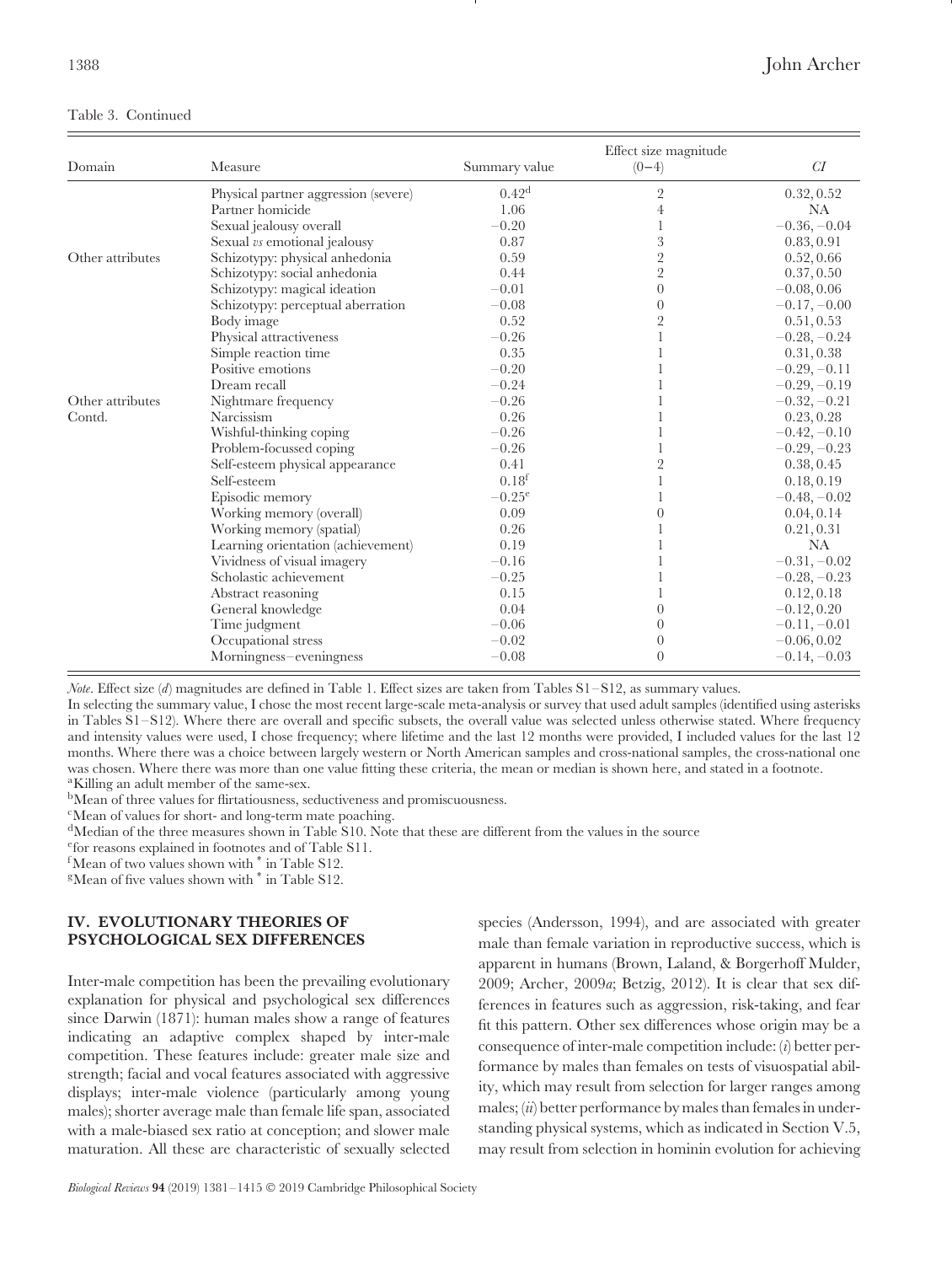## Table 3. Continued

| Domain           | Measure                              | Summary value     | Effect size magnitude<br>$(0-4)$ | CI             |
|------------------|--------------------------------------|-------------------|----------------------------------|----------------|
|                  | Physical partner aggression (severe) | 0.42 <sup>d</sup> | 2                                | 0.32, 0.52     |
|                  | Partner homicide                     | 1.06              | 4                                | <b>NA</b>      |
|                  | Sexual jealousy overall              | $-0.20$           |                                  | $-0.36, -0.04$ |
|                  | Sexual vs emotional jealousy         | 0.87              | 3                                | 0.83, 0.91     |
| Other attributes | Schizotypy: physical anhedonia       | 0.59              | $\overline{2}$                   | 0.52, 0.66     |
|                  | Schizotypy: social anhedonia         | 0.44              | $\overline{2}$                   | 0.37, 0.50     |
|                  | Schizotypy: magical ideation         | $-0.01$           | $\overline{0}$                   | $-0.08, 0.06$  |
|                  | Schizotypy: perceptual aberration    | $-0.08$           | $\theta$                         | $-0.17, -0.00$ |
|                  | Body image                           | 0.52              | $\overline{2}$                   | 0.51, 0.53     |
|                  | Physical attractiveness              | $-0.26$           |                                  | $-0.28, -0.24$ |
|                  | Simple reaction time                 | 0.35              |                                  | 0.31, 0.38     |
|                  | Positive emotions                    | $-0.20$           |                                  | $-0.29, -0.11$ |
|                  | Dream recall                         | $-0.24$           |                                  | $-0.29, -0.19$ |
| Other attributes | Nightmare frequency                  | $-0.26$           |                                  | $-0.32, -0.21$ |
| Contd.           | Narcissism                           | 0.26              |                                  | 0.23, 0.28     |
|                  | Wishful-thinking coping              | $-0.26$           |                                  | $-0.42, -0.10$ |
|                  | Problem-focussed coping              | $-0.26$           |                                  | $-0.29, -0.23$ |
|                  | Self-esteem physical appearance      | 0.41              | $\overline{2}$                   | 0.38, 0.45     |
|                  | Self-esteem                          | 0.18 <sup>f</sup> |                                  | 0.18, 0.19     |
|                  | Episodic memory                      | $-0.25^{\rm e}$   |                                  | $-0.48, -0.02$ |
|                  | Working memory (overall)             | 0.09              |                                  | 0.04, 0.14     |
|                  | Working memory (spatial)             | 0.26              |                                  | 0.21, 0.31     |
|                  | Learning orientation (achievement)   | 0.19              |                                  | NA             |
|                  | Vividness of visual imagery          | $-0.16$           |                                  | $-0.31, -0.02$ |
|                  | Scholastic achievement               | $-0.25$           |                                  | $-0.28, -0.23$ |
|                  | Abstract reasoning                   | 0.15              |                                  | 0.12, 0.18     |
|                  | General knowledge                    | 0.04              | $\theta$                         | $-0.12, 0.20$  |
|                  | Time judgment                        | $-0.06$           | $\Omega$                         | $-0.11, -0.01$ |
|                  | Occupational stress                  | $-0.02$           | 0                                | $-0.06, 0.02$  |
|                  | Morningness-eveningness              | $-0.08$           | $\Omega$                         | $-0.14, -0.03$ |

*Note*. Effect size (*d*) magnitudes are defined in Table 1. Effect sizes are taken from Tables S1–S12, as summary values.

In selecting the summary value, I chose the most recent large-scale meta-analysis or survey that used adult samples (identified using asterisks in Tables S1–S12). Where there are overall and specific subsets, the overall value was selected unless otherwise stated. Where frequency and intensity values were used, I chose frequency; where lifetime and the last 12 months were provided, I included values for the last 12 months. Where there was a choice between largely western or North American samples and cross-national samples, the cross-national one was chosen. Where there was more than one value fitting these criteria, the mean or median is shown here, and stated in a footnote. <sup>a</sup>Killing an adult member of the same-sex.

bMean of three values for flirtatiousness, seductiveness and promiscuousness.

cMean of values for short- and long-term mate poaching.

<sup>d</sup>Median of the three measures shown in Table S10. Note that these are different from the values in the source

efor reasons explained in footnotes and of Table S11.

 ${}^{\text{f}}$ Mean of two values shown with  ${}^*$  in Table S12.<br><sup>g</sup>Mean of five values shown with  ${}^*$  in Table S12.

## <span id="page-7-0"></span>**IV. EVOLUTIONARY THEORIES OF PSYCHOLOGICAL SEX DIFFERENCES**

Inter-male competition has been the prevailing evolutionary explanation for physical and psychological sex differences since Darwin (1871): human males show a range of features indicating an adaptive complex shaped by inter-male competition. These features include: greater male size and strength; facial and vocal features associated with aggressive displays; inter-male violence (particularly among young males); shorter average male than female life span, associated with a male-biased sex ratio at conception; and slower male maturation. All these are characteristic of sexually selected

species (Andersson, 1994), and are associated with greater male than female variation in reproductive success, which is apparent in humans (Brown, Laland, & Borgerhoff Mulder, 2009; Archer, 2009*a*; Betzig, 2012). It is clear that sex differences in features such as aggression, risk-taking, and fear fit this pattern. Other sex differences whose origin may be a consequence of inter-male competition include: (*i*) better performance by males than females on tests of visuospatial ability, which may result from selection for larger ranges among males; (*ii*) better performance by males than females in understanding physical systems, which as indicated in Section V.5, may result from selection in hominin evolution for achieving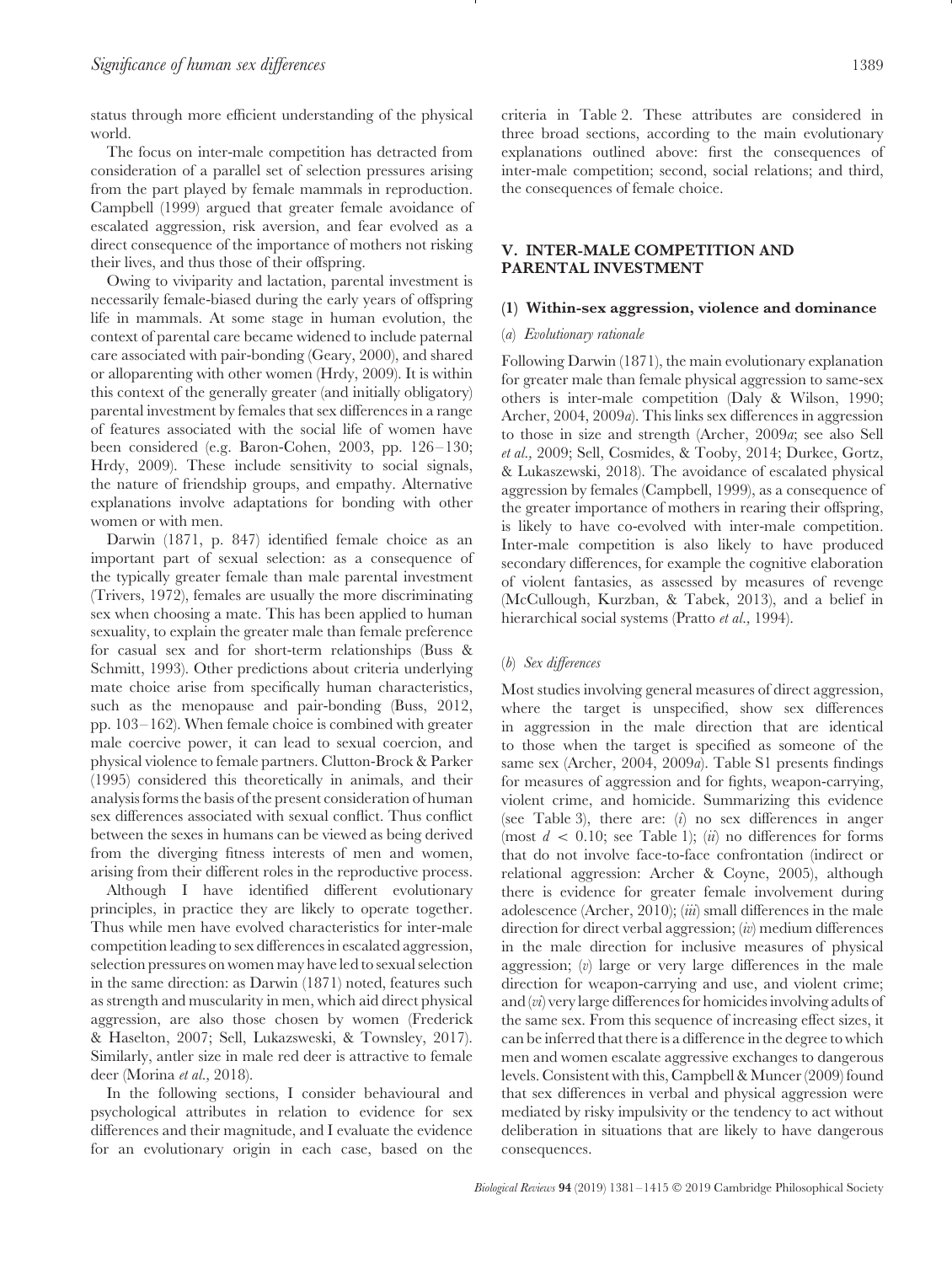status through more efficient understanding of the physical world.

The focus on inter-male competition has detracted from consideration of a parallel set of selection pressures arising from the part played by female mammals in reproduction. Campbell (1999) argued that greater female avoidance of escalated aggression, risk aversion, and fear evolved as a direct consequence of the importance of mothers not risking their lives, and thus those of their offspring.

Owing to viviparity and lactation, parental investment is necessarily female-biased during the early years of offspring life in mammals. At some stage in human evolution, the context of parental care became widened to include paternal care associated with pair-bonding (Geary, 2000), and shared or alloparenting with other women (Hrdy, 2009). It is within this context of the generally greater (and initially obligatory) parental investment by females that sex differences in a range of features associated with the social life of women have been considered (e.g. Baron-Cohen, 2003, pp. 126–130; Hrdy, 2009). These include sensitivity to social signals, the nature of friendship groups, and empathy. Alternative explanations involve adaptations for bonding with other women or with men.

Darwin (1871, p. 847) identified female choice as an important part of sexual selection: as a consequence of the typically greater female than male parental investment (Trivers, 1972), females are usually the more discriminating sex when choosing a mate. This has been applied to human sexuality, to explain the greater male than female preference for casual sex and for short-term relationships (Buss & Schmitt, 1993). Other predictions about criteria underlying mate choice arise from specifically human characteristics, such as the menopause and pair-bonding (Buss, 2012, pp. 103–162). When female choice is combined with greater male coercive power, it can lead to sexual coercion, and physical violence to female partners. Clutton-Brock & Parker (1995) considered this theoretically in animals, and their analysis forms the basis of the present consideration of human sex differences associated with sexual conflict. Thus conflict between the sexes in humans can be viewed as being derived from the diverging fitness interests of men and women, arising from their different roles in the reproductive process.

Although I have identified different evolutionary principles, in practice they are likely to operate together. Thus while men have evolved characteristics for inter-male competition leading to sex differences in escalated aggression, selection pressures on women may have led to sexual selection in the same direction: as Darwin (1871) noted, features such as strength and muscularity in men, which aid direct physical aggression, are also those chosen by women (Frederick & Haselton, 2007; Sell, Lukazsweski, & Townsley, 2017). Similarly, antler size in male red deer is attractive to female deer (Morina *et al.,* 2018).

In the following sections, I consider behavioural and psychological attributes in relation to evidence for sex differences and their magnitude, and I evaluate the evidence for an evolutionary origin in each case, based on the criteria in Table 2. These attributes are considered in three broad sections, according to the main evolutionary explanations outlined above: first the consequences of inter-male competition; second, social relations; and third, the consequences of female choice.

## <span id="page-8-0"></span>**V. INTER-MALE COMPETITION AND PARENTAL INVESTMENT**

#### <span id="page-8-2"></span><span id="page-8-1"></span>**(1) Within-sex aggression, violence and dominance**

#### (*a*) *Evolutionary rationale*

Following Darwin (1871), the main evolutionary explanation for greater male than female physical aggression to same-sex others is inter-male competition (Daly & Wilson, 1990; Archer, 2004, 2009*a*). This links sex differences in aggression to those in size and strength (Archer, 2009*a*; see also Sell *et al.,* 2009; Sell, Cosmides, & Tooby, 2014; Durkee, Gortz, & Lukaszewski, 2018). The avoidance of escalated physical aggression by females (Campbell, 1999), as a consequence of the greater importance of mothers in rearing their offspring, is likely to have co-evolved with inter-male competition. Inter-male competition is also likely to have produced secondary differences, for example the cognitive elaboration of violent fantasies, as assessed by measures of revenge (McCullough, Kurzban, & Tabek, 2013), and a belief in hierarchical social systems (Pratto *et al.,* 1994).

## <span id="page-8-3"></span>(*b*) *Sex differences*

Most studies involving general measures of direct aggression, where the target is unspecified, show sex differences in aggression in the male direction that are identical to those when the target is specified as someone of the same sex (Archer, 2004, 2009*a*). Table S1 presents findings for measures of aggression and for fights, weapon-carrying, violent crime, and homicide. Summarizing this evidence (see Table 3), there are: (*i*) no sex differences in anger (most  $d < 0.10$ ; see Table 1); *(ii)* no differences for forms that do not involve face-to-face confrontation (indirect or relational aggression: Archer & Coyne, 2005), although there is evidence for greater female involvement during adolescence (Archer, 2010); (*iii*) small differences in the male direction for direct verbal aggression; (*iv*) medium differences in the male direction for inclusive measures of physical aggression; (*v*) large or very large differences in the male direction for weapon-carrying and use, and violent crime; and (*vi*) very large differences for homicides involving adults of the same sex. From this sequence of increasing effect sizes, it can be inferred that there is a difference in the degree to which men and women escalate aggressive exchanges to dangerous levels. Consistent with this, Campbell & Muncer (2009) found that sex differences in verbal and physical aggression were mediated by risky impulsivity or the tendency to act without deliberation in situations that are likely to have dangerous consequences.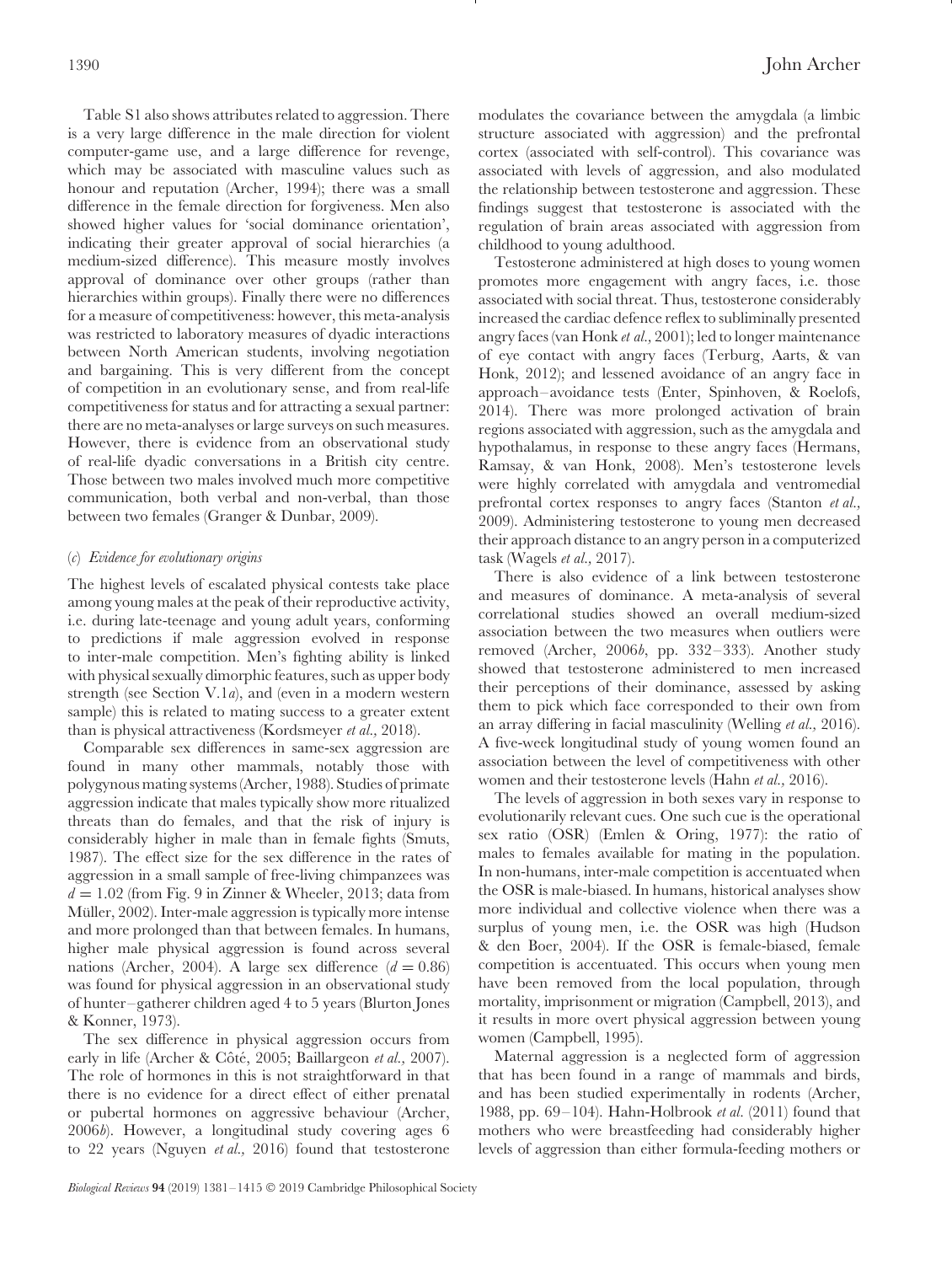Table S1 also shows attributes related to aggression. There is a very large difference in the male direction for violent computer-game use, and a large difference for revenge, which may be associated with masculine values such as honour and reputation (Archer, 1994); there was a small difference in the female direction for forgiveness. Men also showed higher values for 'social dominance orientation', indicating their greater approval of social hierarchies (a medium-sized difference). This measure mostly involves approval of dominance over other groups (rather than hierarchies within groups). Finally there were no differences for a measure of competitiveness: however, this meta-analysis was restricted to laboratory measures of dyadic interactions between North American students, involving negotiation and bargaining. This is very different from the concept of competition in an evolutionary sense, and from real-life competitiveness for status and for attracting a sexual partner: there are no meta-analyses or large surveys on such measures. However, there is evidence from an observational study of real-life dyadic conversations in a British city centre. Those between two males involved much more competitive communication, both verbal and non-verbal, than those between two females (Granger & Dunbar, 2009).

## <span id="page-9-0"></span>(*c*) *Evidence for evolutionary origins*

The highest levels of escalated physical contests take place among young males at the peak of their reproductive activity, i.e. during late-teenage and young adult years, conforming to predictions if male aggression evolved in response to inter-male competition. Men's fighting ability is linked with physical sexually dimorphic features, such as upper body strength (see Section V.1*a*), and (even in a modern western sample) this is related to mating success to a greater extent than is physical attractiveness (Kordsmeyer *et al.,* 2018).

Comparable sex differences in same-sex aggression are found in many other mammals, notably those with polygynous mating systems (Archer, 1988). Studies of primate aggression indicate that males typically show more ritualized threats than do females, and that the risk of injury is considerably higher in male than in female fights (Smuts, 1987). The effect size for the sex difference in the rates of aggression in a small sample of free-living chimpanzees was  $d = 1.02$  (from Fig. 9 in Zinner & Wheeler, 2013; data from Müller, 2002). Inter-male aggression is typically more intense and more prolonged than that between females. In humans, higher male physical aggression is found across several nations (Archer, 2004). A large sex difference  $(d = 0.86)$ was found for physical aggression in an observational study of hunter–gatherer children aged 4 to 5 years (Blurton Jones & Konner, 1973).

The sex difference in physical aggression occurs from early in life (Archer & Côté, 2005; Baillargeon *et al.*, 2007). The role of hormones in this is not straightforward in that there is no evidence for a direct effect of either prenatal or pubertal hormones on aggressive behaviour (Archer, 2006*b*). However, a longitudinal study covering ages 6 to 22 years (Nguyen *et al.,* 2016) found that testosterone modulates the covariance between the amygdala (a limbic structure associated with aggression) and the prefrontal cortex (associated with self-control). This covariance was associated with levels of aggression, and also modulated the relationship between testosterone and aggression. These findings suggest that testosterone is associated with the regulation of brain areas associated with aggression from childhood to young adulthood.

Testosterone administered at high doses to young women promotes more engagement with angry faces, i.e. those associated with social threat. Thus, testosterone considerably increased the cardiac defence reflex to subliminally presented angry faces (van Honk *et al.,* 2001); led to longer maintenance of eye contact with angry faces (Terburg, Aarts, & van Honk, 2012); and lessened avoidance of an angry face in approach–avoidance tests (Enter, Spinhoven, & Roelofs, 2014). There was more prolonged activation of brain regions associated with aggression, such as the amygdala and hypothalamus, in response to these angry faces (Hermans, Ramsay, & van Honk, 2008). Men's testosterone levels were highly correlated with amygdala and ventromedial prefrontal cortex responses to angry faces (Stanton *et al.,* 2009). Administering testosterone to young men decreased their approach distance to an angry person in a computerized task (Wagels *et al.,* 2017).

There is also evidence of a link between testosterone and measures of dominance. A meta-analysis of several correlational studies showed an overall medium-sized association between the two measures when outliers were removed (Archer, 2006*b*, pp. 332–333). Another study showed that testosterone administered to men increased their perceptions of their dominance, assessed by asking them to pick which face corresponded to their own from an array differing in facial masculinity (Welling *et al.,* 2016). A five-week longitudinal study of young women found an association between the level of competitiveness with other women and their testosterone levels (Hahn *et al.,* 2016).

The levels of aggression in both sexes vary in response to evolutionarily relevant cues. One such cue is the operational sex ratio (OSR) (Emlen & Oring, 1977): the ratio of males to females available for mating in the population. In non-humans, inter-male competition is accentuated when the OSR is male-biased. In humans, historical analyses show more individual and collective violence when there was a surplus of young men, i.e. the OSR was high (Hudson & den Boer, 2004). If the OSR is female-biased, female competition is accentuated. This occurs when young men have been removed from the local population, through mortality, imprisonment or migration (Campbell, 2013), and it results in more overt physical aggression between young women (Campbell, 1995).

Maternal aggression is a neglected form of aggression that has been found in a range of mammals and birds, and has been studied experimentally in rodents (Archer, 1988, pp. 69–104). Hahn-Holbrook *et al.* (2011) found that mothers who were breastfeeding had considerably higher levels of aggression than either formula-feeding mothers or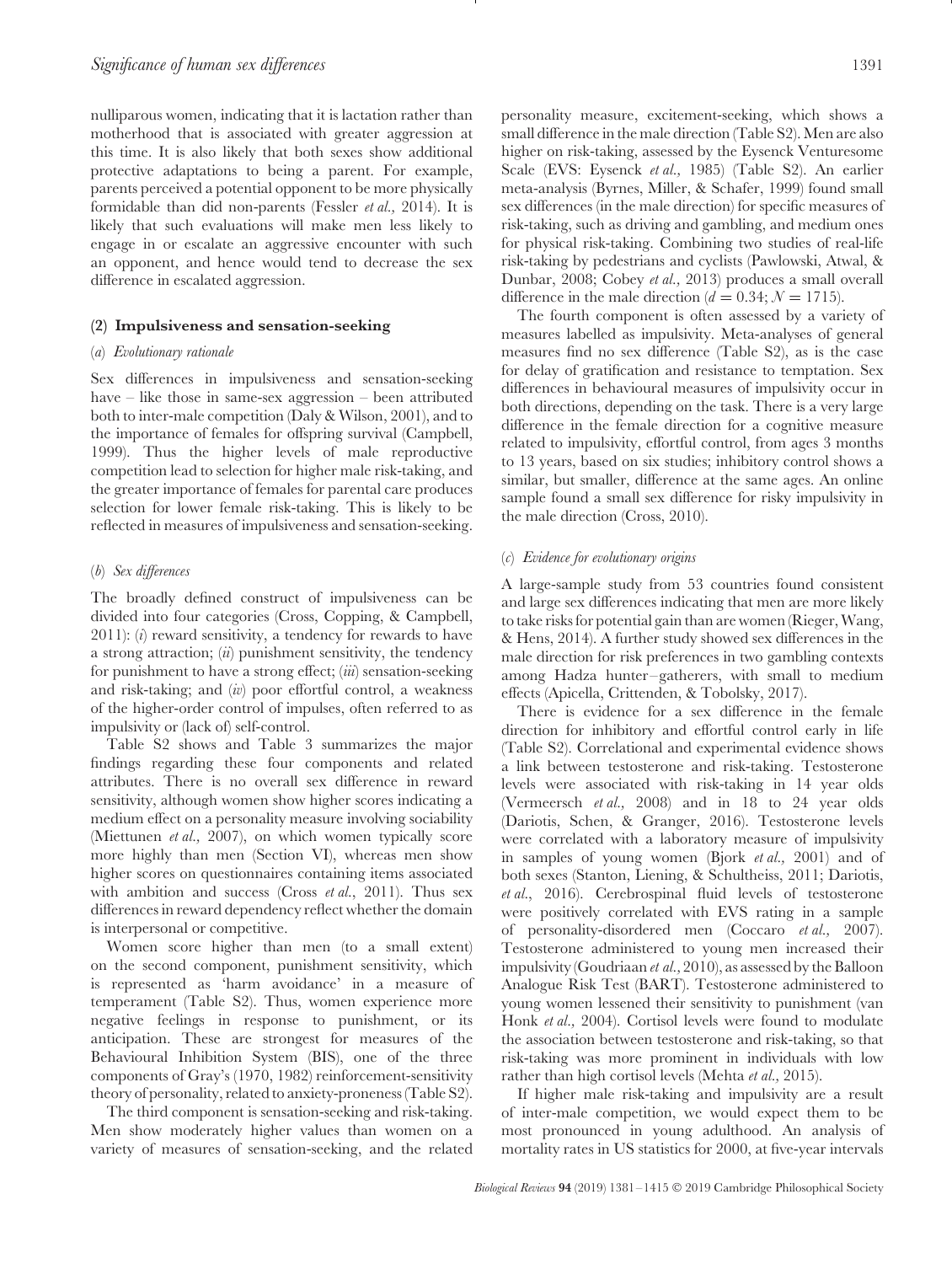nulliparous women, indicating that it is lactation rather than motherhood that is associated with greater aggression at this time. It is also likely that both sexes show additional protective adaptations to being a parent. For example, parents perceived a potential opponent to be more physically formidable than did non-parents (Fessler *et al.,* 2014). It is likely that such evaluations will make men less likely to engage in or escalate an aggressive encounter with such an opponent, and hence would tend to decrease the sex difference in escalated aggression.

#### <span id="page-10-1"></span><span id="page-10-0"></span>**(2) Impulsiveness and sensation-seeking**

#### (*a*) *Evolutionary rationale*

Sex differences in impulsiveness and sensation-seeking have – like those in same-sex aggression – been attributed both to inter-male competition (Daly & Wilson, 2001), and to the importance of females for offspring survival (Campbell, 1999). Thus the higher levels of male reproductive competition lead to selection for higher male risk-taking, and the greater importance of females for parental care produces selection for lower female risk-taking. This is likely to be reflected in measures of impulsiveness and sensation-seeking.

#### <span id="page-10-2"></span>(*b*) *Sex differences*

The broadly defined construct of impulsiveness can be divided into four categories (Cross, Copping, & Campbell, 2011): (*i*) reward sensitivity, a tendency for rewards to have a strong attraction; (*ii*) punishment sensitivity, the tendency for punishment to have a strong effect; (*iii*) sensation-seeking and risk-taking; and (*iv*) poor effortful control, a weakness of the higher-order control of impulses, often referred to as impulsivity or (lack of) self-control.

Table S2 shows and Table 3 summarizes the major findings regarding these four components and related attributes. There is no overall sex difference in reward sensitivity, although women show higher scores indicating a medium effect on a personality measure involving sociability (Miettunen *et al.,* 2007), on which women typically score more highly than men (Section VI), whereas men show higher scores on questionnaires containing items associated with ambition and success (Cross *et al.*, 2011). Thus sex differences in reward dependency reflect whether the domain is interpersonal or competitive.

Women score higher than men (to a small extent) on the second component, punishment sensitivity, which is represented as 'harm avoidance' in a measure of temperament (Table S2). Thus, women experience more negative feelings in response to punishment, or its anticipation. These are strongest for measures of the Behavioural Inhibition System (BIS), one of the three components of Gray's (1970, 1982) reinforcement-sensitivity theory of personality, related to anxiety-proneness (Table S2).

The third component is sensation-seeking and risk-taking. Men show moderately higher values than women on a variety of measures of sensation-seeking, and the related personality measure, excitement-seeking, which shows a small difference in the male direction (Table S2). Men are also higher on risk-taking, assessed by the Eysenck Venturesome Scale (EVS: Eysenck *et al.,* 1985) (Table S2). An earlier meta-analysis (Byrnes, Miller, & Schafer, 1999) found small sex differences (in the male direction) for specific measures of risk-taking, such as driving and gambling, and medium ones for physical risk-taking. Combining two studies of real-life risk-taking by pedestrians and cyclists (Pawlowski, Atwal, & Dunbar, 2008; Cobey *et al.,* 2013) produces a small overall difference in the male direction ( $d = 0.34$ ;  $\mathcal{N} = 1715$ ).

The fourth component is often assessed by a variety of measures labelled as impulsivity. Meta-analyses of general measures find no sex difference (Table S2), as is the case for delay of gratification and resistance to temptation. Sex differences in behavioural measures of impulsivity occur in both directions, depending on the task. There is a very large difference in the female direction for a cognitive measure related to impulsivity, effortful control, from ages 3 months to 13 years, based on six studies; inhibitory control shows a similar, but smaller, difference at the same ages. An online sample found a small sex difference for risky impulsivity in the male direction (Cross, 2010).

## <span id="page-10-3"></span>(*c*) *Evidence for evolutionary origins*

A large-sample study from 53 countries found consistent and large sex differences indicating that men are more likely to take risks for potential gain than are women (Rieger, Wang, & Hens, 2014). A further study showed sex differences in the male direction for risk preferences in two gambling contexts among Hadza hunter–gatherers, with small to medium effects (Apicella, Crittenden, & Tobolsky, 2017).

There is evidence for a sex difference in the female direction for inhibitory and effortful control early in life (Table S2). Correlational and experimental evidence shows a link between testosterone and risk-taking. Testosterone levels were associated with risk-taking in 14 year olds (Vermeersch *et al.,* 2008) and in 18 to 24 year olds (Dariotis, Schen, & Granger, 2016). Testosterone levels were correlated with a laboratory measure of impulsivity in samples of young women (Bjork *et al.,* 2001) and of both sexes (Stanton, Liening, & Schultheiss, 2011; Dariotis, *et al.*, 2016). Cerebrospinal fluid levels of testosterone were positively correlated with EVS rating in a sample of personality-disordered men (Coccaro *et al.,* 2007). Testosterone administered to young men increased their impulsivity (Goudriaan *et al.,* 2010), as assessed by the Balloon Analogue Risk Test (BART). Testosterone administered to young women lessened their sensitivity to punishment (van Honk *et al.,* 2004). Cortisol levels were found to modulate the association between testosterone and risk-taking, so that risk-taking was more prominent in individuals with low rather than high cortisol levels (Mehta *et al.,* 2015).

If higher male risk-taking and impulsivity are a result of inter-male competition, we would expect them to be most pronounced in young adulthood. An analysis of mortality rates in US statistics for 2000, at five-year intervals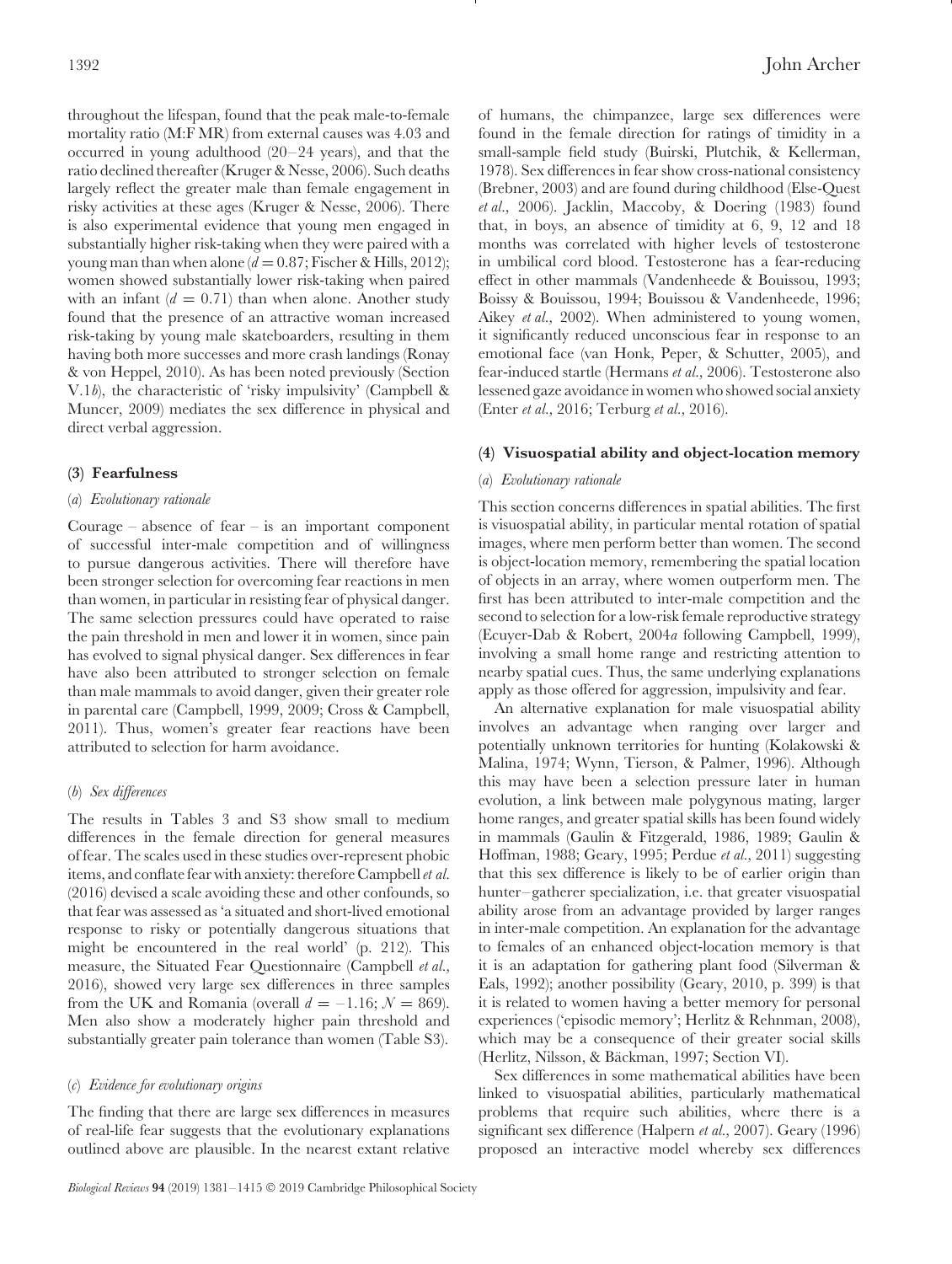throughout the lifespan, found that the peak male-to-female mortality ratio (M:F MR) from external causes was 4.03 and occurred in young adulthood (20–24 years), and that the ratio declined thereafter (Kruger & Nesse, 2006). Such deaths largely reflect the greater male than female engagement in risky activities at these ages (Kruger & Nesse, 2006). There is also experimental evidence that young men engaged in substantially higher risk-taking when they were paired with a young man than when alone  $(d = 0.87;$  Fischer & Hills, 2012); women showed substantially lower risk-taking when paired with an infant  $(d = 0.71)$  than when alone. Another study found that the presence of an attractive woman increased risk-taking by young male skateboarders, resulting in them having both more successes and more crash landings (Ronay & von Heppel, 2010). As has been noted previously (Section V.1*b*), the characteristic of 'risky impulsivity' (Campbell & Muncer, 2009) mediates the sex difference in physical and direct verbal aggression.

#### <span id="page-11-1"></span><span id="page-11-0"></span>**(3) Fearfulness**

#### (*a*) *Evolutionary rationale*

Courage – absence of fear – is an important component of successful inter-male competition and of willingness to pursue dangerous activities. There will therefore have been stronger selection for overcoming fear reactions in men than women, in particular in resisting fear of physical danger. The same selection pressures could have operated to raise the pain threshold in men and lower it in women, since pain has evolved to signal physical danger. Sex differences in fear have also been attributed to stronger selection on female than male mammals to avoid danger, given their greater role in parental care (Campbell, 1999, 2009; Cross & Campbell, 2011). Thus, women's greater fear reactions have been attributed to selection for harm avoidance.

## <span id="page-11-2"></span>(*b*) *Sex differences*

The results in Tables 3 and S3 show small to medium differences in the female direction for general measures of fear. The scales used in these studies over-represent phobic items, and conflate fear with anxiety: therefore Campbell *et al.* (2016) devised a scale avoiding these and other confounds, so that fear was assessed as 'a situated and short-lived emotional response to risky or potentially dangerous situations that might be encountered in the real world' (p. 212). This measure, the Situated Fear Questionnaire (Campbell *et al.,* 2016), showed very large sex differences in three samples from the UK and Romania (overall  $d = -1.16$ ;  $N = 869$ ). Men also show a moderately higher pain threshold and substantially greater pain tolerance than women (Table S3).

#### <span id="page-11-3"></span>(*c*) *Evidence for evolutionary origins*

The finding that there are large sex differences in measures of real-life fear suggests that the evolutionary explanations outlined above are plausible. In the nearest extant relative of humans, the chimpanzee, large sex differences were found in the female direction for ratings of timidity in a small-sample field study (Buirski, Plutchik, & Kellerman, 1978). Sex differences in fear show cross-national consistency (Brebner, 2003) and are found during childhood (Else-Quest *et al.,* 2006). Jacklin, Maccoby, & Doering (1983) found that, in boys, an absence of timidity at 6, 9, 12 and 18 months was correlated with higher levels of testosterone in umbilical cord blood. Testosterone has a fear-reducing effect in other mammals (Vandenheede & Bouissou, 1993; Boissy & Bouissou, 1994; Bouissou & Vandenheede, 1996; Aikey *et al.,* 2002). When administered to young women, it significantly reduced unconscious fear in response to an emotional face (van Honk, Peper, & Schutter, 2005), and fear-induced startle (Hermans *et al.,* 2006). Testosterone also lessened gaze avoidance in women who showed social anxiety (Enter *et al.,* 2016; Terburg *et al.,* 2016).

#### <span id="page-11-5"></span><span id="page-11-4"></span>**(4) Visuospatial ability and object-location memory**

#### (*a*) *Evolutionary rationale*

This section concerns differences in spatial abilities. The first is visuospatial ability, in particular mental rotation of spatial images, where men perform better than women. The second is object-location memory, remembering the spatial location of objects in an array, where women outperform men. The first has been attributed to inter-male competition and the second to selection for a low-risk female reproductive strategy (Ecuyer-Dab & Robert, 2004*a* following Campbell, 1999), involving a small home range and restricting attention to nearby spatial cues. Thus, the same underlying explanations apply as those offered for aggression, impulsivity and fear.

An alternative explanation for male visuospatial ability involves an advantage when ranging over larger and potentially unknown territories for hunting (Kolakowski & Malina, 1974; Wynn, Tierson, & Palmer, 1996). Although this may have been a selection pressure later in human evolution, a link between male polygynous mating, larger home ranges, and greater spatial skills has been found widely in mammals (Gaulin & Fitzgerald, 1986, 1989; Gaulin & Hoffman, 1988; Geary, 1995; Perdue *et al.,* 2011) suggesting that this sex difference is likely to be of earlier origin than hunter–gatherer specialization, i.e. that greater visuospatial ability arose from an advantage provided by larger ranges in inter-male competition. An explanation for the advantage to females of an enhanced object-location memory is that it is an adaptation for gathering plant food (Silverman & Eals, 1992); another possibility (Geary, 2010, p. 399) is that it is related to women having a better memory for personal experiences ('episodic memory'; Herlitz & Rehnman, 2008), which may be a consequence of their greater social skills (Herlitz, Nilsson, & Backman, 1997; Section VI). ¨

Sex differences in some mathematical abilities have been linked to visuospatial abilities, particularly mathematical problems that require such abilities, where there is a significant sex difference (Halpern *et al.,* 2007). Geary (1996) proposed an interactive model whereby sex differences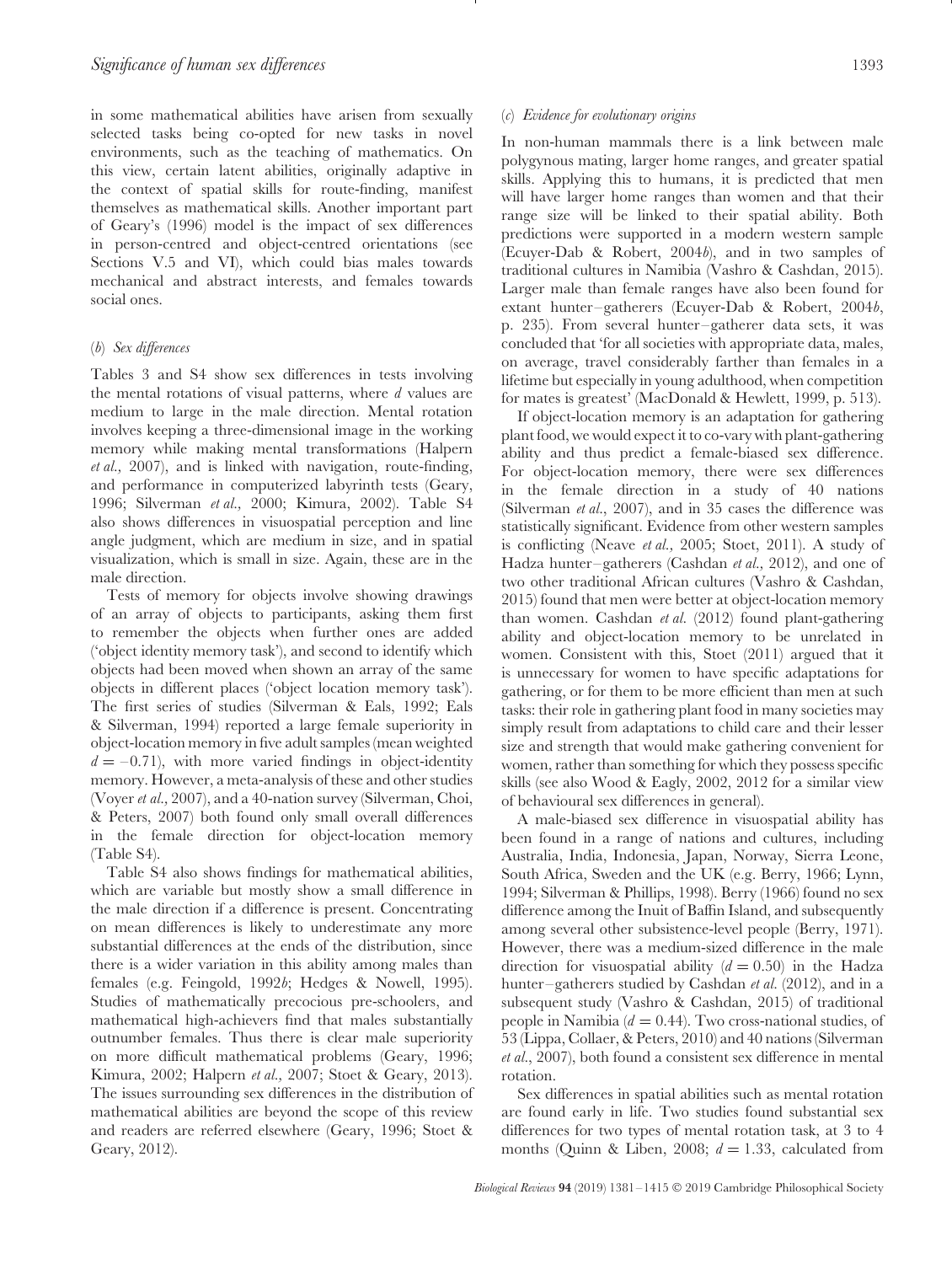in some mathematical abilities have arisen from sexually selected tasks being co-opted for new tasks in novel environments, such as the teaching of mathematics. On this view, certain latent abilities, originally adaptive in the context of spatial skills for route-finding, manifest themselves as mathematical skills. Another important part of Geary's (1996) model is the impact of sex differences in person-centred and object-centred orientations (see Sections V.5 and VI), which could bias males towards mechanical and abstract interests, and females towards social ones.

## <span id="page-12-0"></span>(*b*) *Sex differences*

Tables 3 and S4 show sex differences in tests involving the mental rotations of visual patterns, where *d* values are medium to large in the male direction. Mental rotation involves keeping a three-dimensional image in the working memory while making mental transformations (Halpern *et al.,* 2007), and is linked with navigation, route-finding, and performance in computerized labyrinth tests (Geary, 1996; Silverman *et al.,* 2000; Kimura, 2002). Table S4 also shows differences in visuospatial perception and line angle judgment, which are medium in size, and in spatial visualization, which is small in size. Again, these are in the male direction.

Tests of memory for objects involve showing drawings of an array of objects to participants, asking them first to remember the objects when further ones are added ('object identity memory task'), and second to identify which objects had been moved when shown an array of the same objects in different places ('object location memory task'). The first series of studies (Silverman & Eals, 1992; Eals & Silverman, 1994) reported a large female superiority in object-location memory in five adult samples (mean weighted  $d = -0.71$ , with more varied findings in object-identity memory. However, a meta-analysis of these and other studies (Voyer *et al.,* 2007), and a 40-nation survey (Silverman, Choi, & Peters, 2007) both found only small overall differences in the female direction for object-location memory (Table S4).

Table S4 also shows findings for mathematical abilities, which are variable but mostly show a small difference in the male direction if a difference is present. Concentrating on mean differences is likely to underestimate any more substantial differences at the ends of the distribution, since there is a wider variation in this ability among males than females (e.g. Feingold, 1992*b*; Hedges & Nowell, 1995). Studies of mathematically precocious pre-schoolers, and mathematical high-achievers find that males substantially outnumber females. Thus there is clear male superiority on more difficult mathematical problems (Geary, 1996; Kimura, 2002; Halpern *et al.,* 2007; Stoet & Geary, 2013). The issues surrounding sex differences in the distribution of mathematical abilities are beyond the scope of this review and readers are referred elsewhere (Geary, 1996; Stoet & Geary, 2012).

#### <span id="page-12-1"></span>(*c*) *Evidence for evolutionary origins*

In non-human mammals there is a link between male polygynous mating, larger home ranges, and greater spatial skills. Applying this to humans, it is predicted that men will have larger home ranges than women and that their range size will be linked to their spatial ability. Both predictions were supported in a modern western sample (Ecuyer-Dab & Robert, 2004*b*), and in two samples of traditional cultures in Namibia (Vashro & Cashdan, 2015). Larger male than female ranges have also been found for extant hunter–gatherers (Ecuyer-Dab & Robert, 2004*b*, p. 235). From several hunter–gatherer data sets, it was concluded that 'for all societies with appropriate data, males, on average, travel considerably farther than females in a lifetime but especially in young adulthood, when competition for mates is greatest' (MacDonald & Hewlett, 1999, p. 513).

If object-location memory is an adaptation for gathering plant food, we would expect it to co-vary with plant-gathering ability and thus predict a female-biased sex difference. For object-location memory, there were sex differences in the female direction in a study of 40 nations (Silverman *et al.*, 2007), and in 35 cases the difference was statistically significant. Evidence from other western samples is conflicting (Neave *et al.,* 2005; Stoet, 2011). A study of Hadza hunter–gatherers (Cashdan *et al.,* 2012), and one of two other traditional African cultures (Vashro & Cashdan, 2015) found that men were better at object-location memory than women. Cashdan *et al.* (2012) found plant-gathering ability and object-location memory to be unrelated in women. Consistent with this, Stoet (2011) argued that it is unnecessary for women to have specific adaptations for gathering, or for them to be more efficient than men at such tasks: their role in gathering plant food in many societies may simply result from adaptations to child care and their lesser size and strength that would make gathering convenient for women, rather than something for which they possess specific skills (see also Wood & Eagly, 2002, 2012 for a similar view of behavioural sex differences in general).

A male-biased sex difference in visuospatial ability has been found in a range of nations and cultures, including Australia, India, Indonesia, Japan, Norway, Sierra Leone, South Africa, Sweden and the UK (e.g. Berry, 1966; Lynn, 1994; Silverman & Phillips, 1998). Berry (1966) found no sex difference among the Inuit of Baffin Island, and subsequently among several other subsistence-level people (Berry, 1971). However, there was a medium-sized difference in the male direction for visuospatial ability  $(d = 0.50)$  in the Hadza hunter–gatherers studied by Cashdan *et al.* (2012), and in a subsequent study (Vashro & Cashdan, 2015) of traditional people in Namibia (*d* = 0.44). Two cross-national studies, of 53 (Lippa, Collaer, & Peters, 2010) and 40 nations (Silverman *et al.*, 2007), both found a consistent sex difference in mental rotation.

Sex differences in spatial abilities such as mental rotation are found early in life. Two studies found substantial sex differences for two types of mental rotation task, at 3 to 4 months (Quinn & Liben, 2008;  $d = 1.33$ , calculated from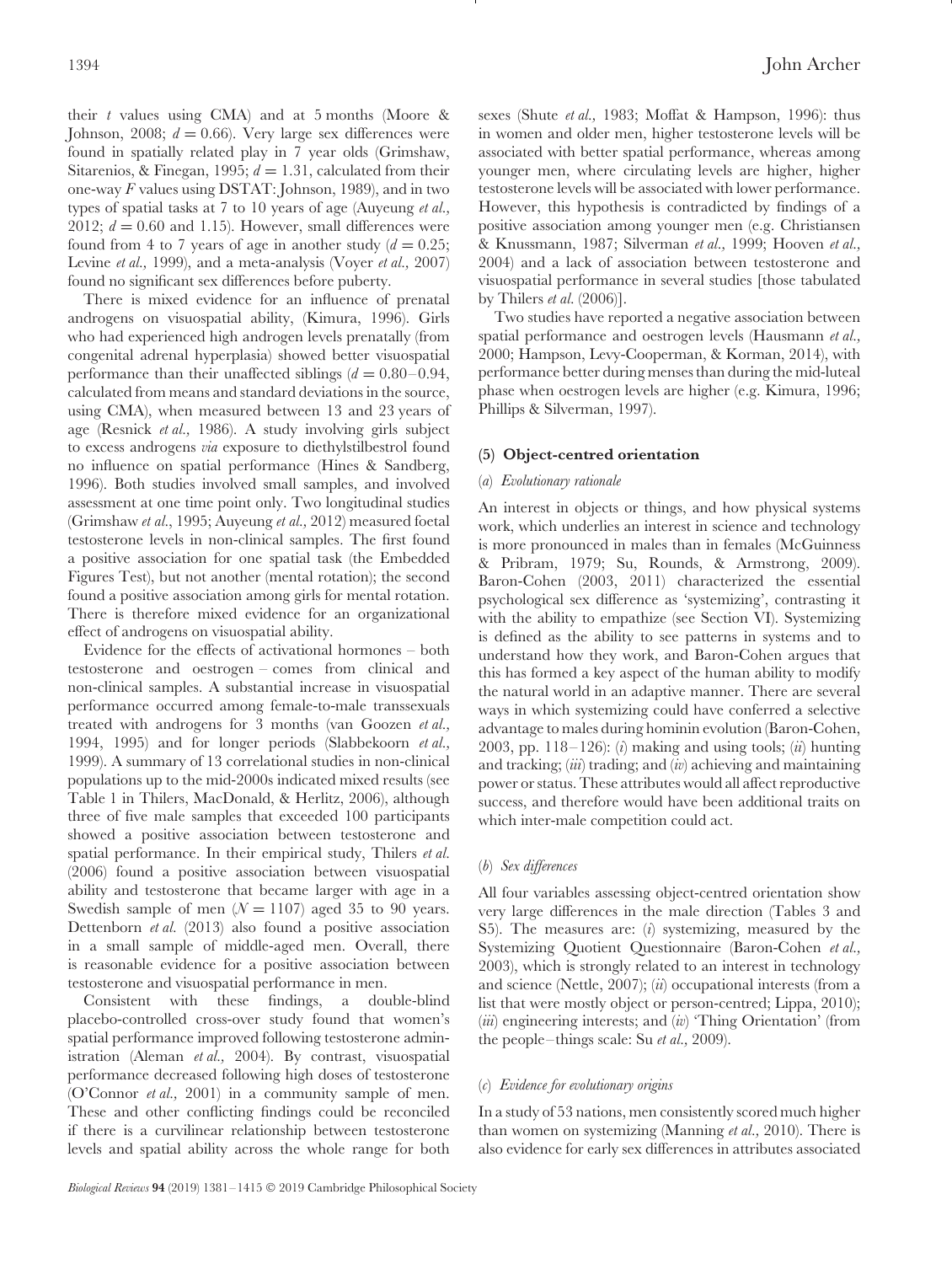their *t* values using CMA) and at 5 months (Moore & Johnson, 2008;  $d = 0.66$ ). Very large sex differences were found in spatially related play in 7 year olds (Grimshaw, Sitarenios, & Finegan, 1995;  $d = 1.31$ , calculated from their one-way *F* values using DSTAT: Johnson, 1989), and in two types of spatial tasks at 7 to 10 years of age (Auyeung *et al.,* 2012;  $d = 0.60$  and 1.15). However, small differences were found from 4 to 7 years of age in another study  $(d = 0.25)$ ; Levine *et al.,* 1999), and a meta-analysis (Voyer *et al.,* 2007) found no significant sex differences before puberty.

There is mixed evidence for an influence of prenatal androgens on visuospatial ability, (Kimura, 1996). Girls who had experienced high androgen levels prenatally (from congenital adrenal hyperplasia) showed better visuospatial performance than their unaffected siblings  $(d = 0.80 - 0.94,$ calculated from means and standard deviations in the source, using CMA), when measured between 13 and 23 years of age (Resnick *et al.,* 1986). A study involving girls subject to excess androgens *via* exposure to diethylstilbestrol found no influence on spatial performance (Hines & Sandberg, 1996). Both studies involved small samples, and involved assessment at one time point only. Two longitudinal studies (Grimshaw *et al.*, 1995; Auyeung *et al.,* 2012) measured foetal testosterone levels in non-clinical samples. The first found a positive association for one spatial task (the Embedded Figures Test), but not another (mental rotation); the second found a positive association among girls for mental rotation. There is therefore mixed evidence for an organizational effect of androgens on visuospatial ability.

Evidence for the effects of activational hormones – both testosterone and oestrogen – comes from clinical and non-clinical samples. A substantial increase in visuospatial performance occurred among female-to-male transsexuals treated with androgens for 3 months (van Goozen *et al.,* 1994, 1995) and for longer periods (Slabbekoorn *et al.,* 1999). A summary of 13 correlational studies in non-clinical populations up to the mid-2000s indicated mixed results (see Table 1 in Thilers, MacDonald, & Herlitz, 2006), although three of five male samples that exceeded 100 participants showed a positive association between testosterone and spatial performance. In their empirical study, Thilers *et al.* (2006) found a positive association between visuospatial ability and testosterone that became larger with age in a Swedish sample of men  $(N = 1107)$  aged 35 to 90 years. Dettenborn *et al.* (2013) also found a positive association in a small sample of middle-aged men. Overall, there is reasonable evidence for a positive association between testosterone and visuospatial performance in men.

Consistent with these findings, a double-blind placebo-controlled cross-over study found that women's spatial performance improved following testosterone administration (Aleman *et al.,* 2004). By contrast, visuospatial performance decreased following high doses of testosterone (O'Connor *et al.,* 2001) in a community sample of men. These and other conflicting findings could be reconciled if there is a curvilinear relationship between testosterone levels and spatial ability across the whole range for both sexes (Shute *et al.,* 1983; Moffat & Hampson, 1996): thus in women and older men, higher testosterone levels will be associated with better spatial performance, whereas among younger men, where circulating levels are higher, higher testosterone levels will be associated with lower performance. However, this hypothesis is contradicted by findings of a positive association among younger men (e.g. Christiansen & Knussmann, 1987; Silverman *et al.,* 1999; Hooven *et al.,* 2004) and a lack of association between testosterone and visuospatial performance in several studies [those tabulated by Thilers *et al.* (2006)].

Two studies have reported a negative association between spatial performance and oestrogen levels (Hausmann *et al.,* 2000; Hampson, Levy-Cooperman, & Korman, 2014), with performance better during menses than during the mid-luteal phase when oestrogen levels are higher (e.g. Kimura, 1996; Phillips & Silverman, 1997).

#### <span id="page-13-1"></span><span id="page-13-0"></span>**(5) Object-centred orientation**

## (*a*) *Evolutionary rationale*

An interest in objects or things, and how physical systems work, which underlies an interest in science and technology is more pronounced in males than in females (McGuinness & Pribram, 1979; Su, Rounds, & Armstrong, 2009). Baron-Cohen (2003, 2011) characterized the essential psychological sex difference as 'systemizing', contrasting it with the ability to empathize (see Section VI). Systemizing is defined as the ability to see patterns in systems and to understand how they work, and Baron-Cohen argues that this has formed a key aspect of the human ability to modify the natural world in an adaptive manner. There are several ways in which systemizing could have conferred a selective advantage to males during hominin evolution (Baron-Cohen, 2003, pp. 118–126): (*i*) making and using tools; (*ii*) hunting and tracking; (*iii*) trading; and (*iv*) achieving and maintaining power or status. These attributes would all affect reproductive success, and therefore would have been additional traits on which inter-male competition could act.

#### <span id="page-13-2"></span>(*b*) *Sex differences*

All four variables assessing object-centred orientation show very large differences in the male direction (Tables 3 and S5). The measures are: (*i*) systemizing, measured by the Systemizing Quotient Questionnaire (Baron-Cohen *et al.,* 2003), which is strongly related to an interest in technology and science (Nettle, 2007); (*ii*) occupational interests (from a list that were mostly object or person-centred; Lippa, 2010); (*iii*) engineering interests; and (*iv*) 'Thing Orientation' (from the people–things scale: Su *et al.,* 2009).

#### <span id="page-13-3"></span>(*c*) *Evidence for evolutionary origins*

In a study of 53 nations, men consistently scored much higher than women on systemizing (Manning *et al.,* 2010). There is also evidence for early sex differences in attributes associated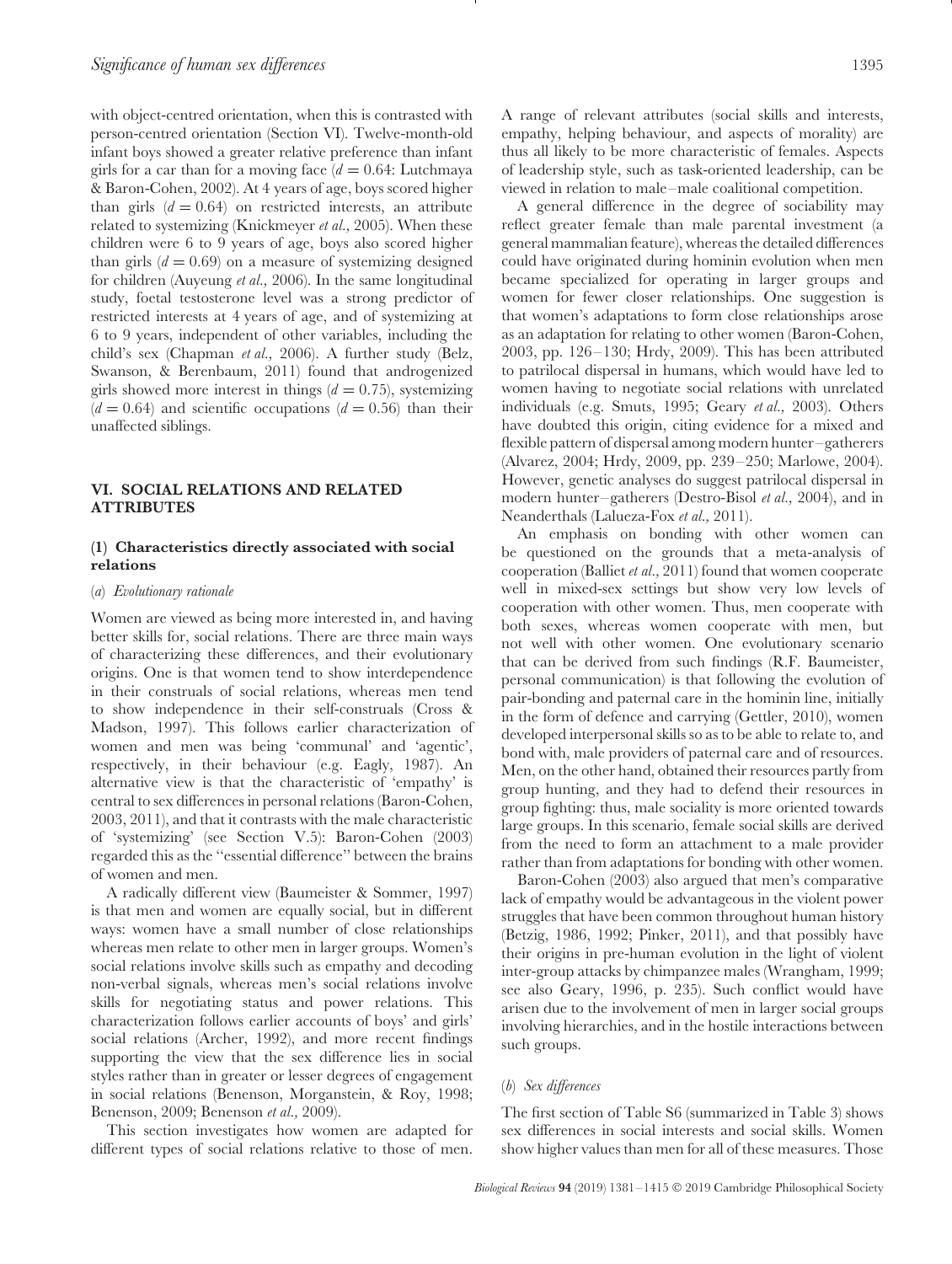with object-centred orientation, when this is contrasted with person-centred orientation (Section VI). Twelve-month-old infant boys showed a greater relative preference than infant girls for a car than for a moving face  $(d = 0.64$ : Lutchmaya & Baron-Cohen, 2002). At 4 years of age, boys scored higher than girls  $(d = 0.64)$  on restricted interests, an attribute related to systemizing (Knickmeyer *et al.,* 2005). When these children were 6 to 9 years of age, boys also scored higher than girls  $(d = 0.69)$  on a measure of systemizing designed for children (Auyeung *et al.,* 2006). In the same longitudinal study, foetal testosterone level was a strong predictor of restricted interests at 4 years of age, and of systemizing at 6 to 9 years, independent of other variables, including the child's sex (Chapman *et al.,* 2006). A further study (Belz, Swanson, & Berenbaum, 2011) found that androgenized girls showed more interest in things  $(d = 0.75)$ , systemizing  $(d = 0.64)$  and scientific occupations  $(d = 0.56)$  than their unaffected siblings.

## <span id="page-14-0"></span>**VI. SOCIAL RELATIONS AND RELATED ATTRIBUTES**

## <span id="page-14-1"></span>**(1) Characteristics directly associated with social relations**

#### <span id="page-14-2"></span>(*a*) *Evolutionary rationale*

Women are viewed as being more interested in, and having better skills for, social relations. There are three main ways of characterizing these differences, and their evolutionary origins. One is that women tend to show interdependence in their construals of social relations, whereas men tend to show independence in their self-construals (Cross & Madson, 1997). This follows earlier characterization of women and men was being 'communal' and 'agentic', respectively, in their behaviour (e.g. Eagly, 1987). An alternative view is that the characteristic of 'empathy' is central to sex differences in personal relations (Baron-Cohen, 2003, 2011), and that it contrasts with the male characteristic of 'systemizing' (see Section V.5): Baron-Cohen (2003) regarded this as the ''essential difference'' between the brains of women and men.

A radically different view (Baumeister & Sommer, 1997) is that men and women are equally social, but in different ways: women have a small number of close relationships whereas men relate to other men in larger groups. Women's social relations involve skills such as empathy and decoding non-verbal signals, whereas men's social relations involve skills for negotiating status and power relations. This characterization follows earlier accounts of boys' and girls' social relations (Archer, 1992), and more recent findings supporting the view that the sex difference lies in social styles rather than in greater or lesser degrees of engagement in social relations (Benenson, Morganstein, & Roy, 1998; Benenson, 2009; Benenson *et al.,* 2009).

This section investigates how women are adapted for different types of social relations relative to those of men.

viewed in relation to male–male coalitional competition. A general difference in the degree of sociability may reflect greater female than male parental investment (a general mammalian feature), whereas the detailed differences could have originated during hominin evolution when men became specialized for operating in larger groups and women for fewer closer relationships. One suggestion is that women's adaptations to form close relationships arose as an adaptation for relating to other women (Baron-Cohen, 2003, pp. 126–130; Hrdy, 2009). This has been attributed to patrilocal dispersal in humans, which would have led to women having to negotiate social relations with unrelated individuals (e.g. Smuts, 1995; Geary *et al.,* 2003). Others have doubted this origin, citing evidence for a mixed and flexible pattern of dispersal among modern hunter–gatherers (Alvarez, 2004; Hrdy, 2009, pp. 239–250; Marlowe, 2004). However, genetic analyses do suggest patrilocal dispersal in modern hunter–gatherers (Destro-Bisol *et al.,* 2004), and in Neanderthals (Lalueza-Fox *et al.,* 2011).

of leadership style, such as task-oriented leadership, can be

An emphasis on bonding with other women can be questioned on the grounds that a meta-analysis of cooperation (Balliet *et al.,* 2011) found that women cooperate well in mixed-sex settings but show very low levels of cooperation with other women. Thus, men cooperate with both sexes, whereas women cooperate with men, but not well with other women. One evolutionary scenario that can be derived from such findings (R.F. Baumeister, personal communication) is that following the evolution of pair-bonding and paternal care in the hominin line, initially in the form of defence and carrying (Gettler, 2010), women developed interpersonal skills so as to be able to relate to, and bond with, male providers of paternal care and of resources. Men, on the other hand, obtained their resources partly from group hunting, and they had to defend their resources in group fighting: thus, male sociality is more oriented towards large groups. In this scenario, female social skills are derived from the need to form an attachment to a male provider rather than from adaptations for bonding with other women.

Baron-Cohen (2003) also argued that men's comparative lack of empathy would be advantageous in the violent power struggles that have been common throughout human history (Betzig, 1986, 1992; Pinker, 2011), and that possibly have their origins in pre-human evolution in the light of violent inter-group attacks by chimpanzee males (Wrangham, 1999; see also Geary, 1996, p. 235). Such conflict would have arisen due to the involvement of men in larger social groups involving hierarchies, and in the hostile interactions between such groups.

#### <span id="page-14-3"></span>(*b*) *Sex differences*

The first section of Table S6 (summarized in Table 3) shows sex differences in social interests and social skills. Women show higher values than men for all of these measures. Those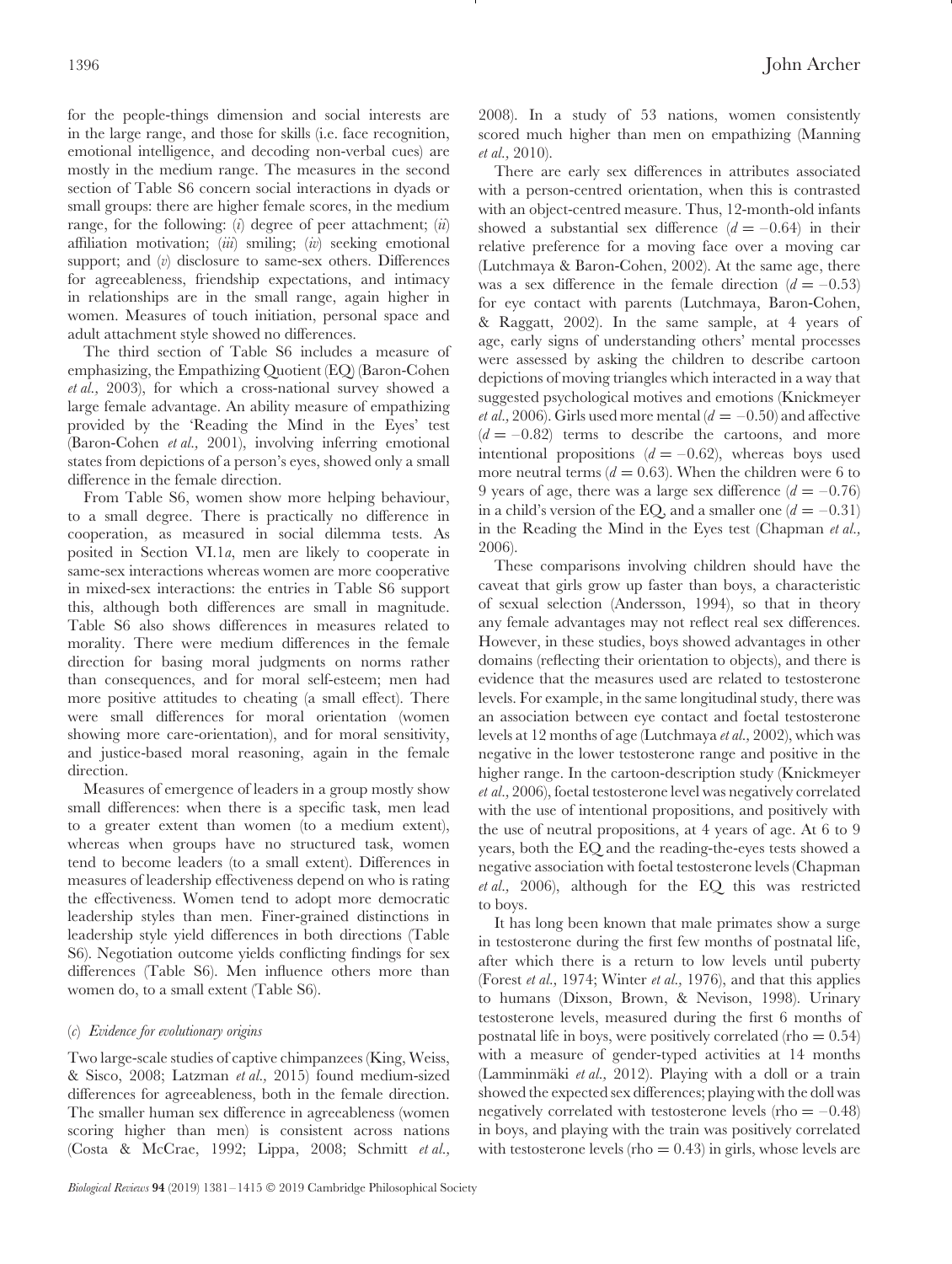for the people-things dimension and social interests are in the large range, and those for skills (i.e. face recognition, emotional intelligence, and decoding non-verbal cues) are mostly in the medium range. The measures in the second section of Table S6 concern social interactions in dyads or small groups: there are higher female scores, in the medium range, for the following: (*i*) degree of peer attachment; (*ii*) affiliation motivation; (*iii*) smiling; (*iv*) seeking emotional support; and (*v*) disclosure to same-sex others. Differences for agreeableness, friendship expectations, and intimacy in relationships are in the small range, again higher in women. Measures of touch initiation, personal space and adult attachment style showed no differences.

The third section of Table S6 includes a measure of emphasizing, the Empathizing Quotient (EQ) (Baron-Cohen *et al.,* 2003), for which a cross-national survey showed a large female advantage. An ability measure of empathizing provided by the 'Reading the Mind in the Eyes' test (Baron-Cohen *et al.,* 2001), involving inferring emotional states from depictions of a person's eyes, showed only a small difference in the female direction.

From Table S6, women show more helping behaviour, to a small degree. There is practically no difference in cooperation, as measured in social dilemma tests. As posited in Section VI.1*a*, men are likely to cooperate in same-sex interactions whereas women are more cooperative in mixed-sex interactions: the entries in Table S6 support this, although both differences are small in magnitude. Table S6 also shows differences in measures related to morality. There were medium differences in the female direction for basing moral judgments on norms rather than consequences, and for moral self-esteem; men had more positive attitudes to cheating (a small effect). There were small differences for moral orientation (women showing more care-orientation), and for moral sensitivity, and justice-based moral reasoning, again in the female direction.

Measures of emergence of leaders in a group mostly show small differences: when there is a specific task, men lead to a greater extent than women (to a medium extent), whereas when groups have no structured task, women tend to become leaders (to a small extent). Differences in measures of leadership effectiveness depend on who is rating the effectiveness. Women tend to adopt more democratic leadership styles than men. Finer-grained distinctions in leadership style yield differences in both directions (Table S6). Negotiation outcome yields conflicting findings for sex differences (Table S6). Men influence others more than women do, to a small extent (Table S6).

#### <span id="page-15-0"></span>(*c*) *Evidence for evolutionary origins*

Two large-scale studies of captive chimpanzees (King, Weiss, & Sisco, 2008; Latzman *et al.,* 2015) found medium-sized differences for agreeableness, both in the female direction. The smaller human sex difference in agreeableness (women scoring higher than men) is consistent across nations (Costa & McCrae, 1992; Lippa, 2008; Schmitt *et al.,* 2008). In a study of 53 nations, women consistently scored much higher than men on empathizing (Manning *et al.,* 2010).

There are early sex differences in attributes associated with a person-centred orientation, when this is contrasted with an object-centred measure. Thus, 12-month-old infants showed a substantial sex difference  $(d = -0.64)$  in their relative preference for a moving face over a moving car (Lutchmaya & Baron-Cohen, 2002). At the same age, there was a sex difference in the female direction  $(d = -0.53)$ for eye contact with parents (Lutchmaya, Baron-Cohen, & Raggatt, 2002). In the same sample, at 4 years of age, early signs of understanding others' mental processes were assessed by asking the children to describe cartoon depictions of moving triangles which interacted in a way that suggested psychological motives and emotions (Knickmeyer *et al.*, 2006). Girls used more mental ( $d = -0.50$ ) and affective  $(d = -0.82)$  terms to describe the cartoons, and more intentional propositions  $(d = -0.62)$ , whereas boys used more neutral terms  $(d = 0.63)$ . When the children were 6 to 9 years of age, there was a large sex difference  $(d = -0.76)$ in a child's version of the EQ, and a smaller one  $(d = -0.31)$ in the Reading the Mind in the Eyes test (Chapman *et al.,* 2006).

These comparisons involving children should have the caveat that girls grow up faster than boys, a characteristic of sexual selection (Andersson, 1994), so that in theory any female advantages may not reflect real sex differences. However, in these studies, boys showed advantages in other domains (reflecting their orientation to objects), and there is evidence that the measures used are related to testosterone levels. For example, in the same longitudinal study, there was an association between eye contact and foetal testosterone levels at 12 months of age (Lutchmaya *et al.,* 2002), which was negative in the lower testosterone range and positive in the higher range. In the cartoon-description study (Knickmeyer *et al.,* 2006), foetal testosterone level was negatively correlated with the use of intentional propositions, and positively with the use of neutral propositions, at 4 years of age. At 6 to 9 years, both the EQ and the reading-the-eyes tests showed a negative association with foetal testosterone levels (Chapman *et al.,* 2006), although for the EQ this was restricted to boys.

It has long been known that male primates show a surge in testosterone during the first few months of postnatal life, after which there is a return to low levels until puberty (Forest *et al.,* 1974; Winter *et al.,* 1976), and that this applies to humans (Dixson, Brown, & Nevison, 1998). Urinary testosterone levels, measured during the first 6 months of postnatal life in boys, were positively correlated (rho  $= 0.54$ ) with a measure of gender-typed activities at 14 months (Lamminmäki et al., 2012). Playing with a doll or a train showed the expected sex differences; playing with the doll was negatively correlated with testosterone levels (rho  $=$  -0.48) in boys, and playing with the train was positively correlated with testosterone levels (rho  $= 0.43$ ) in girls, whose levels are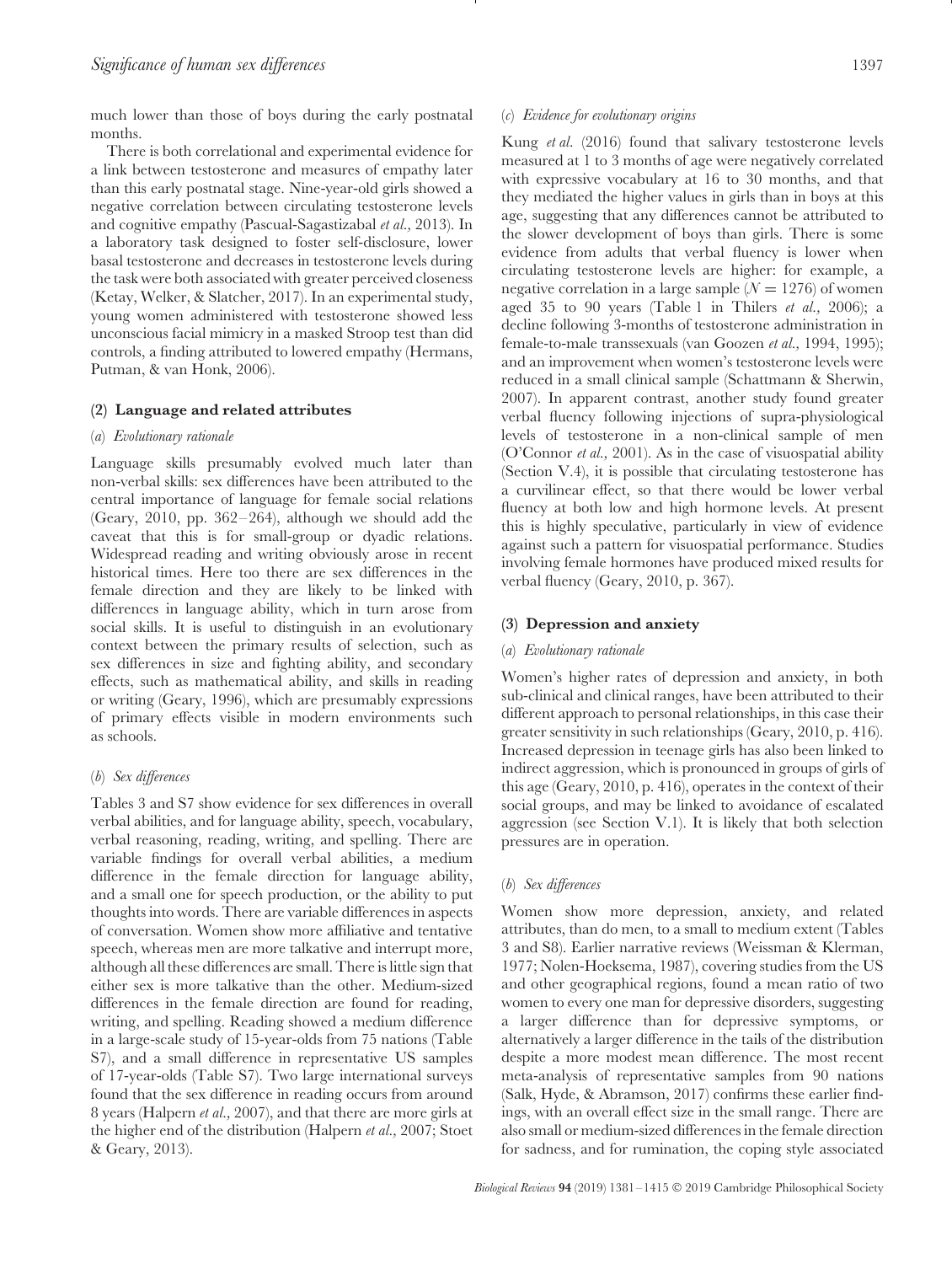much lower than those of boys during the early postnatal months.

There is both correlational and experimental evidence for a link between testosterone and measures of empathy later than this early postnatal stage. Nine-year-old girls showed a negative correlation between circulating testosterone levels and cognitive empathy (Pascual-Sagastizabal *et al.,* 2013). In a laboratory task designed to foster self-disclosure, lower basal testosterone and decreases in testosterone levels during the task were both associated with greater perceived closeness (Ketay, Welker, & Slatcher, 2017). In an experimental study, young women administered with testosterone showed less unconscious facial mimicry in a masked Stroop test than did controls, a finding attributed to lowered empathy (Hermans, Putman, & van Honk, 2006).

#### <span id="page-16-1"></span><span id="page-16-0"></span>**(2) Language and related attributes**

#### (*a*) *Evolutionary rationale*

Language skills presumably evolved much later than non-verbal skills: sex differences have been attributed to the central importance of language for female social relations (Geary, 2010, pp. 362–264), although we should add the caveat that this is for small-group or dyadic relations. Widespread reading and writing obviously arose in recent historical times. Here too there are sex differences in the female direction and they are likely to be linked with differences in language ability, which in turn arose from social skills. It is useful to distinguish in an evolutionary context between the primary results of selection, such as sex differences in size and fighting ability, and secondary effects, such as mathematical ability, and skills in reading or writing (Geary, 1996), which are presumably expressions of primary effects visible in modern environments such as schools.

## <span id="page-16-2"></span>(*b*) *Sex differences*

Tables 3 and S7 show evidence for sex differences in overall verbal abilities, and for language ability, speech, vocabulary, verbal reasoning, reading, writing, and spelling. There are variable findings for overall verbal abilities, a medium difference in the female direction for language ability, and a small one for speech production, or the ability to put thoughts into words. There are variable differences in aspects of conversation. Women show more affiliative and tentative speech, whereas men are more talkative and interrupt more, although all these differences are small. There is little sign that either sex is more talkative than the other. Medium-sized differences in the female direction are found for reading, writing, and spelling. Reading showed a medium difference in a large-scale study of 15-year-olds from 75 nations (Table S7), and a small difference in representative US samples of 17-year-olds (Table S7). Two large international surveys found that the sex difference in reading occurs from around 8 years (Halpern *et al.,* 2007), and that there are more girls at the higher end of the distribution (Halpern *et al.,* 2007; Stoet & Geary, 2013).

#### <span id="page-16-3"></span>(*c*) *Evidence for evolutionary origins*

Kung *et al.* (2016) found that salivary testosterone levels measured at 1 to 3 months of age were negatively correlated with expressive vocabulary at 16 to 30 months, and that they mediated the higher values in girls than in boys at this age, suggesting that any differences cannot be attributed to the slower development of boys than girls. There is some evidence from adults that verbal fluency is lower when circulating testosterone levels are higher: for example, a negative correlation in a large sample  $(N = 1276)$  of women aged 35 to 90 years (Table 1 in Thilers *et al.,* 2006); a decline following 3-months of testosterone administration in female-to-male transsexuals (van Goozen *et al.,* 1994, 1995); and an improvement when women's testosterone levels were reduced in a small clinical sample (Schattmann & Sherwin, 2007). In apparent contrast, another study found greater verbal fluency following injections of supra-physiological levels of testosterone in a non-clinical sample of men (O'Connor *et al.,* 2001). As in the case of visuospatial ability (Section V.4), it is possible that circulating testosterone has a curvilinear effect, so that there would be lower verbal fluency at both low and high hormone levels. At present this is highly speculative, particularly in view of evidence against such a pattern for visuospatial performance. Studies involving female hormones have produced mixed results for verbal fluency (Geary, 2010, p. 367).

#### <span id="page-16-5"></span><span id="page-16-4"></span>**(3) Depression and anxiety**

#### (*a*) *Evolutionary rationale*

Women's higher rates of depression and anxiety, in both sub-clinical and clinical ranges, have been attributed to their different approach to personal relationships, in this case their greater sensitivity in such relationships (Geary, 2010, p. 416). Increased depression in teenage girls has also been linked to indirect aggression, which is pronounced in groups of girls of this age (Geary, 2010, p. 416), operates in the context of their social groups, and may be linked to avoidance of escalated aggression (see Section V.1). It is likely that both selection pressures are in operation.

#### <span id="page-16-6"></span>(*b*) *Sex differences*

Women show more depression, anxiety, and related attributes, than do men, to a small to medium extent (Tables 3 and S8). Earlier narrative reviews (Weissman & Klerman, 1977; Nolen-Hoeksema, 1987), covering studies from the US and other geographical regions, found a mean ratio of two women to every one man for depressive disorders, suggesting a larger difference than for depressive symptoms, or alternatively a larger difference in the tails of the distribution despite a more modest mean difference. The most recent meta-analysis of representative samples from 90 nations (Salk, Hyde, & Abramson, 2017) confirms these earlier findings, with an overall effect size in the small range. There are also small or medium-sized differences in the female direction for sadness, and for rumination, the coping style associated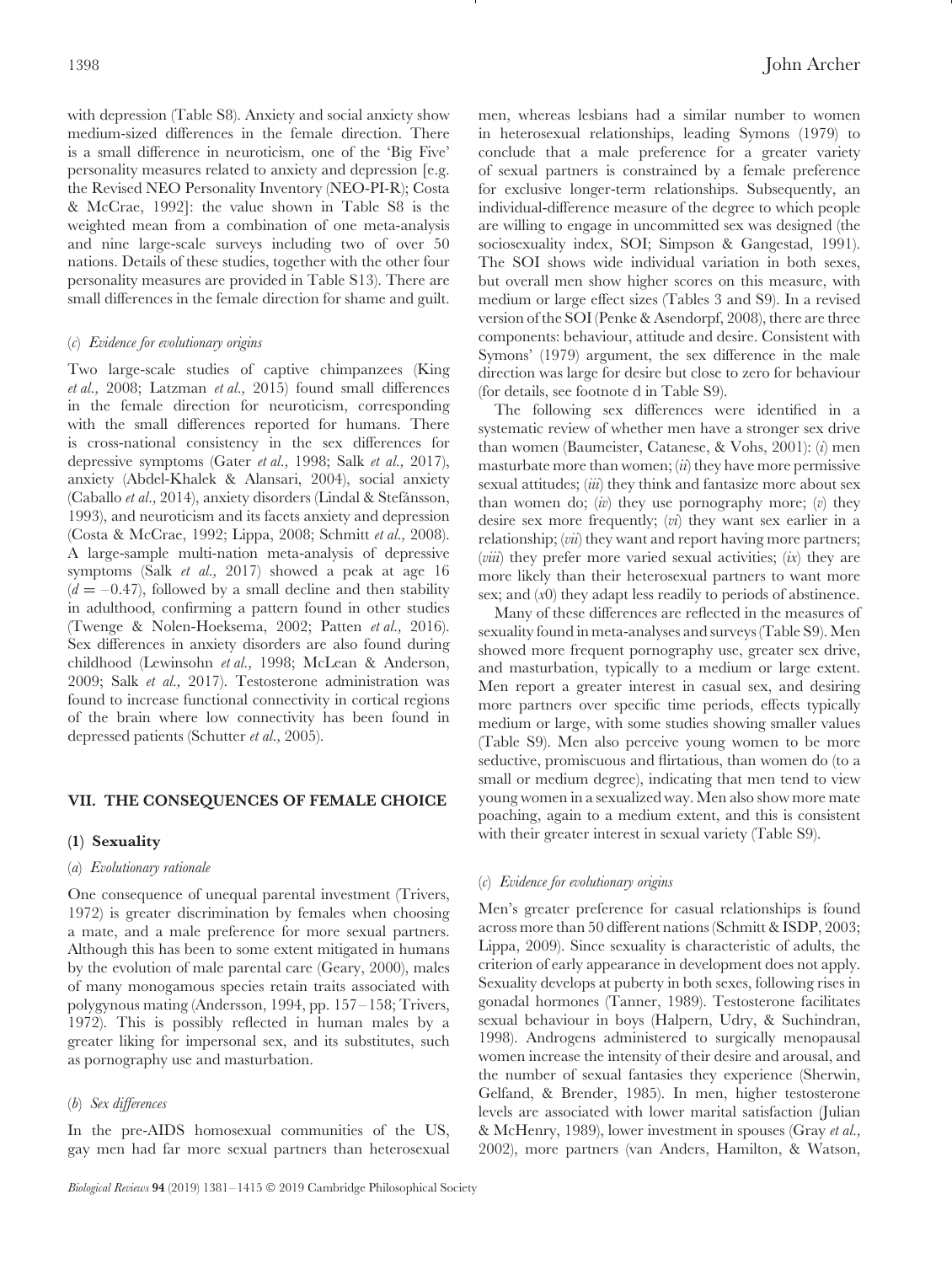with depression (Table S8). Anxiety and social anxiety show medium-sized differences in the female direction. There is a small difference in neuroticism, one of the 'Big Five' personality measures related to anxiety and depression [e.g. the Revised NEO Personality Inventory (NEO-PI-R); Costa & McCrae, 1992]: the value shown in Table S8 is the weighted mean from a combination of one meta-analysis and nine large-scale surveys including two of over 50 nations. Details of these studies, together with the other four personality measures are provided in Table S13). There are small differences in the female direction for shame and guilt.

#### <span id="page-17-0"></span>(*c*) *Evidence for evolutionary origins*

Two large-scale studies of captive chimpanzees (King *et al.,* 2008; Latzman *et al.,* 2015) found small differences in the female direction for neuroticism, corresponding with the small differences reported for humans. There is cross-national consistency in the sex differences for depressive symptoms (Gater *et al.,* 1998; Salk *et al.,* 2017), anxiety (Abdel-Khalek & Alansari, 2004), social anxiety (Caballo et al., 2014), anxiety disorders (Lindal & Stefánsson, 1993), and neuroticism and its facets anxiety and depression (Costa & McCrae, 1992; Lippa, 2008; Schmitt *et al.,* 2008). A large-sample multi-nation meta-analysis of depressive symptoms (Salk *et al.,* 2017) showed a peak at age 16  $(d = -0.47)$ , followed by a small decline and then stability in adulthood, confirming a pattern found in other studies (Twenge & Nolen-Hoeksema, 2002; Patten *et al.,* 2016). Sex differences in anxiety disorders are also found during childhood (Lewinsohn *et al.,* 1998; McLean & Anderson, 2009; Salk *et al.,* 2017). Testosterone administration was found to increase functional connectivity in cortical regions of the brain where low connectivity has been found in depressed patients (Schutter *et al.,* 2005).

## <span id="page-17-1"></span>**VII. THE CONSEQUENCES OF FEMALE CHOICE**

#### <span id="page-17-3"></span><span id="page-17-2"></span>**(1) Sexuality**

#### (*a*) *Evolutionary rationale*

One consequence of unequal parental investment (Trivers, 1972) is greater discrimination by females when choosing a mate, and a male preference for more sexual partners. Although this has been to some extent mitigated in humans by the evolution of male parental care (Geary, 2000), males of many monogamous species retain traits associated with polygynous mating (Andersson, 1994, pp. 157–158; Trivers, 1972). This is possibly reflected in human males by a greater liking for impersonal sex, and its substitutes, such as pornography use and masturbation.

#### <span id="page-17-4"></span>(*b*) *Sex differences*

In the pre-AIDS homosexual communities of the US, gay men had far more sexual partners than heterosexual men, whereas lesbians had a similar number to women in heterosexual relationships, leading Symons (1979) to conclude that a male preference for a greater variety of sexual partners is constrained by a female preference for exclusive longer-term relationships. Subsequently, an individual-difference measure of the degree to which people are willing to engage in uncommitted sex was designed (the sociosexuality index, SOI; Simpson & Gangestad, 1991). The SOI shows wide individual variation in both sexes, but overall men show higher scores on this measure, with medium or large effect sizes (Tables 3 and S9). In a revised version of the SOI (Penke & Asendorpf, 2008), there are three components: behaviour, attitude and desire. Consistent with Symons' (1979) argument, the sex difference in the male direction was large for desire but close to zero for behaviour (for details, see footnote d in Table S9).

The following sex differences were identified in a systematic review of whether men have a stronger sex drive than women (Baumeister, Catanese, & Vohs, 2001): (*i*) men masturbate more than women; (*ii*) they have more permissive sexual attitudes; (*iii*) they think and fantasize more about sex than women do; (*iv*) they use pornography more; (*v*) they desire sex more frequently; (*vi*) they want sex earlier in a relationship; (*vii*) they want and report having more partners; (*viii*) they prefer more varied sexual activities; (*ix*) they are more likely than their heterosexual partners to want more sex; and (*x*0) they adapt less readily to periods of abstinence.

Many of these differences are reflected in the measures of sexuality found in meta-analyses and surveys (Table S9). Men showed more frequent pornography use, greater sex drive, and masturbation, typically to a medium or large extent. Men report a greater interest in casual sex, and desiring more partners over specific time periods, effects typically medium or large, with some studies showing smaller values (Table S9). Men also perceive young women to be more seductive, promiscuous and flirtatious, than women do (to a small or medium degree), indicating that men tend to view young women in a sexualized way. Men also show more mate poaching, again to a medium extent, and this is consistent with their greater interest in sexual variety (Table S9).

#### <span id="page-17-5"></span>(*c*) *Evidence for evolutionary origins*

Men's greater preference for casual relationships is found across more than 50 different nations (Schmitt & ISDP, 2003; Lippa, 2009). Since sexuality is characteristic of adults, the criterion of early appearance in development does not apply. Sexuality develops at puberty in both sexes, following rises in gonadal hormones (Tanner, 1989). Testosterone facilitates sexual behaviour in boys (Halpern, Udry, & Suchindran, 1998). Androgens administered to surgically menopausal women increase the intensity of their desire and arousal, and the number of sexual fantasies they experience (Sherwin, Gelfand, & Brender, 1985). In men, higher testosterone levels are associated with lower marital satisfaction (Julian & McHenry, 1989), lower investment in spouses (Gray *et al.,* 2002), more partners (van Anders, Hamilton, & Watson,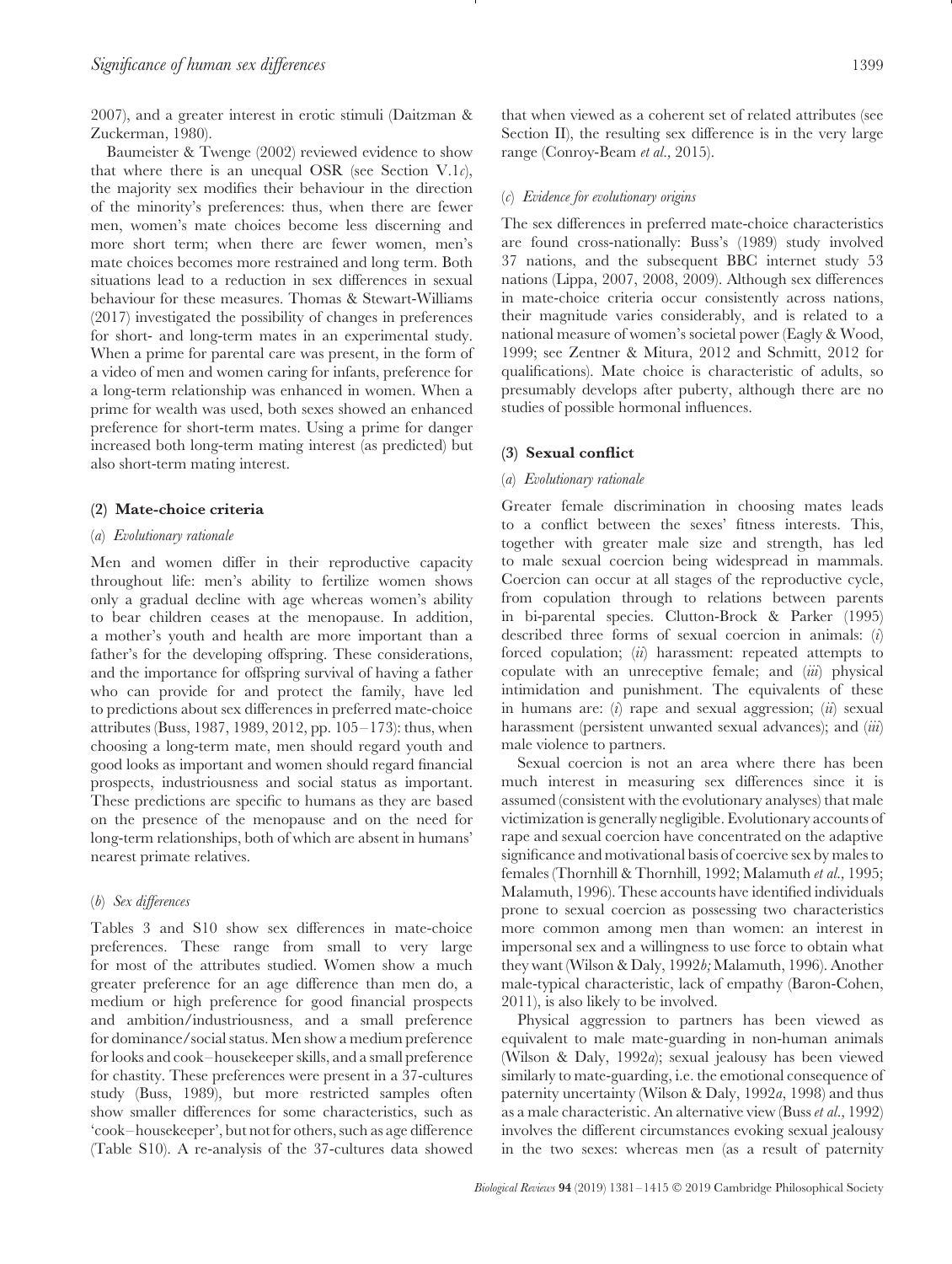2007), and a greater interest in erotic stimuli (Daitzman & Zuckerman, 1980).

Baumeister & Twenge (2002) reviewed evidence to show that where there is an unequal OSR (see Section V.1*c*), the majority sex modifies their behaviour in the direction of the minority's preferences: thus, when there are fewer men, women's mate choices become less discerning and more short term; when there are fewer women, men's mate choices becomes more restrained and long term. Both situations lead to a reduction in sex differences in sexual behaviour for these measures. Thomas & Stewart-Williams (2017) investigated the possibility of changes in preferences for short- and long-term mates in an experimental study. When a prime for parental care was present, in the form of a video of men and women caring for infants, preference for a long-term relationship was enhanced in women. When a prime for wealth was used, both sexes showed an enhanced preference for short-term mates. Using a prime for danger increased both long-term mating interest (as predicted) but also short-term mating interest.

#### <span id="page-18-1"></span><span id="page-18-0"></span>**(2) Mate-choice criteria**

#### (*a*) *Evolutionary rationale*

Men and women differ in their reproductive capacity throughout life: men's ability to fertilize women shows only a gradual decline with age whereas women's ability to bear children ceases at the menopause. In addition, a mother's youth and health are more important than a father's for the developing offspring. These considerations, and the importance for offspring survival of having a father who can provide for and protect the family, have led to predictions about sex differences in preferred mate-choice attributes (Buss, 1987, 1989, 2012, pp. 105–173): thus, when choosing a long-term mate, men should regard youth and good looks as important and women should regard financial prospects, industriousness and social status as important. These predictions are specific to humans as they are based on the presence of the menopause and on the need for long-term relationships, both of which are absent in humans' nearest primate relatives.

#### <span id="page-18-2"></span>(*b*) *Sex differences*

Tables 3 and S10 show sex differences in mate-choice preferences. These range from small to very large for most of the attributes studied. Women show a much greater preference for an age difference than men do, a medium or high preference for good financial prospects and ambition/industriousness, and a small preference for dominance/social status. Men show a medium preference for looks and cook–housekeeper skills, and a small preference for chastity. These preferences were present in a 37-cultures study (Buss, 1989), but more restricted samples often show smaller differences for some characteristics, such as 'cook–housekeeper', but not for others, such as age difference (Table S10). A re-analysis of the 37-cultures data showed that when viewed as a coherent set of related attributes (see Section II), the resulting sex difference is in the very large range (Conroy-Beam *et al.,* 2015).

#### <span id="page-18-3"></span>(*c*) *Evidence for evolutionary origins*

The sex differences in preferred mate-choice characteristics are found cross-nationally: Buss's (1989) study involved 37 nations, and the subsequent BBC internet study 53 nations (Lippa, 2007, 2008, 2009). Although sex differences in mate-choice criteria occur consistently across nations, their magnitude varies considerably, and is related to a national measure of women's societal power (Eagly & Wood, 1999; see Zentner & Mitura, 2012 and Schmitt, 2012 for qualifications). Mate choice is characteristic of adults, so presumably develops after puberty, although there are no studies of possible hormonal influences.

#### <span id="page-18-5"></span><span id="page-18-4"></span>**(3) Sexual conflict**

#### (*a*) *Evolutionary rationale*

Greater female discrimination in choosing mates leads to a conflict between the sexes' fitness interests. This, together with greater male size and strength, has led to male sexual coercion being widespread in mammals. Coercion can occur at all stages of the reproductive cycle, from copulation through to relations between parents in bi-parental species. Clutton-Brock & Parker (1995) described three forms of sexual coercion in animals: (*i*) forced copulation; (*ii*) harassment: repeated attempts to copulate with an unreceptive female; and (*iii*) physical intimidation and punishment. The equivalents of these in humans are: (*i*) rape and sexual aggression; (*ii*) sexual harassment (persistent unwanted sexual advances); and (*iii*) male violence to partners.

Sexual coercion is not an area where there has been much interest in measuring sex differences since it is assumed (consistent with the evolutionary analyses) that male victimization is generally negligible. Evolutionary accounts of rape and sexual coercion have concentrated on the adaptive significance and motivational basis of coercive sex by males to females (Thornhill & Thornhill, 1992; Malamuth *et al.,* 1995; Malamuth, 1996). These accounts have identified individuals prone to sexual coercion as possessing two characteristics more common among men than women: an interest in impersonal sex and a willingness to use force to obtain what they want (Wilson & Daly, 1992*b;* Malamuth, 1996). Another male-typical characteristic, lack of empathy (Baron-Cohen, 2011), is also likely to be involved.

Physical aggression to partners has been viewed as equivalent to male mate-guarding in non-human animals (Wilson & Daly, 1992*a*); sexual jealousy has been viewed similarly to mate-guarding, i.e. the emotional consequence of paternity uncertainty (Wilson & Daly, 1992*a*, 1998) and thus as a male characteristic. An alternative view (Buss *et al.,* 1992) involves the different circumstances evoking sexual jealousy in the two sexes: whereas men (as a result of paternity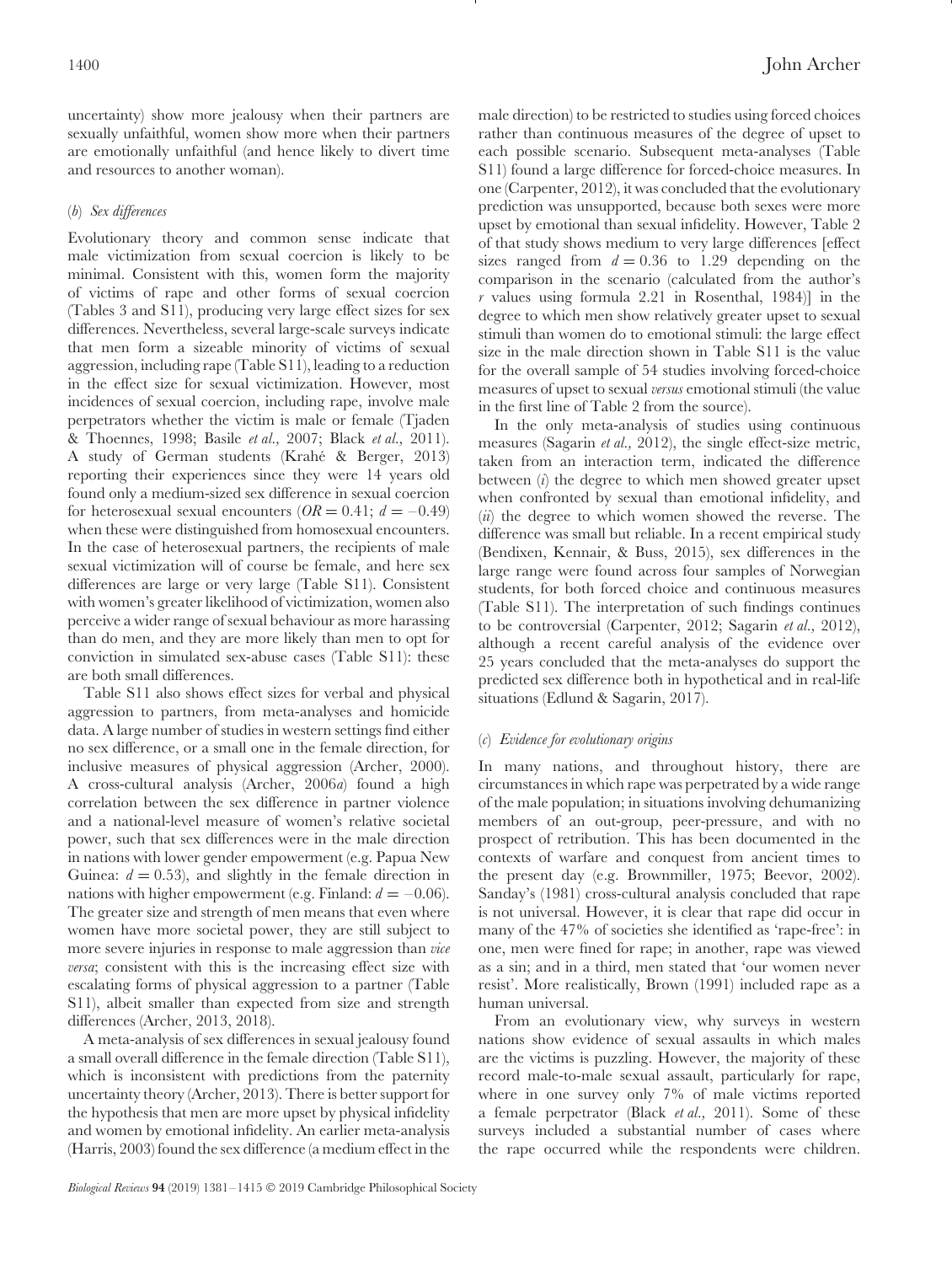uncertainty) show more jealousy when their partners are sexually unfaithful, women show more when their partners are emotionally unfaithful (and hence likely to divert time and resources to another woman).

## <span id="page-19-0"></span>(*b*) *Sex differences*

Evolutionary theory and common sense indicate that male victimization from sexual coercion is likely to be minimal. Consistent with this, women form the majority of victims of rape and other forms of sexual coercion (Tables 3 and S11), producing very large effect sizes for sex differences. Nevertheless, several large-scale surveys indicate that men form a sizeable minority of victims of sexual aggression, including rape (Table S11), leading to a reduction in the effect size for sexual victimization. However, most incidences of sexual coercion, including rape, involve male perpetrators whether the victim is male or female (Tjaden & Thoennes, 1998; Basile *et al.,* 2007; Black *et al.,* 2011). A study of German students (Krahe & Berger, 2013) ´ reporting their experiences since they were 14 years old found only a medium-sized sex difference in sexual coercion for heterosexual sexual encounters  $(OR = 0.41; d = -0.49)$ when these were distinguished from homosexual encounters. In the case of heterosexual partners, the recipients of male sexual victimization will of course be female, and here sex differences are large or very large (Table S11). Consistent with women's greater likelihood of victimization, women also perceive a wider range of sexual behaviour as more harassing than do men, and they are more likely than men to opt for conviction in simulated sex-abuse cases (Table S11): these are both small differences.

Table S11 also shows effect sizes for verbal and physical aggression to partners, from meta-analyses and homicide data. A large number of studies in western settings find either no sex difference, or a small one in the female direction, for inclusive measures of physical aggression (Archer, 2000). A cross-cultural analysis (Archer, 2006*a*) found a high correlation between the sex difference in partner violence and a national-level measure of women's relative societal power, such that sex differences were in the male direction in nations with lower gender empowerment (e.g. Papua New Guinea:  $d = 0.53$ , and slightly in the female direction in nations with higher empowerment (e.g. Finland:  $d = -0.06$ ). The greater size and strength of men means that even where women have more societal power, they are still subject to more severe injuries in response to male aggression than *vice versa*; consistent with this is the increasing effect size with escalating forms of physical aggression to a partner (Table S11), albeit smaller than expected from size and strength differences (Archer, 2013, 2018).

A meta-analysis of sex differences in sexual jealousy found a small overall difference in the female direction (Table S11), which is inconsistent with predictions from the paternity uncertainty theory (Archer, 2013). There is better support for the hypothesis that men are more upset by physical infidelity and women by emotional infidelity. An earlier meta-analysis (Harris, 2003) found the sex difference (a medium effect in the male direction) to be restricted to studies using forced choices rather than continuous measures of the degree of upset to each possible scenario. Subsequent meta-analyses (Table S11) found a large difference for forced-choice measures. In one (Carpenter, 2012), it was concluded that the evolutionary prediction was unsupported, because both sexes were more upset by emotional than sexual infidelity. However, Table 2 of that study shows medium to very large differences [effect sizes ranged from  $d = 0.36$  to 1.29 depending on the comparison in the scenario (calculated from the author's *r* values using formula 2.21 in Rosenthal, 1984)] in the degree to which men show relatively greater upset to sexual stimuli than women do to emotional stimuli: the large effect size in the male direction shown in Table S11 is the value for the overall sample of 54 studies involving forced-choice measures of upset to sexual *versus* emotional stimuli (the value in the first line of Table 2 from the source).

In the only meta-analysis of studies using continuous measures (Sagarin *et al.,* 2012), the single effect-size metric, taken from an interaction term, indicated the difference between (*i*) the degree to which men showed greater upset when confronted by sexual than emotional infidelity, and (*ii*) the degree to which women showed the reverse. The difference was small but reliable. In a recent empirical study (Bendixen, Kennair, & Buss, 2015), sex differences in the large range were found across four samples of Norwegian students, for both forced choice and continuous measures (Table S11). The interpretation of such findings continues to be controversial (Carpenter, 2012; Sagarin *et al.,* 2012), although a recent careful analysis of the evidence over 25 years concluded that the meta-analyses do support the predicted sex difference both in hypothetical and in real-life situations (Edlund & Sagarin, 2017).

#### <span id="page-19-1"></span>(*c*) *Evidence for evolutionary origins*

In many nations, and throughout history, there are circumstances in which rape was perpetrated by a wide range of the male population; in situations involving dehumanizing members of an out-group, peer-pressure, and with no prospect of retribution. This has been documented in the contexts of warfare and conquest from ancient times to the present day (e.g. Brownmiller, 1975; Beevor, 2002). Sanday's (1981) cross-cultural analysis concluded that rape is not universal. However, it is clear that rape did occur in many of the 47% of societies she identified as 'rape-free': in one, men were fined for rape; in another, rape was viewed as a sin; and in a third, men stated that 'our women never resist'. More realistically, Brown (1991) included rape as a human universal.

From an evolutionary view, why surveys in western nations show evidence of sexual assaults in which males are the victims is puzzling. However, the majority of these record male-to-male sexual assault, particularly for rape, where in one survey only 7% of male victims reported a female perpetrator (Black *et al.,* 2011). Some of these surveys included a substantial number of cases where the rape occurred while the respondents were children.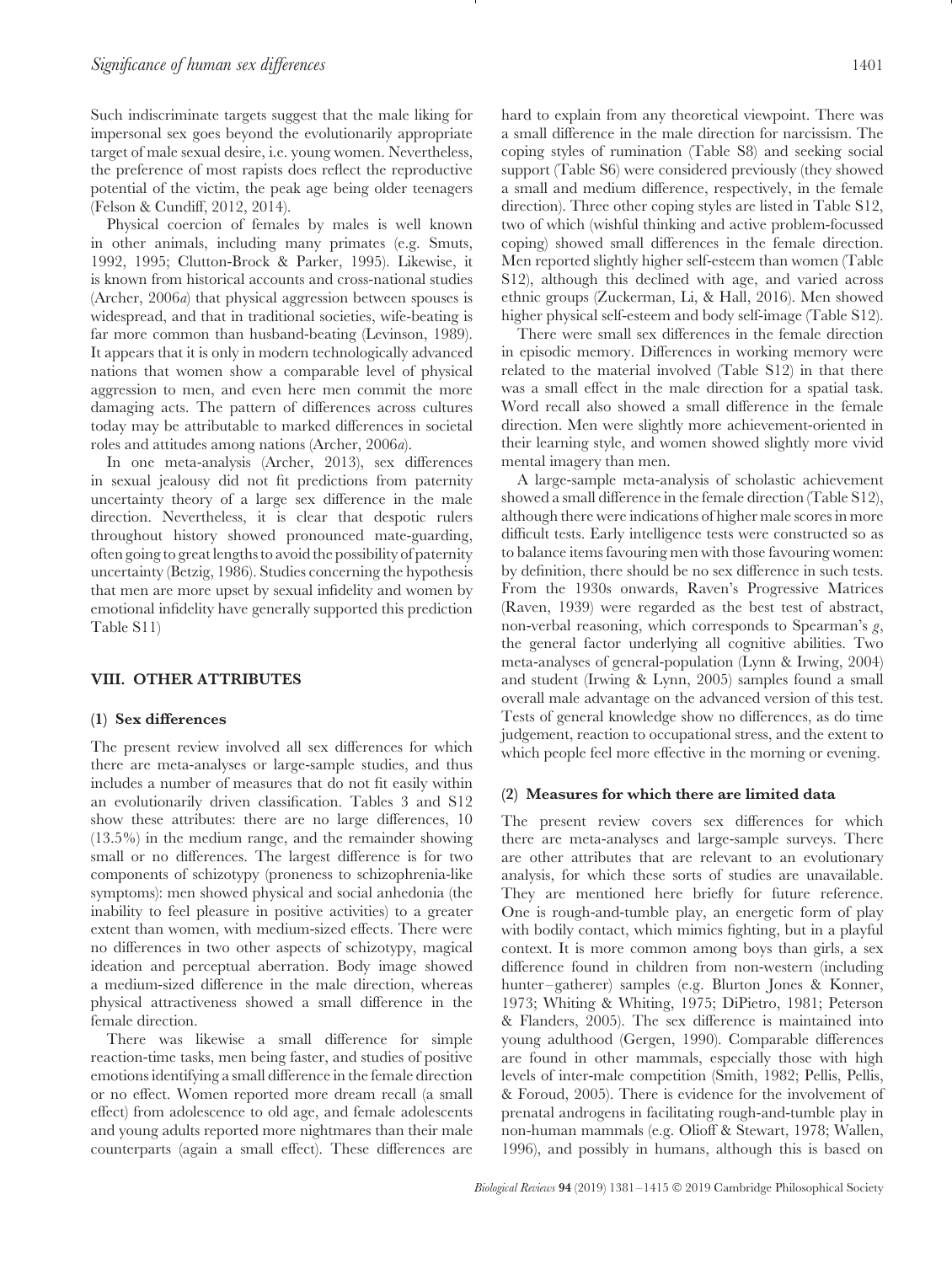Such indiscriminate targets suggest that the male liking for impersonal sex goes beyond the evolutionarily appropriate target of male sexual desire, i.e. young women. Nevertheless, the preference of most rapists does reflect the reproductive potential of the victim, the peak age being older teenagers (Felson & Cundiff, 2012, 2014).

Physical coercion of females by males is well known in other animals, including many primates (e.g. Smuts, 1992, 1995; Clutton-Brock & Parker, 1995). Likewise, it is known from historical accounts and cross-national studies (Archer, 2006*a*) that physical aggression between spouses is widespread, and that in traditional societies, wife-beating is far more common than husband-beating (Levinson, 1989). It appears that it is only in modern technologically advanced nations that women show a comparable level of physical aggression to men, and even here men commit the more damaging acts. The pattern of differences across cultures today may be attributable to marked differences in societal roles and attitudes among nations (Archer, 2006*a*).

In one meta-analysis (Archer, 2013), sex differences in sexual jealousy did not fit predictions from paternity uncertainty theory of a large sex difference in the male direction. Nevertheless, it is clear that despotic rulers throughout history showed pronounced mate-guarding, often going to great lengths to avoid the possibility of paternity uncertainty (Betzig, 1986). Studies concerning the hypothesis that men are more upset by sexual infidelity and women by emotional infidelity have generally supported this prediction Table S11)

## <span id="page-20-0"></span>**VIII. OTHER ATTRIBUTES**

#### <span id="page-20-1"></span>**(1) Sex differences**

The present review involved all sex differences for which there are meta-analyses or large-sample studies, and thus includes a number of measures that do not fit easily within an evolutionarily driven classification. Tables 3 and S12 show these attributes: there are no large differences, 10 (13.5%) in the medium range, and the remainder showing small or no differences. The largest difference is for two components of schizotypy (proneness to schizophrenia-like symptoms): men showed physical and social anhedonia (the inability to feel pleasure in positive activities) to a greater extent than women, with medium-sized effects. There were no differences in two other aspects of schizotypy, magical ideation and perceptual aberration. Body image showed a medium-sized difference in the male direction, whereas physical attractiveness showed a small difference in the female direction.

There was likewise a small difference for simple reaction-time tasks, men being faster, and studies of positive emotions identifying a small difference in the female direction or no effect. Women reported more dream recall (a small effect) from adolescence to old age, and female adolescents and young adults reported more nightmares than their male counterparts (again a small effect). These differences are hard to explain from any theoretical viewpoint. There was a small difference in the male direction for narcissism. The coping styles of rumination (Table S8) and seeking social support (Table S6) were considered previously (they showed a small and medium difference, respectively, in the female direction). Three other coping styles are listed in Table S12, two of which (wishful thinking and active problem-focussed coping) showed small differences in the female direction. Men reported slightly higher self-esteem than women (Table S12), although this declined with age, and varied across ethnic groups (Zuckerman, Li, & Hall, 2016). Men showed higher physical self-esteem and body self-image (Table S12).

There were small sex differences in the female direction in episodic memory. Differences in working memory were related to the material involved (Table S12) in that there was a small effect in the male direction for a spatial task. Word recall also showed a small difference in the female direction. Men were slightly more achievement-oriented in their learning style, and women showed slightly more vivid mental imagery than men.

A large-sample meta-analysis of scholastic achievement showed a small difference in the female direction (Table S12), although there were indications of higher male scores in more difficult tests. Early intelligence tests were constructed so as to balance items favouring men with those favouring women: by definition, there should be no sex difference in such tests. From the 1930s onwards, Raven's Progressive Matrices (Raven, 1939) were regarded as the best test of abstract, non-verbal reasoning, which corresponds to Spearman's *g*, the general factor underlying all cognitive abilities. Two meta-analyses of general-population (Lynn & Irwing, 2004) and student (Irwing & Lynn, 2005) samples found a small overall male advantage on the advanced version of this test. Tests of general knowledge show no differences, as do time judgement, reaction to occupational stress, and the extent to which people feel more effective in the morning or evening.

#### <span id="page-20-2"></span>**(2) Measures for which there are limited data**

The present review covers sex differences for which there are meta-analyses and large-sample surveys. There are other attributes that are relevant to an evolutionary analysis, for which these sorts of studies are unavailable. They are mentioned here briefly for future reference. One is rough-and-tumble play, an energetic form of play with bodily contact, which mimics fighting, but in a playful context. It is more common among boys than girls, a sex difference found in children from non-western (including hunter–gatherer) samples (e.g. Blurton Jones & Konner, 1973; Whiting & Whiting, 1975; DiPietro, 1981; Peterson & Flanders, 2005). The sex difference is maintained into young adulthood (Gergen, 1990). Comparable differences are found in other mammals, especially those with high levels of inter-male competition (Smith, 1982; Pellis, Pellis, & Foroud, 2005). There is evidence for the involvement of prenatal androgens in facilitating rough-and-tumble play in non-human mammals (e.g. Olioff & Stewart, 1978; Wallen, 1996), and possibly in humans, although this is based on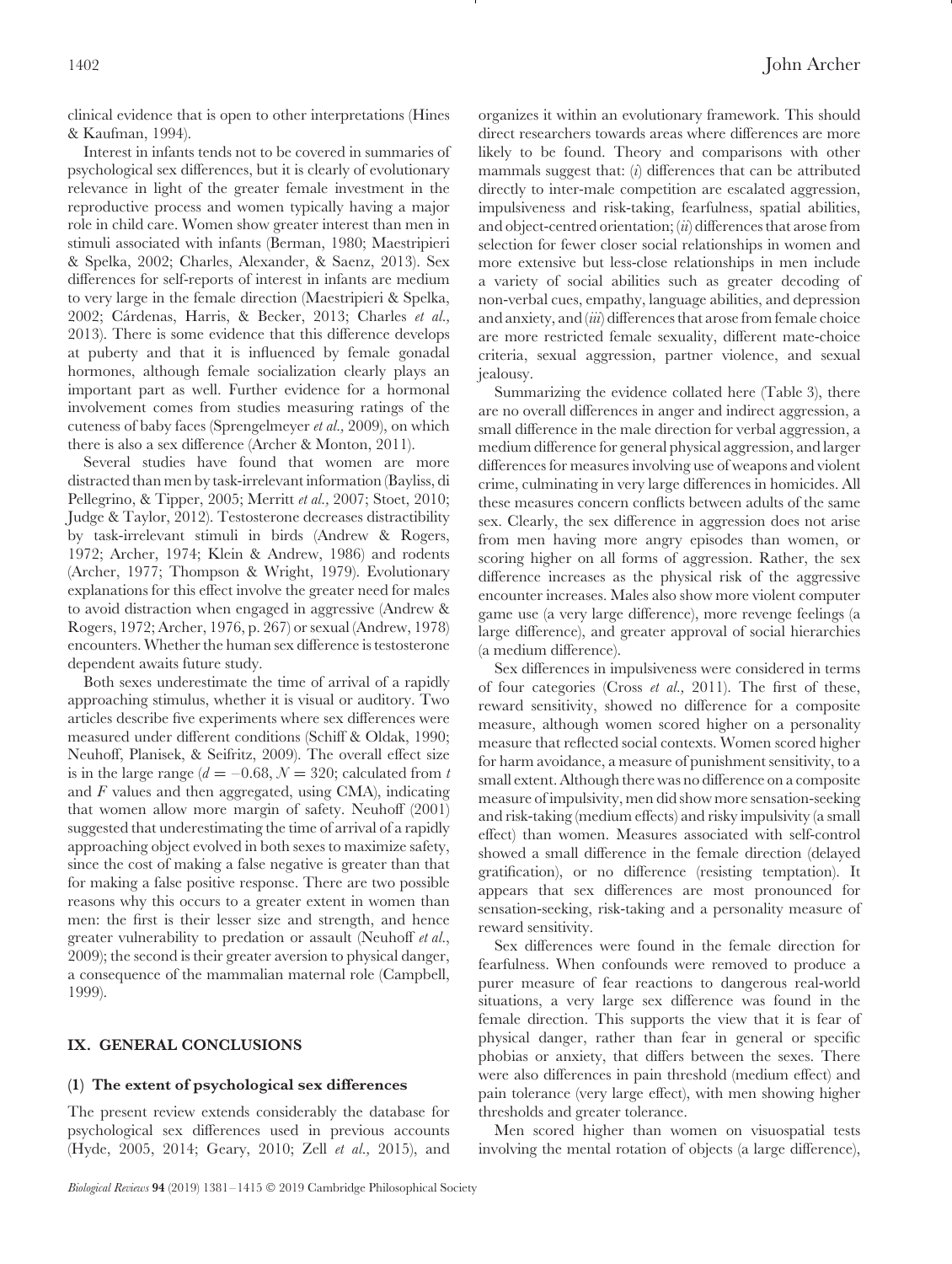clinical evidence that is open to other interpretations (Hines & Kaufman, 1994).

Interest in infants tends not to be covered in summaries of psychological sex differences, but it is clearly of evolutionary relevance in light of the greater female investment in the reproductive process and women typically having a major role in child care. Women show greater interest than men in stimuli associated with infants (Berman, 1980; Maestripieri & Spelka, 2002; Charles, Alexander, & Saenz, 2013). Sex differences for self-reports of interest in infants are medium to very large in the female direction (Maestripieri & Spelka, 2002; Cárdenas, Harris, & Becker, 2013; Charles et al., 2013). There is some evidence that this difference develops at puberty and that it is influenced by female gonadal hormones, although female socialization clearly plays an important part as well. Further evidence for a hormonal involvement comes from studies measuring ratings of the cuteness of baby faces (Sprengelmeyer *et al.,* 2009), on which there is also a sex difference (Archer & Monton, 2011).

Several studies have found that women are more distracted than men by task-irrelevant information (Bayliss, di Pellegrino, & Tipper, 2005; Merritt *et al.,* 2007; Stoet, 2010; Judge & Taylor, 2012). Testosterone decreases distractibility by task-irrelevant stimuli in birds (Andrew & Rogers, 1972; Archer, 1974; Klein & Andrew, 1986) and rodents (Archer, 1977; Thompson & Wright, 1979). Evolutionary explanations for this effect involve the greater need for males to avoid distraction when engaged in aggressive (Andrew & Rogers, 1972; Archer, 1976, p. 267) or sexual (Andrew, 1978) encounters. Whether the human sex difference is testosterone dependent awaits future study.

Both sexes underestimate the time of arrival of a rapidly approaching stimulus, whether it is visual or auditory. Two articles describe five experiments where sex differences were measured under different conditions (Schiff & Oldak, 1990; Neuhoff, Planisek, & Seifritz, 2009). The overall effect size is in the large range ( $d = -0.68$ ,  $N = 320$ ; calculated from *t* and *F* values and then aggregated, using CMA), indicating that women allow more margin of safety. Neuhoff (2001) suggested that underestimating the time of arrival of a rapidly approaching object evolved in both sexes to maximize safety, since the cost of making a false negative is greater than that for making a false positive response. There are two possible reasons why this occurs to a greater extent in women than men: the first is their lesser size and strength, and hence greater vulnerability to predation or assault (Neuhoff *et al.*, 2009); the second is their greater aversion to physical danger, a consequence of the mammalian maternal role (Campbell, 1999).

## <span id="page-21-0"></span>**IX. GENERAL CONCLUSIONS**

#### <span id="page-21-1"></span>**(1) The extent of psychological sex differences**

The present review extends considerably the database for psychological sex differences used in previous accounts (Hyde, 2005, 2014; Geary, 2010; Zell *et al.,* 2015), and

organizes it within an evolutionary framework. This should direct researchers towards areas where differences are more likely to be found. Theory and comparisons with other mammals suggest that: (*i*) differences that can be attributed directly to inter-male competition are escalated aggression, impulsiveness and risk-taking, fearfulness, spatial abilities, and object-centred orientation; (*ii*) differences that arose from selection for fewer closer social relationships in women and more extensive but less-close relationships in men include a variety of social abilities such as greater decoding of non-verbal cues, empathy, language abilities, and depression and anxiety, and (*iii*) differences that arose from female choice are more restricted female sexuality, different mate-choice criteria, sexual aggression, partner violence, and sexual jealousy.

Summarizing the evidence collated here (Table 3), there are no overall differences in anger and indirect aggression, a small difference in the male direction for verbal aggression, a medium difference for general physical aggression, and larger differences for measures involving use of weapons and violent crime, culminating in very large differences in homicides. All these measures concern conflicts between adults of the same sex. Clearly, the sex difference in aggression does not arise from men having more angry episodes than women, or scoring higher on all forms of aggression. Rather, the sex difference increases as the physical risk of the aggressive encounter increases. Males also show more violent computer game use (a very large difference), more revenge feelings (a large difference), and greater approval of social hierarchies (a medium difference).

Sex differences in impulsiveness were considered in terms of four categories (Cross *et al.,* 2011). The first of these, reward sensitivity, showed no difference for a composite measure, although women scored higher on a personality measure that reflected social contexts. Women scored higher for harm avoidance, a measure of punishment sensitivity, to a small extent. Although there was no difference on a composite measure of impulsivity, men did show more sensation-seeking and risk-taking (medium effects) and risky impulsivity (a small effect) than women. Measures associated with self-control showed a small difference in the female direction (delayed gratification), or no difference (resisting temptation). It appears that sex differences are most pronounced for sensation-seeking, risk-taking and a personality measure of reward sensitivity.

Sex differences were found in the female direction for fearfulness. When confounds were removed to produce a purer measure of fear reactions to dangerous real-world situations, a very large sex difference was found in the female direction. This supports the view that it is fear of physical danger, rather than fear in general or specific phobias or anxiety, that differs between the sexes. There were also differences in pain threshold (medium effect) and pain tolerance (very large effect), with men showing higher thresholds and greater tolerance.

Men scored higher than women on visuospatial tests involving the mental rotation of objects (a large difference),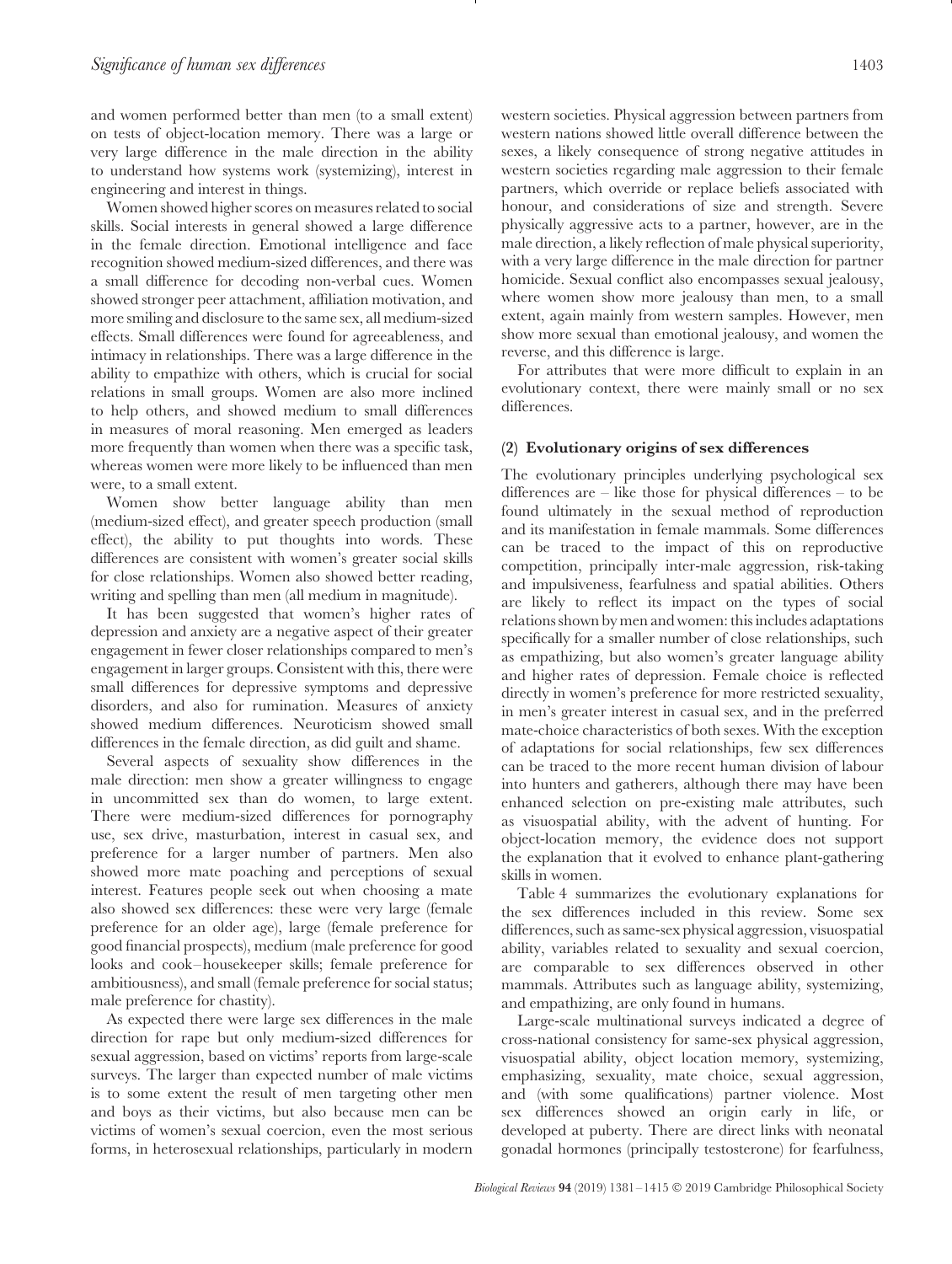and women performed better than men (to a small extent) on tests of object-location memory. There was a large or very large difference in the male direction in the ability to understand how systems work (systemizing), interest in engineering and interest in things.

Women showed higher scores on measures related to social skills. Social interests in general showed a large difference in the female direction. Emotional intelligence and face recognition showed medium-sized differences, and there was a small difference for decoding non-verbal cues. Women showed stronger peer attachment, affiliation motivation, and more smiling and disclosure to the same sex, all medium-sized effects. Small differences were found for agreeableness, and intimacy in relationships. There was a large difference in the ability to empathize with others, which is crucial for social relations in small groups. Women are also more inclined to help others, and showed medium to small differences in measures of moral reasoning. Men emerged as leaders more frequently than women when there was a specific task, whereas women were more likely to be influenced than men were, to a small extent.

Women show better language ability than men (medium-sized effect), and greater speech production (small effect), the ability to put thoughts into words. These differences are consistent with women's greater social skills for close relationships. Women also showed better reading, writing and spelling than men (all medium in magnitude).

It has been suggested that women's higher rates of depression and anxiety are a negative aspect of their greater engagement in fewer closer relationships compared to men's engagement in larger groups. Consistent with this, there were small differences for depressive symptoms and depressive disorders, and also for rumination. Measures of anxiety showed medium differences. Neuroticism showed small differences in the female direction, as did guilt and shame.

Several aspects of sexuality show differences in the male direction: men show a greater willingness to engage in uncommitted sex than do women, to large extent. There were medium-sized differences for pornography use, sex drive, masturbation, interest in casual sex, and preference for a larger number of partners. Men also showed more mate poaching and perceptions of sexual interest. Features people seek out when choosing a mate also showed sex differences: these were very large (female preference for an older age), large (female preference for good financial prospects), medium (male preference for good looks and cook–housekeeper skills; female preference for ambitiousness), and small (female preference for social status; male preference for chastity).

As expected there were large sex differences in the male direction for rape but only medium-sized differences for sexual aggression, based on victims' reports from large-scale surveys. The larger than expected number of male victims is to some extent the result of men targeting other men and boys as their victims, but also because men can be victims of women's sexual coercion, even the most serious forms, in heterosexual relationships, particularly in modern

western societies. Physical aggression between partners from western nations showed little overall difference between the sexes, a likely consequence of strong negative attitudes in western societies regarding male aggression to their female partners, which override or replace beliefs associated with honour, and considerations of size and strength. Severe physically aggressive acts to a partner, however, are in the male direction, a likely reflection of male physical superiority, with a very large difference in the male direction for partner homicide. Sexual conflict also encompasses sexual jealousy, where women show more jealousy than men, to a small extent, again mainly from western samples. However, men show more sexual than emotional jealousy, and women the reverse, and this difference is large.

For attributes that were more difficult to explain in an evolutionary context, there were mainly small or no sex differences.

#### <span id="page-22-0"></span>**(2) Evolutionary origins of sex differences**

The evolutionary principles underlying psychological sex differences are – like those for physical differences – to be found ultimately in the sexual method of reproduction and its manifestation in female mammals. Some differences can be traced to the impact of this on reproductive competition, principally inter-male aggression, risk-taking and impulsiveness, fearfulness and spatial abilities. Others are likely to reflect its impact on the types of social relations shown by men and women: this includes adaptations specifically for a smaller number of close relationships, such as empathizing, but also women's greater language ability and higher rates of depression. Female choice is reflected directly in women's preference for more restricted sexuality, in men's greater interest in casual sex, and in the preferred mate-choice characteristics of both sexes. With the exception of adaptations for social relationships, few sex differences can be traced to the more recent human division of labour into hunters and gatherers, although there may have been enhanced selection on pre-existing male attributes, such as visuospatial ability, with the advent of hunting. For object-location memory, the evidence does not support the explanation that it evolved to enhance plant-gathering skills in women.

Table 4 summarizes the evolutionary explanations for the sex differences included in this review. Some sex differences, such as same-sex physical aggression, visuospatial ability, variables related to sexuality and sexual coercion, are comparable to sex differences observed in other mammals. Attributes such as language ability, systemizing, and empathizing, are only found in humans.

Large-scale multinational surveys indicated a degree of cross-national consistency for same-sex physical aggression, visuospatial ability, object location memory, systemizing, emphasizing, sexuality, mate choice, sexual aggression, and (with some qualifications) partner violence. Most sex differences showed an origin early in life, or developed at puberty. There are direct links with neonatal gonadal hormones (principally testosterone) for fearfulness,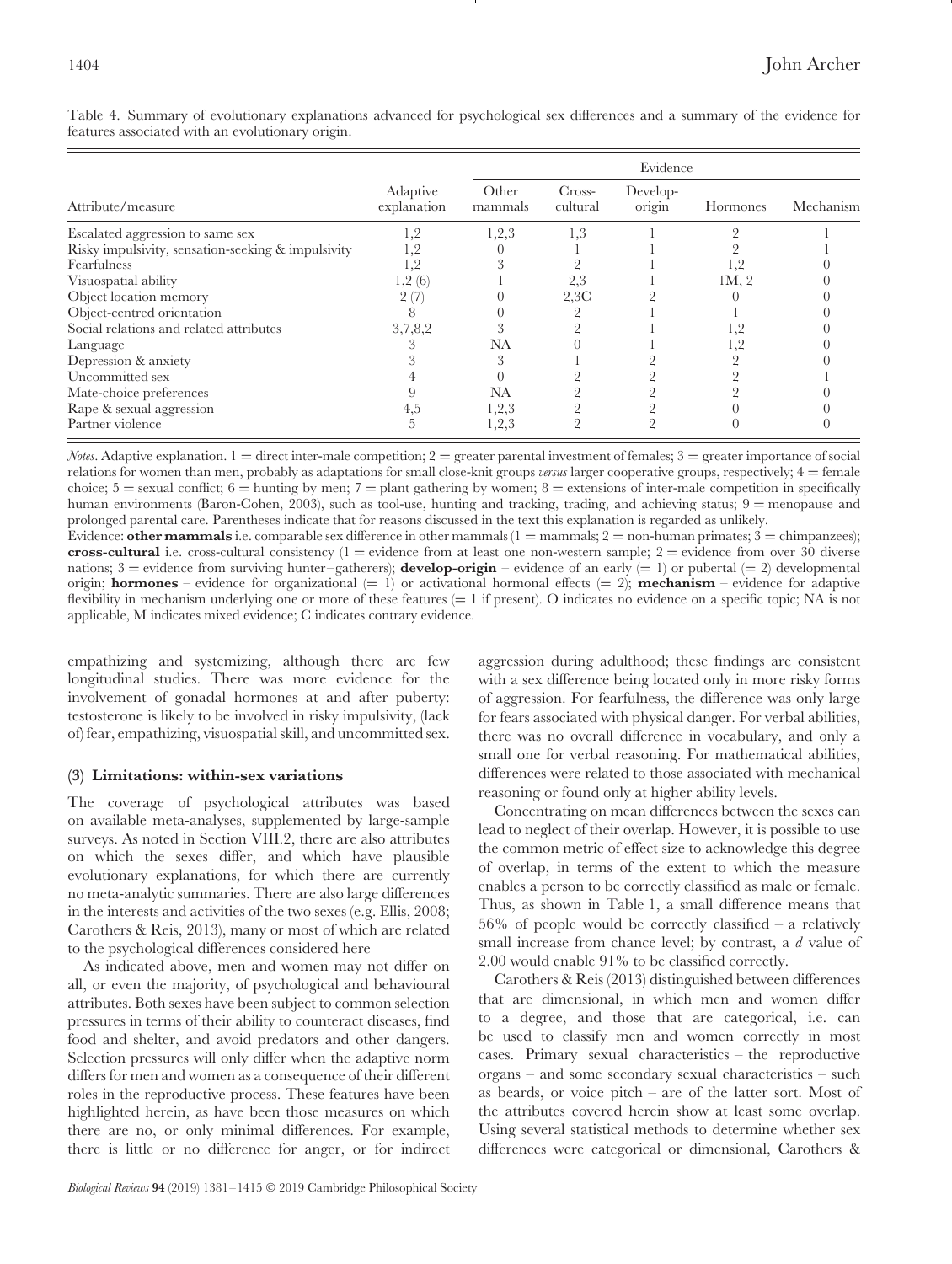|                                                    |                         | Evidence         |                    |                    |                 |           |
|----------------------------------------------------|-------------------------|------------------|--------------------|--------------------|-----------------|-----------|
| Attribute/measure                                  | Adaptive<br>explanation | Other<br>mammals | Cross-<br>cultural | Develop-<br>origin | Hormones        | Mechanism |
| Escalated aggression to same sex                   | 1,2                     | 1,2,3            | 1,3                |                    |                 |           |
| Risky impulsivity, sensation-seeking & impulsivity | 1,2                     |                  |                    |                    |                 |           |
| Fearfulness                                        | 1,2                     |                  |                    |                    |                 |           |
| Visuospatial ability                               | 1,2(6)                  |                  | 2,3                |                    | 1M <sub>2</sub> |           |
| Object location memory                             | 2 (7)                   |                  | 2,3C               |                    |                 |           |
| Object-centred orientation                         | 8                       |                  |                    |                    |                 |           |
| Social relations and related attributes            | 3,7,8,2                 |                  |                    |                    | 1, 4            |           |
| Language                                           |                         | NA               |                    |                    | 1, 4            |           |
| Depression & anxiety                               |                         |                  |                    |                    |                 |           |
| Uncommitted sex                                    |                         |                  |                    |                    |                 |           |
| Mate-choice preferences                            |                         | NA               |                    |                    |                 |           |
| Rape & sexual aggression                           | 4,5                     | 1,2,3            |                    |                    |                 |           |
| Partner violence                                   | .h                      | 1,2,3            |                    |                    |                 |           |

Table 4. Summary of evolutionary explanations advanced for psychological sex differences and a summary of the evidence for features associated with an evolutionary origin.

*Notes*. Adaptive explanation.  $1 =$  direct inter-male competition;  $2 =$  greater parental investment of females;  $3 =$  greater importance of social relations for women than men, probably as adaptations for small close-knit groups *versus* larger cooperative groups, respectively; 4 = female choice;  $5 =$  sexual conflict;  $6 =$  hunting by men;  $7 =$  plant gathering by women;  $8 =$  extensions of inter-male competition in specifically human environments (Baron-Cohen, 2003), such as tool-use, hunting and tracking, trading, and achieving status; 9 = menopause and prolonged parental care. Parentheses indicate that for reasons discussed in the text this explanation is regarded as unlikely. Evidence: **other mammals** i.e. comparable sex difference in other mammals  $(1 = \text{mammals}; 2 = \text{non-human primates}; 3 = \text{chimpances});$ 

**cross-cultural** i.e. cross-cultural consistency  $(1 =$  evidence from at least one non-western sample;  $2 =$  evidence from over 30 diverse nations;  $3 =$  evidence from surviving hunter–gatherers); **develop-origin** – evidence of an early  $(= 1)$  or pubertal  $(= 2)$  developmental origin; **hormones** – evidence for organizational  $(= 1)$  or activational hormonal effects  $(= 2)$ ; **mechanism** – evidence for adaptive flexibility in mechanism underlying one or more of these features  $(= 1 \text{ if present})$ . O indicates no evidence on a specific topic; NA is not applicable, M indicates mixed evidence; C indicates contrary evidence.

empathizing and systemizing, although there are few longitudinal studies. There was more evidence for the involvement of gonadal hormones at and after puberty: testosterone is likely to be involved in risky impulsivity, (lack of) fear, empathizing, visuospatial skill, and uncommitted sex.

## <span id="page-23-0"></span>**(3) Limitations: within-sex variations**

The coverage of psychological attributes was based on available meta-analyses, supplemented by large-sample surveys. As noted in Section VIII.2, there are also attributes on which the sexes differ, and which have plausible evolutionary explanations, for which there are currently no meta-analytic summaries. There are also large differences in the interests and activities of the two sexes (e.g. Ellis, 2008; Carothers & Reis, 2013), many or most of which are related to the psychological differences considered here

As indicated above, men and women may not differ on all, or even the majority, of psychological and behavioural attributes. Both sexes have been subject to common selection pressures in terms of their ability to counteract diseases, find food and shelter, and avoid predators and other dangers. Selection pressures will only differ when the adaptive norm differs for men and women as a consequence of their different roles in the reproductive process. These features have been highlighted herein, as have been those measures on which there are no, or only minimal differences. For example, there is little or no difference for anger, or for indirect aggression during adulthood; these findings are consistent with a sex difference being located only in more risky forms of aggression. For fearfulness, the difference was only large for fears associated with physical danger. For verbal abilities, there was no overall difference in vocabulary, and only a small one for verbal reasoning. For mathematical abilities, differences were related to those associated with mechanical reasoning or found only at higher ability levels.

Concentrating on mean differences between the sexes can lead to neglect of their overlap. However, it is possible to use the common metric of effect size to acknowledge this degree of overlap, in terms of the extent to which the measure enables a person to be correctly classified as male or female. Thus, as shown in Table 1, a small difference means that 56% of people would be correctly classified – a relatively small increase from chance level; by contrast, a *d* value of 2.00 would enable 91% to be classified correctly.

Carothers & Reis (2013) distinguished between differences that are dimensional, in which men and women differ to a degree, and those that are categorical, i.e. can be used to classify men and women correctly in most cases. Primary sexual characteristics – the reproductive organs – and some secondary sexual characteristics – such as beards, or voice pitch – are of the latter sort. Most of the attributes covered herein show at least some overlap. Using several statistical methods to determine whether sex differences were categorical or dimensional, Carothers &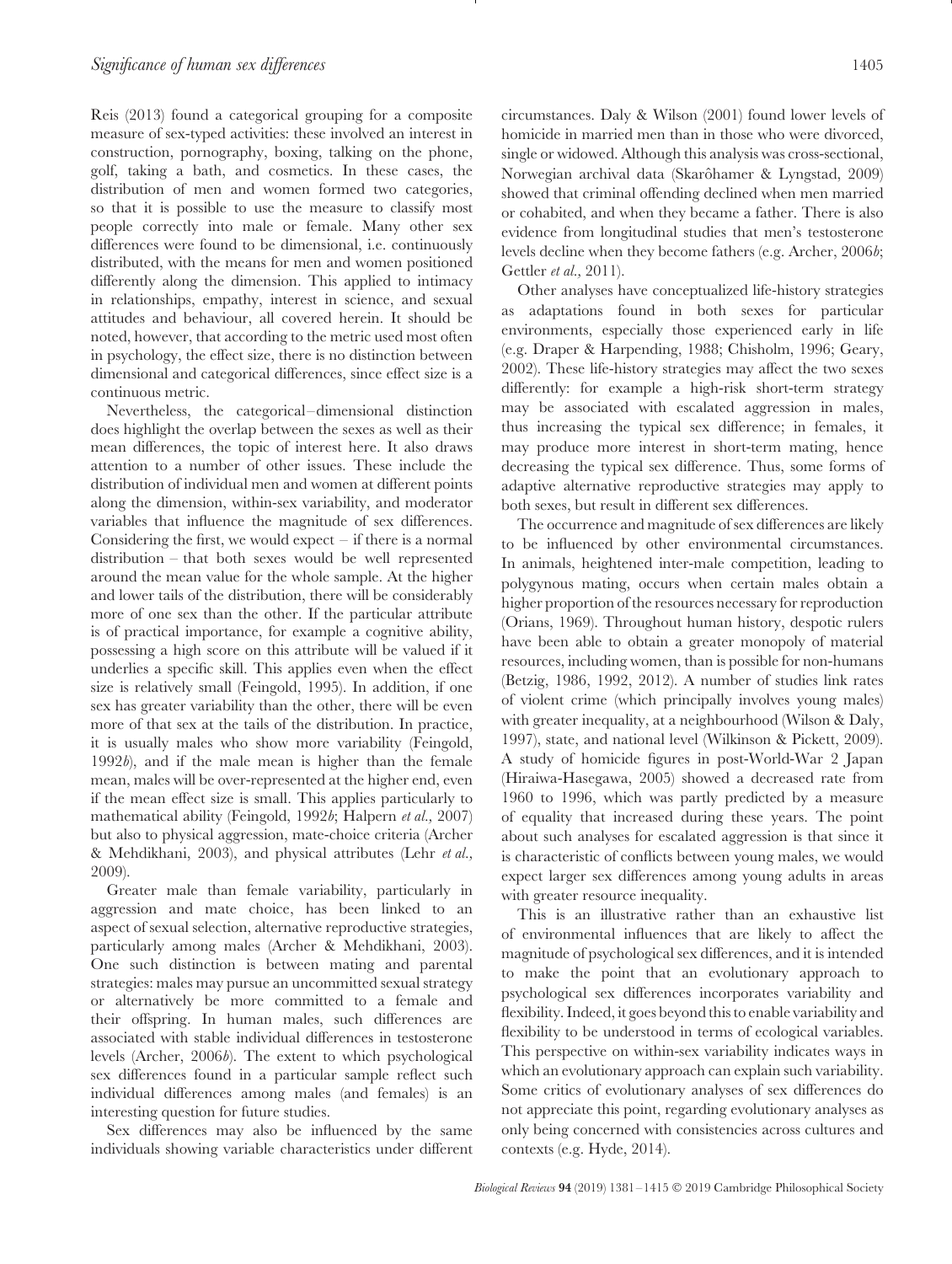Reis (2013) found a categorical grouping for a composite measure of sex-typed activities: these involved an interest in construction, pornography, boxing, talking on the phone, golf, taking a bath, and cosmetics. In these cases, the distribution of men and women formed two categories, so that it is possible to use the measure to classify most people correctly into male or female. Many other sex differences were found to be dimensional, i.e. continuously distributed, with the means for men and women positioned differently along the dimension. This applied to intimacy in relationships, empathy, interest in science, and sexual attitudes and behaviour, all covered herein. It should be noted, however, that according to the metric used most often in psychology, the effect size, there is no distinction between dimensional and categorical differences, since effect size is a continuous metric.

Nevertheless, the categorical–dimensional distinction does highlight the overlap between the sexes as well as their mean differences, the topic of interest here. It also draws attention to a number of other issues. These include the distribution of individual men and women at different points along the dimension, within-sex variability, and moderator variables that influence the magnitude of sex differences. Considering the first, we would expect – if there is a normal distribution – that both sexes would be well represented around the mean value for the whole sample. At the higher and lower tails of the distribution, there will be considerably more of one sex than the other. If the particular attribute is of practical importance, for example a cognitive ability, possessing a high score on this attribute will be valued if it underlies a specific skill. This applies even when the effect size is relatively small (Feingold, 1995). In addition, if one sex has greater variability than the other, there will be even more of that sex at the tails of the distribution. In practice, it is usually males who show more variability (Feingold, 1992*b*), and if the male mean is higher than the female mean, males will be over-represented at the higher end, even if the mean effect size is small. This applies particularly to mathematical ability (Feingold, 1992*b*; Halpern *et al.,* 2007) but also to physical aggression, mate-choice criteria (Archer & Mehdikhani, 2003), and physical attributes (Lehr *et al.,* 2009).

Greater male than female variability, particularly in aggression and mate choice, has been linked to an aspect of sexual selection, alternative reproductive strategies, particularly among males (Archer & Mehdikhani, 2003). One such distinction is between mating and parental strategies: males may pursue an uncommitted sexual strategy or alternatively be more committed to a female and their offspring. In human males, such differences are associated with stable individual differences in testosterone levels (Archer, 2006*b*). The extent to which psychological sex differences found in a particular sample reflect such individual differences among males (and females) is an interesting question for future studies.

Sex differences may also be influenced by the same individuals showing variable characteristics under different circumstances. Daly & Wilson (2001) found lower levels of homicide in married men than in those who were divorced, single or widowed. Although this analysis was cross-sectional, Norwegian archival data (Skarôhamer & Lyngstad, 2009) showed that criminal offending declined when men married or cohabited, and when they became a father. There is also evidence from longitudinal studies that men's testosterone levels decline when they become fathers (e.g. Archer, 2006*b*; Gettler *et al.,* 2011).

Other analyses have conceptualized life-history strategies as adaptations found in both sexes for particular environments, especially those experienced early in life (e.g. Draper & Harpending, 1988; Chisholm, 1996; Geary, 2002). These life-history strategies may affect the two sexes differently: for example a high-risk short-term strategy may be associated with escalated aggression in males, thus increasing the typical sex difference; in females, it may produce more interest in short-term mating, hence decreasing the typical sex difference. Thus, some forms of adaptive alternative reproductive strategies may apply to both sexes, but result in different sex differences.

The occurrence and magnitude of sex differences are likely to be influenced by other environmental circumstances. In animals, heightened inter-male competition, leading to polygynous mating, occurs when certain males obtain a higher proportion of the resources necessary for reproduction (Orians, 1969). Throughout human history, despotic rulers have been able to obtain a greater monopoly of material resources, including women, than is possible for non-humans (Betzig, 1986, 1992, 2012). A number of studies link rates of violent crime (which principally involves young males) with greater inequality, at a neighbourhood (Wilson & Daly, 1997), state, and national level (Wilkinson & Pickett, 2009). A study of homicide figures in post-World-War 2 Japan (Hiraiwa-Hasegawa, 2005) showed a decreased rate from 1960 to 1996, which was partly predicted by a measure of equality that increased during these years. The point about such analyses for escalated aggression is that since it is characteristic of conflicts between young males, we would expect larger sex differences among young adults in areas with greater resource inequality.

This is an illustrative rather than an exhaustive list of environmental influences that are likely to affect the magnitude of psychological sex differences, and it is intended to make the point that an evolutionary approach to psychological sex differences incorporates variability and flexibility. Indeed, it goes beyond this to enable variability and flexibility to be understood in terms of ecological variables. This perspective on within-sex variability indicates ways in which an evolutionary approach can explain such variability. Some critics of evolutionary analyses of sex differences do not appreciate this point, regarding evolutionary analyses as only being concerned with consistencies across cultures and contexts (e.g. Hyde, 2014).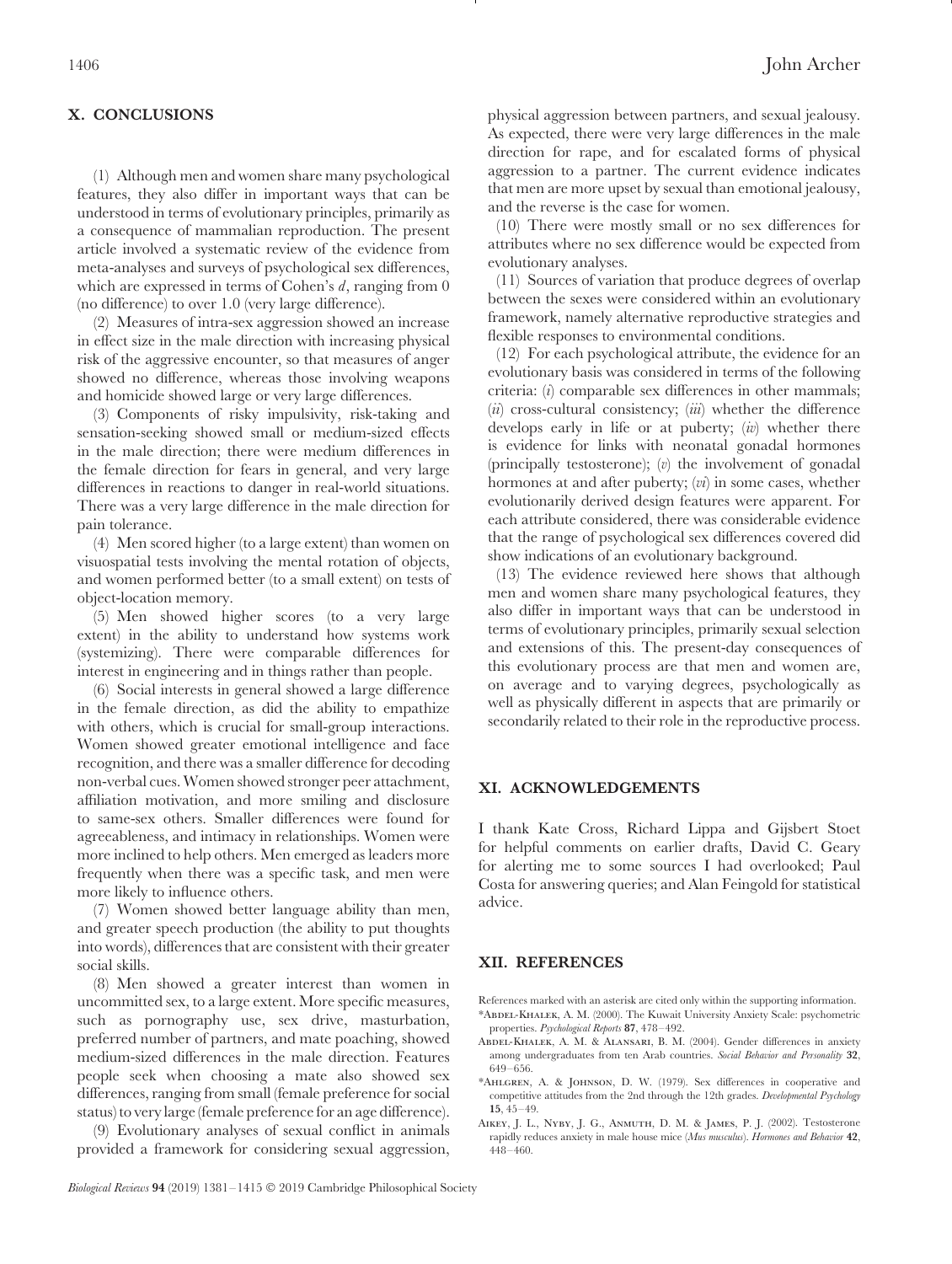## <span id="page-25-0"></span>**X. CONCLUSIONS**

(1) Although men and women share many psychological features, they also differ in important ways that can be understood in terms of evolutionary principles, primarily as a consequence of mammalian reproduction. The present article involved a systematic review of the evidence from meta-analyses and surveys of psychological sex differences, which are expressed in terms of Cohen's *d*, ranging from 0 (no difference) to over 1.0 (very large difference).

(2) Measures of intra-sex aggression showed an increase in effect size in the male direction with increasing physical risk of the aggressive encounter, so that measures of anger showed no difference, whereas those involving weapons and homicide showed large or very large differences.

(3) Components of risky impulsivity, risk-taking and sensation-seeking showed small or medium-sized effects in the male direction; there were medium differences in the female direction for fears in general, and very large differences in reactions to danger in real-world situations. There was a very large difference in the male direction for pain tolerance.

(4) Men scored higher (to a large extent) than women on visuospatial tests involving the mental rotation of objects, and women performed better (to a small extent) on tests of object-location memory.

(5) Men showed higher scores (to a very large extent) in the ability to understand how systems work (systemizing). There were comparable differences for interest in engineering and in things rather than people.

(6) Social interests in general showed a large difference in the female direction, as did the ability to empathize with others, which is crucial for small-group interactions. Women showed greater emotional intelligence and face recognition, and there was a smaller difference for decoding non-verbal cues. Women showed stronger peer attachment, affiliation motivation, and more smiling and disclosure to same-sex others. Smaller differences were found for agreeableness, and intimacy in relationships. Women were more inclined to help others. Men emerged as leaders more frequently when there was a specific task, and men were more likely to influence others.

(7) Women showed better language ability than men, and greater speech production (the ability to put thoughts into words), differences that are consistent with their greater social skills.

(8) Men showed a greater interest than women in uncommitted sex, to a large extent. More specific measures, such as pornography use, sex drive, masturbation, preferred number of partners, and mate poaching, showed medium-sized differences in the male direction. Features people seek when choosing a mate also showed sex differences, ranging from small (female preference for social status) to very large (female preference for an age difference).

(9) Evolutionary analyses of sexual conflict in animals provided a framework for considering sexual aggression, physical aggression between partners, and sexual jealousy. As expected, there were very large differences in the male direction for rape, and for escalated forms of physical aggression to a partner. The current evidence indicates that men are more upset by sexual than emotional jealousy, and the reverse is the case for women.

(10) There were mostly small or no sex differences for attributes where no sex difference would be expected from evolutionary analyses.

(11) Sources of variation that produce degrees of overlap between the sexes were considered within an evolutionary framework, namely alternative reproductive strategies and flexible responses to environmental conditions.

(12) For each psychological attribute, the evidence for an evolutionary basis was considered in terms of the following criteria: (*i*) comparable sex differences in other mammals; (*ii*) cross-cultural consistency; (*iii*) whether the difference develops early in life or at puberty; (*iv*) whether there is evidence for links with neonatal gonadal hormones (principally testosterone); (*v*) the involvement of gonadal hormones at and after puberty; (*vi*) in some cases, whether evolutionarily derived design features were apparent. For each attribute considered, there was considerable evidence that the range of psychological sex differences covered did show indications of an evolutionary background.

(13) The evidence reviewed here shows that although men and women share many psychological features, they also differ in important ways that can be understood in terms of evolutionary principles, primarily sexual selection and extensions of this. The present-day consequences of this evolutionary process are that men and women are, on average and to varying degrees, psychologically as well as physically different in aspects that are primarily or secondarily related to their role in the reproductive process.

## <span id="page-25-1"></span>**XI. ACKNOWLEDGEMENTS**

I thank Kate Cross, Richard Lippa and Gijsbert Stoet for helpful comments on earlier drafts, David C. Geary for alerting me to some sources I had overlooked; Paul Costa for answering queries; and Alan Feingold for statistical advice.

#### <span id="page-25-2"></span>**XII. REFERENCES**

- References marked with an asterisk are cited only within the supporting information. \*Abdel-Khalek, A. M. (2000). The Kuwait University Anxiety Scale: psychometric properties. *Psychological Reports* **87**, 478–492.
- Abdel-Khalek, A. M. & Alansari, B. M. (2004). Gender differences in anxiety among undergraduates from ten Arab countries. *Social Behavior and Personality* **32**, 649–656.
- \*Ahlgren, A. & Johnson, D. W. (1979). Sex differences in cooperative and competitive attitudes from the 2nd through the 12th grades. *Developmental Psychology* **15**, 45–49.
- Aikey, J. L., Nyby, J. G., Anmuth, D. M. & James, P. J. (2002). Testosterone rapidly reduces anxiety in male house mice (*Mus musculus*). *Hormones and Behavior* **42**, 448–460.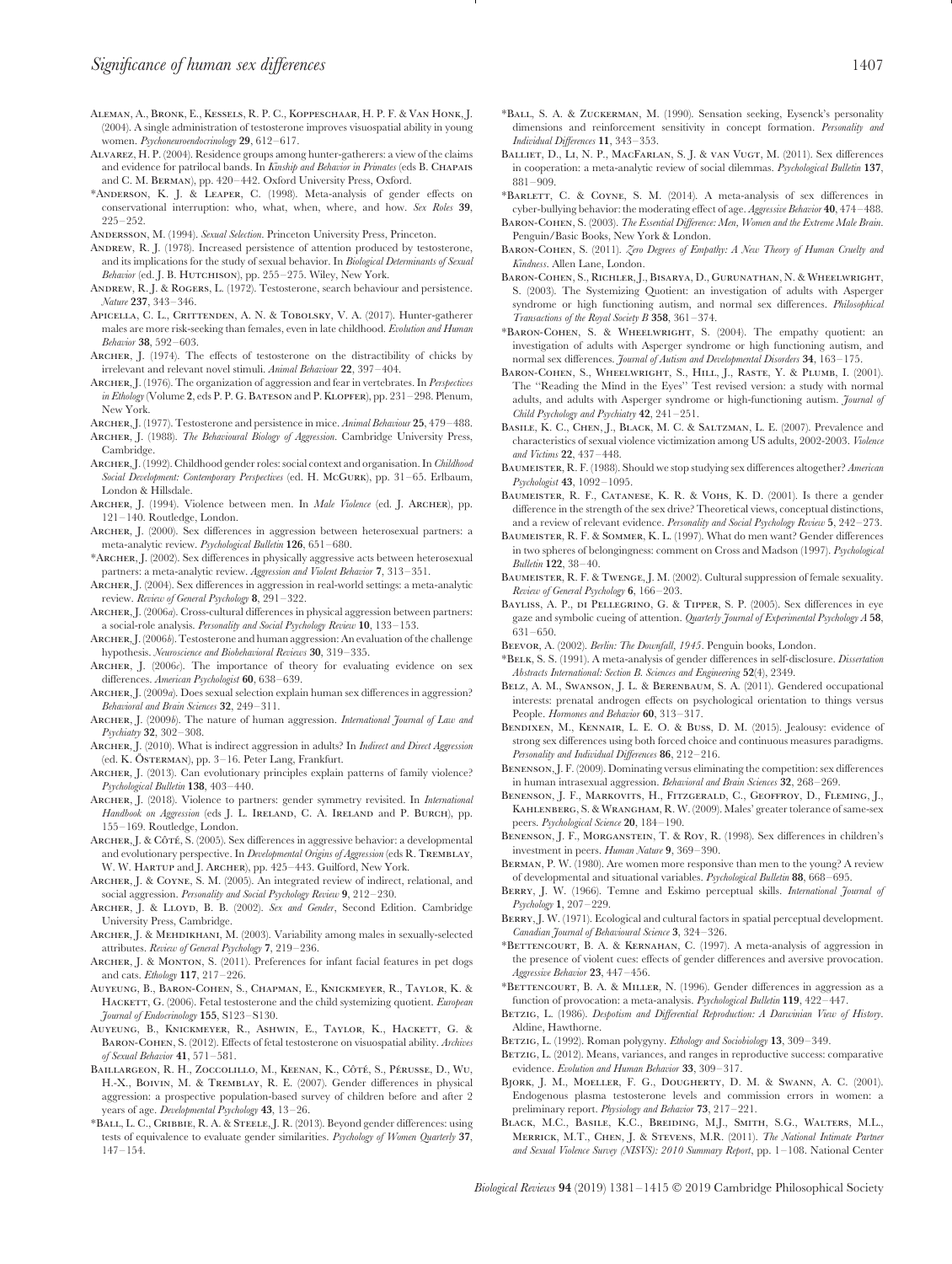- Aleman, A., Bronk, E., Kessels, R. P. C., Koppeschaar, H. P. F. & Van Honk, J. (2004). A single administration of testosterone improves visuospatial ability in young women. *Psychoneuroendocrinology* **29**, 612–617.
- Alvarez, H. P. (2004). Residence groups among hunter-gatherers: a view of the claims and evidence for patrilocal bands. In *Kinship and Behavior in Primates* (eds B. Chapais and C. M. Berman), pp. 420–442. Oxford University Press, Oxford.
- \*Anderson, K. J. & Leaper, C. (1998). Meta-analysis of gender effects on conservational interruption: who, what, when, where, and how. *Sex Roles* **39**, 225–252.
- Andersson, M. (1994). *Sexual Selection*. Princeton University Press, Princeton.
- ANDREW, R. J. (1978). Increased persistence of attention produced by testosterone, and its implications for the study of sexual behavior. In *Biological Determinants of Sexual Behavior* (ed. J. B. Hutchison), pp. 255–275. Wiley, New York.
- Andrew, R. J. & Rogers, L. (1972). Testosterone, search behaviour and persistence. *Nature* **237**, 343–346.
- Apicella, C. L., Crittenden, A. N. & Tobolsky, V. A. (2017). Hunter-gatherer males are more risk-seeking than females, even in late childhood. *Evolution and Human Behavior* **38**, 592–603.
- Archer, J. (1974). The effects of testosterone on the distractibility of chicks by irrelevant and relevant novel stimuli. *Animal Behaviour* **22**, 397–404.
- Archer, J. (1976). The organization of aggression and fear in vertebrates. In *Perspectives in Ethology* (Volume 2, eds P. P. G. BATESON and P. KLOPFER), pp. 231-298. Plenum, New York.
- Archer, J. (1977). Testosterone and persistence in mice. *Animal Behaviour* **25**, 479–488.
- Archer, J. (1988). *The Behavioural Biology of Aggression*. Cambridge University Press, Cambridge.
- Archer, J. (1992). Childhood gender roles: social context and organisation. In *Childhood Social Development: Contemporary Perspectives* (ed. H. McGurk), pp. 31–65. Erlbaum, London & Hillsdale.
- Archer, J. (1994). Violence between men. In *Male Violence* (ed. J. Archer), pp. 121–140. Routledge, London.
- Archer, J. (2000). Sex differences in aggression between heterosexual partners: a meta-analytic review. *Psychological Bulletin* **126**, 651–680.
- \*Archer, J. (2002). Sex differences in physically aggressive acts between heterosexual partners: a meta-analytic review. *Aggression and Violent Behavior* **7**, 313–351.
- Archer, J. (2004). Sex differences in aggression in real-world settings: a meta-analytic review. *Review of General Psychology* **8**, 291–322.
- Archer, J. (2006*a*). Cross-cultural differences in physical aggression between partners: a social-role analysis. *Personality and Social Psychology Review* **10**, 133–153.
- Archer, J. (2006*b*). Testosterone and human aggression: An evaluation of the challenge hypothesis. *Neuroscience and Biobehavioral Reviews* **30**, 319–335.
- ARCHER, J. (2006*c*). The importance of theory for evaluating evidence on sex differences. *American Psychologist* **60**, 638–639.
- Archer, J. (2009*a*). Does sexual selection explain human sex differences in aggression? *Behavioral and Brain Sciences* **32**, 249–311.
- Archer, J. (2009*b*). The nature of human aggression. *International Journal of Law and Psychiatry* **32**, 302–308.
- Archer, J. (2010). What is indirect aggression in adults? In *Indirect and Direct Aggression* (ed. K. ÖSTERMAN), pp. 3–16. Peter Lang, Frankfurt.
- Archer, J. (2013). Can evolutionary principles explain patterns of family violence? *Psychological Bulletin* **138**, 403–440.
- Archer, J. (2018). Violence to partners: gender symmetry revisited. In *International Handbook on Aggression* (eds J. L. IRELAND, C. A. IRELAND and P. BURCH), pp. 155–169. Routledge, London.
- ARCHER, J. & CÔTÉ, S. (2005). Sex differences in aggressive behavior: a developmental and evolutionary perspective. In *Developmental Origins of Aggression* (eds R. Tremblay, W. W. Hartup and J. Archer), pp. 425–443. Guilford, New York.
- Archer, J. & Coyne, S. M. (2005). An integrated review of indirect, relational, and social aggression. *Personality and Social Psychology Review* **9**, 212–230.
- ARCHER, J. & LLOYD, B. B. (2002). Sex and Gender, Second Edition. Cambridge University Press, Cambridge.
- ARCHER, J. & MEHDIKHANI, M. (2003). Variability among males in sexually-selected attributes. *Review of General Psychology* **7**, 219–236.
- ARCHER, J. & MONTON, S. (2011). Preferences for infant facial features in pet dogs and cats. *Ethology* **117**, 217–226.
- Auyeung, B., Baron-Cohen, S., Chapman, E., Knickmeyer, R., Taylor, K. & HACKETT, G. (2006). Fetal testosterone and the child systemizing quotient. *European Journal of Endocrinology* **155**, S123–S130.
- Auyeung, B., Knickmeyer, R., Ashwin, E., Taylor, K., Hackett, G. & Baron-Cohen, S. (2012). Effects of fetal testosterone on visuospatial ability. *Archives of Sexual Behavior* **41**, 571–581.
- BAILLARGEON, R. H., ZOCCOLILLO, M., KEENAN, K., CÔTÉ, S., PÉRUSSE, D., WU, H.-X., Boivin, M. & Tremblay, R. E. (2007). Gender differences in physical aggression: a prospective population-based survey of children before and after 2 years of age. *Developmental Psychology* **43**, 13–26.
- \*Ball, L. C., Cribbie, R. A. & Steele, J. R. (2013). Beyond gender differences: using tests of equivalence to evaluate gender similarities. *Psychology of Women Quarterly* **37**, 147–154.
- \*Ball, S. A. & Zuckerman, M. (1990). Sensation seeking, Eysenck's personality dimensions and reinforcement sensitivity in concept formation. *Personality and Individual Differences* **11**, 343–353.
- BALLIET, D., LI, N. P., MACFARLAN, S. J. & VAN VUGT, M. (2011). Sex differences in cooperation: a meta-analytic review of social dilemmas. *Psychological Bulletin* **137**, 881–909.
- \*Barlett, C. & Coyne, S. M. (2014). A meta-analysis of sex differences in cyber-bullying behavior: the moderating effect of age. *Aggressive Behavior* **40**, 474–488.
- Baron-Cohen, S. (2003). *The Essential Difference: Men, Women and the Extreme Male Brain*. Penguin/Basic Books, New York & London.
- Baron-Cohen, S. (2011). *Zero Degrees of Empathy: A New Theory of Human Cruelty and Kindness*. Allen Lane, London.
- Baron-Cohen, S., Richler, J., Bisarya, D., Gurunathan, N. & Wheelwright, S. (2003). The Systemizing Quotient: an investigation of adults with Asperger syndrome or high functioning autism, and normal sex differences. *Philosophical Transactions of the Royal Society B* **358**, 361–374.
- \*Baron-Cohen, S. & Wheelwright, S. (2004). The empathy quotient: an investigation of adults with Asperger syndrome or high functioning autism, and normal sex differences. *Journal of Autism and Developmental Disorders* **34**, 163–175.
- BARON-COHEN, S., WHEELWRIGHT, S., HILL, J., RASTE, Y. & PLUMB, I. (2001). The ''Reading the Mind in the Eyes'' Test revised version: a study with normal adults, and adults with Asperger syndrome or high-functioning autism. *Journal of Child Psychology and Psychiatry* **42**, 241–251.
- Basile, K. C., Chen, J., Black, M. C. & Saltzman, L. E. (2007). Prevalence and characteristics of sexual violence victimization among US adults, 2002-2003. *Violence and Victims* **22**, 437–448.
- Baumeister, R. F. (1988). Should we stop studying sex differences altogether? *American Psychologist* **43**, 1092–1095.
- BAUMEISTER, R. F., CATANESE, K. R. & VOHS, K. D. (2001). Is there a gender difference in the strength of the sex drive? Theoretical views, conceptual distinctions, and a review of relevant evidence. *Personality and Social Psychology Review* **5**, 242–273.
- Baumeister, R. F. & Sommer, K. L. (1997). What do men want? Gender differences in two spheres of belongingness: comment on Cross and Madson (1997). *Psychological Bulletin* **122**, 38–40.
- Baumeister, R. F. & Twenge, J. M. (2002). Cultural suppression of female sexuality. *Review of General Psychology* **6**, 166–203.
- Bayliss, A. P., di Pellegrino, G. & Tipper, S. P. (2005). Sex differences in eye gaze and symbolic cueing of attention. *Quarterly Journal of Experimental Psychology A* **58**, 631–650.
- Beevor, A. (2002). *Berlin: The Downfall, 1945*. Penguin books, London.
- \*Belk, S. S. (1991). A meta-analysis of gender differences in self-disclosure. *Dissertation Abstracts International: Section B. Sciences and Engineering* **52**(4), 2349.
- BELZ, A. M., SWANSON, J. L. & BERENBAUM, S. A. (2011). Gendered occupational interests: prenatal androgen effects on psychological orientation to things versus People. *Hormones and Behavior* **60**, 313–317.
- BENDIXEN, M., KENNAIR, L. E. O. & BUSS, D. M. (2015). Jealousy: evidence of strong sex differences using both forced choice and continuous measures paradigms. *Personality and Individual Differences* **86**, 212–216.
- Benenson, J. F. (2009). Dominating versus eliminating the competition: sex differences in human intrasexual aggression. *Behavioral and Brain Sciences* **32**, 268–269.
- BENENSON, J. F., MARKOVITS, H., FITZGERALD, C., GEOFFROY, D., FLEMING, J., KAHLENBERG, S. & WRANGHAM, R. W. (2009). Males' greater tolerance of same-sex peers. *Psychological Science* **20**, 184–190.
- Benenson, J. F., Morganstein, T. & Roy, R. (1998). Sex differences in children's investment in peers. *Human Nature* **9**, 369–390.
- Berman, P. W. (1980). Are women more responsive than men to the young? A review of developmental and situational variables. *Psychological Bulletin* **88**, 668–695.
- Berry, J. W. (1966). Temne and Eskimo perceptual skills. *International Journal of Psychology* **1**, 207–229.
- Berry, J. W. (1971). Ecological and cultural factors in spatial perceptual development. *Canadian Journal of Behavioural Science* **3**, 324–326.
- \*Bettencourt, B. A. & Kernahan, C. (1997). A meta-analysis of aggression in the presence of violent cues: effects of gender differences and aversive provocation. *Aggressive Behavior* **23**, 447–456.
- \*Bettencourt, B. A. & Miller, N. (1996). Gender differences in aggression as a function of provocation: a meta-analysis. *Psychological Bulletin* **119**, 422–447.
- BETZIG, L. (1986). *Despotism and Differential Reproduction: A Darwinian View of History*. Aldine, Hawthorne.
- BETZIG, L. (1992). Roman polygyny. *Ethology and Sociobiology* 13, 309-349.
- BETZIG, L. (2012). Means, variances, and ranges in reproductive success: comparative evidence. *Evolution and Human Behavior* **33**, 309–317.
- Bjork, J. M., Moeller, F. G., Dougherty, D. M. & Swann, A. C. (2001). Endogenous plasma testosterone levels and commission errors in women: a preliminary report. *Physiology and Behavior* **73**, 217–221.
- Black, M.C., Basile, K.C., Breiding, M.J., Smith, S.G., Walters, M.L., Merrick, M.T., Chen, J. & Stevens, M.R. (2011). *The National Intimate Partner and Sexual Violence Survey (NISVS): 2010 Summary Report*, pp. 1–108. National Center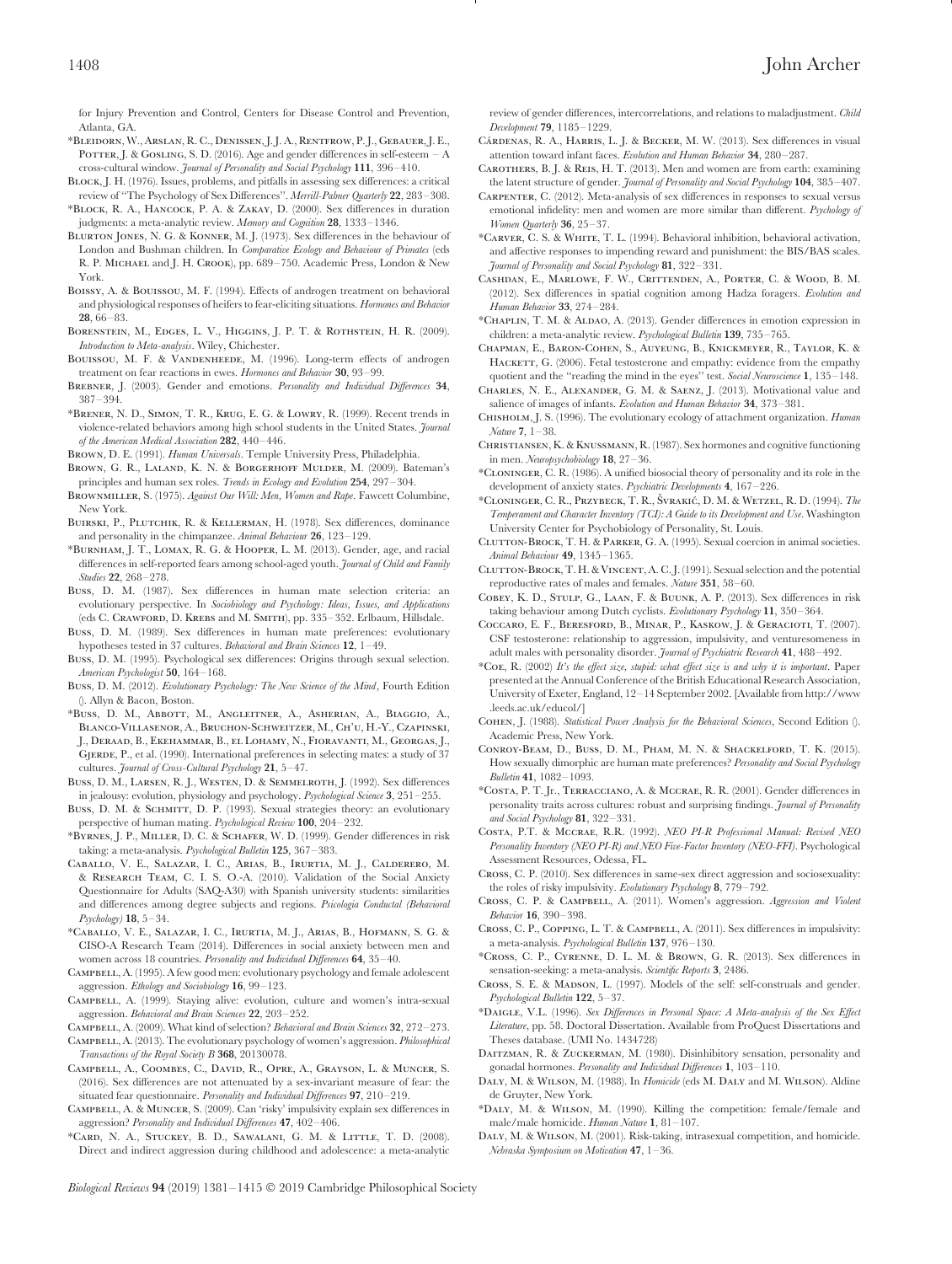for Injury Prevention and Control, Centers for Disease Control and Prevention, Atlanta, GA.

- \*Bleidorn, W., Arslan, R. C., Denissen, J. J. A., Rentfrow, P. J., Gebauer, J. E., POTTER, J. & GOSLING, S. D. (2016). Age and gender differences in self-esteem – A cross-cultural window. *Journal of Personality and Social Psychology* **111**, 396–410.
- Block, J. H. (1976). Issues, problems, and pitfalls in assessing sex differences: a critical review of ''The Psychology of Sex Differences''. *Merrill-Palmer Quarterly* **22**, 283–308.
- \*Block, R. A., Hancock, P. A. & Zakay, D. (2000). Sex differences in duration judgments: a meta-analytic review. *Memory and Cognition* **28**, 1333–1346.
- Blurton Jones, N. G. & Konner, M. J. (1973). Sex differences in the behaviour of London and Bushman children. In *Comparative Ecology and Behaviour of Primates* (eds R. P. MICHAEL and J. H. CROOK), pp. 689-750. Academic Press, London & New York.
- Boissy, A. & Bouissou, M. F. (1994). Effects of androgen treatment on behavioral and physiological responses of heifers to fear-eliciting situations. *Hormones and Behavior* **28**, 66–83.
- BORENSTEIN, M., EDGES, L. V., HIGGINS, J. P. T. & ROTHSTEIN, H. R. (2009). *Introduction to Meta-analysis*. Wiley, Chichester.
- BOUISSOU, M. F. & VANDENHEEDE, M. (1996). Long-term effects of androgen treatment on fear reactions in ewes. *Hormones and Behavior* **30**, 93–99.
- BREBNER, J. (2003). Gender and emotions. *Personality and Individual Differences* 34, 387–394.
- \*Brener, N. D., Simon, T. R., Krug, E. G. & Lowry, R. (1999). Recent trends in violence-related behaviors among high school students in the United States. *Journal of the American Medical Association* **282**, 440–446.
- Brown, D. E. (1991). *Human Universals*. Temple University Press, Philadelphia.
- Brown, G. R., Laland, K. N. & Borgerhoff Mulder, M. (2009). Bateman's principles and human sex roles. *Trends in Ecology and Evolution* **254**, 297–304.
- Brownmiller, S. (1975). *Against Our Will: Men, Women and Rape*. Fawcett Columbine, New York.
- Buirski, P., Plutchik, R. & Kellerman, H. (1978). Sex differences, dominance and personality in the chimpanzee. *Animal Behaviour* **26**, 123–129.
- \*Burnham, J. T., Lomax, R. G. & Hooper, L. M. (2013). Gender, age, and racial differences in self-reported fears among school-aged youth. *Journal of Child and Family Studies* **22**, 268–278.
- Buss, D. M. (1987). Sex differences in human mate selection criteria: an evolutionary perspective. In *Sociobiology and Psychology: Ideas, Issues, and Applications* (eds C. Crawford, D. Krebs and M. Smith), pp. 335–352. Erlbaum, Hillsdale.
- Buss, D. M. (1989). Sex differences in human mate preferences: evolutionary hypotheses tested in 37 cultures. *Behavioral and Brain Sciences* **12**, 1–49.
- Buss, D. M. (1995). Psychological sex differences: Origins through sexual selection. *American Psychologist* **50**, 164–168.
- Buss, D. M. (2012). *Evolutionary Psychology: The New Science of the Mind*, Fourth Edition (). Allyn & Bacon, Boston.
- \*Buss, D. M., Abbott, M., Angleitner, A., Asherian, A., Biaggio, A., Blanco-Villasenor, A., Bruchon-Schweitzer, M., Ch'u, H.-Y., Czapinski, J., Deraad, B., Ekehammar, B., el Lohamy, N., Fioravanti, M., Georgas, J., GJERDE, P., et al. (1990). International preferences in selecting mates: a study of 37 cultures. *Journal of Cross-Cultural Psychology* **21**, 5–47.
- Buss, D. M., Larsen, R. J., Westen, D. & Semmelroth, J. (1992). Sex differences in jealousy: evolution, physiology and psychology. *Psychological Science* **3**, 251–255.
- Buss, D. M. & SCHMITT, D. P. (1993). Sexual strategies theory: an evolutionary perspective of human mating. *Psychological Review* **100**, 204–232.
- \*Byrnes, J. P., Miller, D. C. & Schafer, W. D. (1999). Gender differences in risk taking: a meta-analysis. *Psychological Bulletin* **125**, 367–383.
- Caballo, V. E., Salazar, I. C., Arias, B., Irurtia, M. J., Calderero, M. & Research Team, C. I. S. O.-A. (2010). Validation of the Social Anxiety Questionnaire for Adults (SAQ-A30) with Spanish university students: similarities and differences among degree subjects and regions. *Psicologia Conductal (Behavioral Psychology)* **18**, 5–34.
- \*Caballo, V. E., Salazar, I. C., Irurtia, M. J., Arias, B., Hofmann, S. G. & CISO-A Research Team (2014). Differences in social anxiety between men and women across 18 countries. *Personality and Individual Differences* **64**, 35–40.
- CAMPBELL, A. (1995). A few good men: evolutionary psychology and female adolescent aggression. *Ethology and Sociobiology* **16**, 99–123.
- Campbell, A. (1999). Staying alive: evolution, culture and women's intra-sexual aggression. *Behavioral and Brain Sciences* **22**, 203–252.
- Campbell, A. (2009). What kind of selection? *Behavioral and Brain Sciences* **32**, 272–273.

Campbell, A. (2013). The evolutionary psychology of women's aggression. *Philosophical Transactions of the Royal Society B* **368**, 20130078.

- Campbell, A., Coombes, C., David, R., Opre, A., Grayson, L. & Muncer, S. (2016). Sex differences are not attenuated by a sex-invariant measure of fear: the situated fear questionnaire. *Personality and Individual Differences* **97**, 210–219.
- Campbell, A. & Muncer, S. (2009). Can 'risky' impulsivity explain sex differences in aggression? *Personality and Individual Differences* **47**, 402–406.
- \*Card, N. A., Stuckey, B. D., Sawalani, G. M. & Little, T. D. (2008). Direct and indirect aggression during childhood and adolescence: a meta-analytic

review of gender differences, intercorrelations, and relations to maladjustment. *Child Development* **79**, 1185–1229.

- CÁRDENAS, R. A., HARRIS, L. J. & BECKER, M. W. (2013). Sex differences in visual attention toward infant faces. *Evolution and Human Behavior* **34**, 280–287.
- Carothers, B. J. & Reis, H. T. (2013). Men and women are from earth: examining the latent structure of gender. *Journal of Personality and Social Psychology* **104**, 385–407.
- Carpenter, C. (2012). Meta-analysis of sex differences in responses to sexual versus emotional infidelity: men and women are more similar than different. *Psychology of Women Quarterly* **36**, 25–37.
- \*Carver, C. S. & White, T. L. (1994). Behavioral inhibition, behavioral activation, and affective responses to impending reward and punishment: the BIS/BAS scales. *Journal of Personality and Social Psychology* **81**, 322–331.
- Cashdan, E., Marlowe, F. W., Crittenden, A., Porter, C. & Wood, B. M. (2012). Sex differences in spatial cognition among Hadza foragers. *Evolution and Human Behavior* **33**, 274–284.
- \*Chaplin, T. M. & Aldao, A. (2013). Gender differences in emotion expression in children: a meta-analytic review. *Psychological Bulletin* **139**, 735–765.
- Chapman, E., Baron-Cohen, S., Auyeung, B., Knickmeyer, R., Taylor, K. & HACKETT, G. (2006). Fetal testosterone and empathy: evidence from the empathy quotient and the ''reading the mind in the eyes'' test. *Social Neuroscience* **1**, 135–148.
- Charles, N. E., Alexander, G. M. & Saenz, J. (2013). Motivational value and salience of images of infants. *Evolution and Human Behavior* **34**, 373–381.
- Chisholm, J. S. (1996). The evolutionary ecology of attachment organization. *Human Nature* **7**, 1–38.
- Christiansen, K. &Knussmann, R. (1987). Sex hormones and cognitive functioning in men. *Neuropsychobiology* **18**, 27–36.
- \*Cloninger, C. R. (1986). A unified biosocial theory of personality and its role in the development of anxiety states. *Psychiatric Developments* **4**, 167–226.
- \*CLONINGER, C. R., PRZYBECK, T. R., ŠVRAKIĆ, D. M. & WETZEL, R. D. (1994). *The Temperament and Character Inventory (TCI): A Guide to its Development and Use*. Washington University Center for Psychobiology of Personality, St. Louis.
- Clutton-Brock, T. H. & Parker, G. A. (1995). Sexual coercion in animal societies. *Animal Behaviour* **49**, 1345–1365.
- Clutton-Brock, T. H. &Vincent, A. C. J. (1991). Sexual selection and the potential reproductive rates of males and females. *Nature* **351**, 58–60.
- Cobey, K. D., Stulp, G., Laan, F. & Buunk, A. P. (2013). Sex differences in risk taking behaviour among Dutch cyclists. *Evolutionary Psychology* **11**, 350–364.
- Coccaro, E. F., Beresford, B., Minar, P., Kaskow, J. & Geracioti, T. (2007). CSF testosterone: relationship to aggression, impulsivity, and venturesomeness in adult males with personality disorder. *Journal of Psychiatric Research* **41**, 488–492.
- \*Coe, R. (2002) *It's the effect size, stupid: what effect size is and why it is important*. Paper presented at the Annual Conference of the British Educational Research Association, University of Exeter, England, 12–14 September 2002. [Available from [http://www](http://www.leeds.ac.uk/educol/) [.leeds.ac.uk/educol/\]](http://www.leeds.ac.uk/educol/)
- Cohen, J. (1988). *Statistical Power Analysis for the Behavioral Sciences*, Second Edition (). Academic Press, New York.
- Conroy-Beam, D., Buss, D. M., Pham, M. N. & Shackelford, T. K. (2015). How sexually dimorphic are human mate preferences? *Personality and Social Psychology Bulletin* **41**, 1082–1093.
- \*Costa, P. T. Jr., Terracciano, A. & Mccrae, R. R. (2001). Gender differences in personality traits across cultures: robust and surprising findings. *Journal of Personality and Social Psychology* **81**, 322–331.
- Costa, P.T. & Mccrae, R.R. (1992). *NEO PI-R Professional Manual: Revised NEO Personality Inventory (NEO PI-R) and NEO Five-Factor Inventory (NEO-FFI)*. Psychological Assessment Resources, Odessa, FL.
- Cross, C. P. (2010). Sex differences in same-sex direct aggression and sociosexuality: the roles of risky impulsivity. *Evolutionary Psychology* **8**, 779–792.
- Cross, C. P. & Campbell, A. (2011). Women's aggression. *Aggression and Violent Behavior* **16**, 390–398.
- Cross, C. P., Copping, L. T. & Campbell, A. (2011). Sex differences in impulsivity: a meta-analysis. *Psychological Bulletin* **137**, 976–130.
- \*Cross, C. P., Cyrenne, D. L. M. & Brown, G. R. (2013). Sex differences in sensation-seeking: a meta-analysis. *Scientific Reports* **3**, 2486.
- Cross, S. E. & MADSON, L. (1997). Models of the self: self-construals and gender. *Psychological Bulletin* **122**, 5–37.
- \*Daigle, V.L. (1996). *Sex Differences in Personal Space: A Meta-analysis of the Sex Effect Literature*, pp. 58. Doctoral Dissertation. Available from ProQuest Dissertations and Theses database. (UMI No. 1434728)
- DAITZMAN, R. & ZUCKERMAN, M. (1980). Disinhibitory sensation, personality and gonadal hormones. *Personality and Individual Differences* **1**, 103–110.
- Daly, M. & Wilson, M. (1988). In *Homicide* (eds M. Daly and M. Wilson). Aldine de Gruyter, New York.
- \*Daly, M. & Wilson, M. (1990). Killing the competition: female/female and male/male homicide. *Human Nature* **1**, 81–107.
- Daly, M. & Wilson, M. (2001). Risk-taking, intrasexual competition, and homicide. *Nebraska Symposium on Motivation* **47**, 1–36.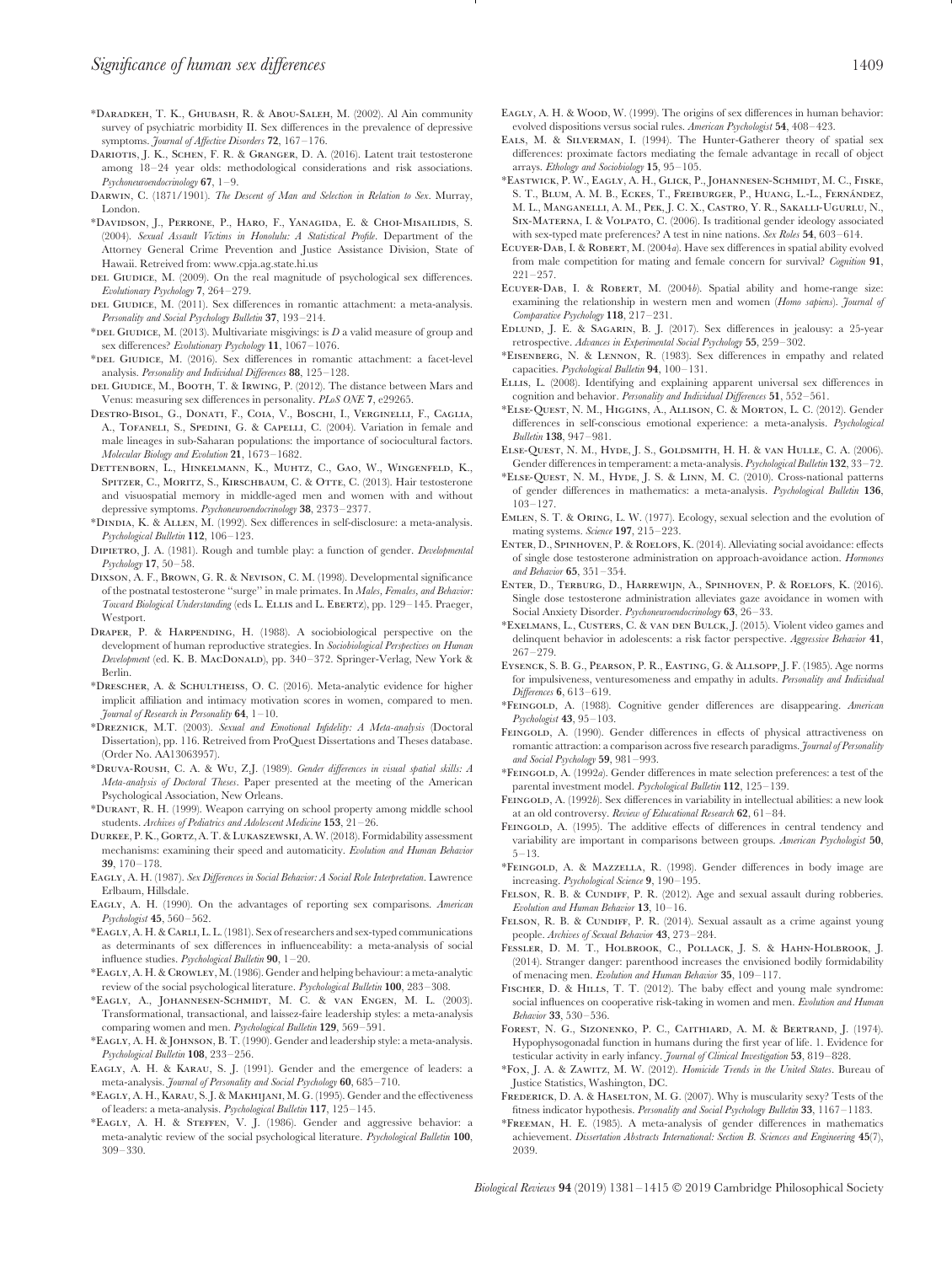- \*Daradkeh, T. K., Ghubash, R. & Abou-Saleh, M. (2002). Al Ain community survey of psychiatric morbidity II. Sex differences in the prevalence of depressive symptoms. *Journal of Affective Disorders* **72**, 167–176.
- DARIOTIS, J. K., SCHEN, F. R. & GRANGER, D. A. (2016). Latent trait testosterone among 18–24 year olds: methodological considerations and risk associations. *Psychoneuroendocrinology* **67**, 1–9.
- Darwin, C. (1871/1901). *The Descent of Man and Selection in Relation to Sex*. Murray, London.
- \*Davidson, J., Perrone, P., Haro, F., Yanagida, E. & Choi-Misailidis, S. (2004). *Sexual Assault Victims in Honolulu: A Statistical Profile*. Department of the Attorney General Crime Prevention and Justice Assistance Division, State of Hawaii. Retreived from: [www.cpja.ag.state.hi.us](http://www.cpja.ag.state.hi.us)
- DEL GIUDICE, M. (2009). On the real magnitude of psychological sex differences. *Evolutionary Psychology* **7**, 264–279.
- DEL GIUDICE, M. (2011). Sex differences in romantic attachment: a meta-analysis. *Personality and Social Psychology Bulletin* **37**, 193–214.
- \*DEL GIUDICE, M. (2013). Multivariate misgivings: is *D* a valid measure of group and sex differences? *Evolutionary Psychology* **11**, 1067–1076.
- \*DEL GIUDICE, M. (2016). Sex differences in romantic attachment: a facet-level analysis. *Personality and Individual Differences* **88**, 125–128.
- DEL GIUDICE, M., BOOTH, T. & IRWING, P. (2012). The distance between Mars and Venus: measuring sex differences in personality. *PLoS ONE* **7**, e29265.
- Destro-Bisol, G., Donati, F., Coia, V., Boschi, I., Verginelli, F., Caglia, A., TOFANELI, S., SPEDINI, G. & CAPELLI, C. (2004). Variation in female and male lineages in sub-Saharan populations: the importance of sociocultural factors. *Molecular Biology and Evolution* **21**, 1673–1682.
- Dettenborn, L., Hinkelmann, K., Muhtz, C., Gao, W., Wingenfeld, K., SPITZER, C., MORITZ, S., KIRSCHBAUM, C. & OTTE, C. (2013). Hair testosterone and visuospatial memory in middle-aged men and women with and without depressive symptoms. *Psychoneuroendocrinology* **38**, 2373–2377.
- \*Dindia, K. & Allen, M. (1992). Sex differences in self-disclosure: a meta-analysis. *Psychological Bulletin* **112**, 106–123.
- Dipietro, J. A. (1981). Rough and tumble play: a function of gender. *Developmental Psychology* **17**, 50–58.
- Dixson, A. F., Brown, G. R. & Nevison, C. M. (1998). Developmental significance of the postnatal testosterone ''surge'' in male primates. In *Males, Females, and Behavior: Toward Biological Understanding* (eds L. ELLIS and L. EBERTZ), pp. 129-145. Praeger, Westport.
- Draper, P. & Harpending, H. (1988). A sociobiological perspective on the development of human reproductive strategies. In *Sociobiological Perspectives on Human Development* (ed. K. B. MacDonald), pp. 340–372. Springer-Verlag, New York & Berlin.
- \*Drescher, A. & Schultheiss, O. C. (2016). Meta-analytic evidence for higher implicit affiliation and intimacy motivation scores in women, compared to men. *Journal of Research in Personality* **64**, 1–10.
- \*Dreznick, M.T. (2003). *Sexual and Emotional Infidelity: A Meta-analysis* (Doctoral Dissertation), pp. 116. Retreived from ProQuest Dissertations and Theses database. (Order No. AA13063957).
- \*Druva-Roush, C. A. & Wu, Z.J. (1989). *Gender differences in visual spatial skills: A Meta-analysis of Doctoral Theses*. Paper presented at the meeting of the American Psychological Association, New Orleans.
- \*Durant, R. H. (1999). Weapon carrying on school property among middle school students. *Archives of Pediatrics and Adolescent Medicine* **153**, 21–26.
- Durkee, P. K., Gortz, A. T. &Lukaszewski, A. W. (2018). Formidability assessment mechanisms: examining their speed and automaticity. *Evolution and Human Behavior* **39**, 170–178.
- Eagly, A. H. (1987). *Sex Differences in Social Behavior: A Social Role Interpretation*. Lawrence Erlbaum, Hillsdale.
- Eagly, A. H. (1990). On the advantages of reporting sex comparisons. *American Psychologist* **45**, 560–562.
- \*Eagly, A. H. &Carli, L. L. (1981). Sex of researchers and sex-typed communications as determinants of sex differences in influenceability: a meta-analysis of social influence studies. *Psychological Bulletin* **90**, 1–20.
- \*Eagly, A. H. &Crowley, M. (1986). Gender and helping behaviour: a meta-analytic review of the social psychological literature. *Psychological Bulletin* **100**, 283–308.
- \*Eagly, A., Johannesen-Schmidt, M. C. & van Engen, M. L. (2003). Transformational, transactional, and laissez-faire leadership styles: a meta-analysis comparing women and men. *Psychological Bulletin* **129**, 569–591.
- \*Eagly, A. H. & Johnson, B. T. (1990). Gender and leadership style: a meta-analysis. *Psychological Bulletin* **108**, 233–256.
- Eagly, A. H. & Karau, S. J. (1991). Gender and the emergence of leaders: a meta-analysis. *Journal of Personality and Social Psychology* **60**, 685–710.
- \*Eagly, A. H., Karau, S. J. & Makhijani, M. G. (1995). Gender and the effectiveness of leaders: a meta-analysis. *Psychological Bulletin* **117**, 125–145.
- \*Eagly, A. H. & Steffen, V. J. (1986). Gender and aggressive behavior: a meta-analytic review of the social psychological literature. *Psychological Bulletin* **100**, 309–330.
- EAGLY, A. H. & WOOD, W. (1999). The origins of sex differences in human behavior: evolved dispositions versus social rules. *American Psychologist* **54**, 408–423.
- EALS, M. & SILVERMAN, I. (1994). The Hunter-Gatherer theory of spatial sex differences: proximate factors mediating the female advantage in recall of object arrays. *Ethology and Sociobiology* **15**, 95–105.
- \*Eastwick, P. W., Eagly, A. H., Glick, P., Johannesen-Schmidt, M. C., Fiske, S. T., Blum, A. M. B., ECKES, T., FREIBURGER, P., HUANG, L.-L., FERNÁNDEZ, M. L., Manganelli, A. M., Pek, J. C. X., Castro, Y. R., Sakalli-Ugurlu, N., Six-Materna, I. & Volpato, C. (2006). Is traditional gender ideology associated with sex-typed mate preferences? A test in nine nations. *Sex Roles* **54**, 603–614.
- Ecuyer-Dab, I. & Robert, M. (2004*a*). Have sex differences in spatial ability evolved from male competition for mating and female concern for survival? *Cognition* **91**, 221–257.
- Ecuyer-Dab, I. & Robert, M. (2004*b*). Spatial ability and home-range size: examining the relationship in western men and women (*Homo sapiens*). *Journal of Comparative Psychology* **118**, 217–231.
- Edlund, J. E. & Sagarin, B. J. (2017). Sex differences in jealousy: a 25-year retrospective. *Advances in Experimental Social Psychology* **55**, 259–302.
- \*Eisenberg, N. & Lennon, R. (1983). Sex differences in empathy and related capacities. *Psychological Bulletin* **94**, 100–131.
- Ellis, L. (2008). Identifying and explaining apparent universal sex differences in cognition and behavior. *Personality and Individual Differences* **51**, 552–561.
- \*Else-Quest, N. M., Higgins, A., Allison, C. & Morton, L. C. (2012). Gender differences in self-conscious emotional experience: a meta-analysis. *Psychological Bulletin* **138**, 947–981.
- Else-Quest, N. M., Hyde, J. S., Goldsmith, H. H. & van Hulle, C. A. (2006). Gender differences in temperament: a meta-analysis. *Psychological Bulletin* **132**, 33–72.
- \*Else-Quest, N. M., Hyde, J. S. & Linn, M. C. (2010). Cross-national patterns of gender differences in mathematics: a meta-analysis. *Psychological Bulletin* **136**, 103–127.
- Emlen, S. T. & Oring, L. W. (1977). Ecology, sexual selection and the evolution of mating systems. *Science* **197**, 215–223.
- ENTER, D., SPINHOVEN, P. & ROELOFS, K. (2014). Alleviating social avoidance: effects of single dose testosterone administration on approach-avoidance action. *Hormones and Behavior* **65**, 351–354.
- Enter, D., Terburg, D., Harrewijn, A., Spinhoven, P. & Roelofs, K. (2016). Single dose testosterone administration alleviates gaze avoidance in women with Social Anxiety Disorder. *Psychoneuroendocrinology* **63**, 26–33.
- \*Exelmans, L., Custers, C. & van den Bulck, J. (2015). Violent video games and delinquent behavior in adolescents: a risk factor perspective. *Aggressive Behavior* **41**, 267–279.
- Eysenck, S. B. G., Pearson, P. R., Easting, G. & Allsopp, J. F. (1985). Age norms for impulsiveness, venturesomeness and empathy in adults. *Personality and Individual Differences* **6**, 613–619.
- \*Feingold, A. (1988). Cognitive gender differences are disappearing. *American Psychologist* **43**, 95–103.
- FEINGOLD, A. (1990). Gender differences in effects of physical attractiveness on romantic attraction: a comparison across five research paradigms. *Journal of Personality and Social Psychology* **59**, 981–993.
- \*Feingold, A. (1992*a*). Gender differences in mate selection preferences: a test of the parental investment model. *Psychological Bulletin* **112**, 125–139.
- FEINGOLD, A. (1992*b*). Sex differences in variability in intellectual abilities: a new look at an old controversy. *Review of Educational Research* **62**, 61–84.
- FEINGOLD, A. (1995). The additive effects of differences in central tendency and variability are important in comparisons between groups. *American Psychologist* **50**, 5–13.
- \*Feingold, A. & Mazzella, R. (1998). Gender differences in body image are increasing. *Psychological Science* **9**, 190–195.
- Felson, R. B. & Cundiff, P. R. (2012). Age and sexual assault during robberies. *Evolution and Human Behavior* **13**, 10–16.
- FELSON, R. B. & CUNDIFF, P. R. (2014). Sexual assault as a crime against young people. *Archives of Sexual Behavior* **43**, 273–284.
- Fessler, D. M. T., Holbrook, C., Pollack, J. S. & Hahn-Holbrook, J. (2014). Stranger danger: parenthood increases the envisioned bodily formidability of menacing men. *Evolution and Human Behavior* **35**, 109–117.
- Fischer, D. & Hills, T. T. (2012). The baby effect and young male syndrome: social influences on cooperative risk-taking in women and men. *Evolution and Human Behavior* **33**, 530–536.
- Forest, N. G., Sizonenko, P. C., Caithiard, A. M. & Bertrand, J. (1974). Hypophysogonadal function in humans during the first year of life. 1. Evidence for testicular activity in early infancy. *Journal of Clinical Investigation* **53**, 819–828.
- \*Fox, J. A. & Zawitz, M. W. (2012). *Homicide Trends in the United States*. Bureau of Justice Statistics, Washington, DC.
- FREDERICK, D. A. & HASELTON, M. G. (2007). Why is muscularity sexy? Tests of the fitness indicator hypothesis. *Personality and Social Psychology Bulletin* **33**, 1167–1183.
- \*Freeman, H. E. (1985). A meta-analysis of gender differences in mathematics achievement. *Dissertation Abstracts International: Section B. Sciences and Engineering* **45**(7), 2039.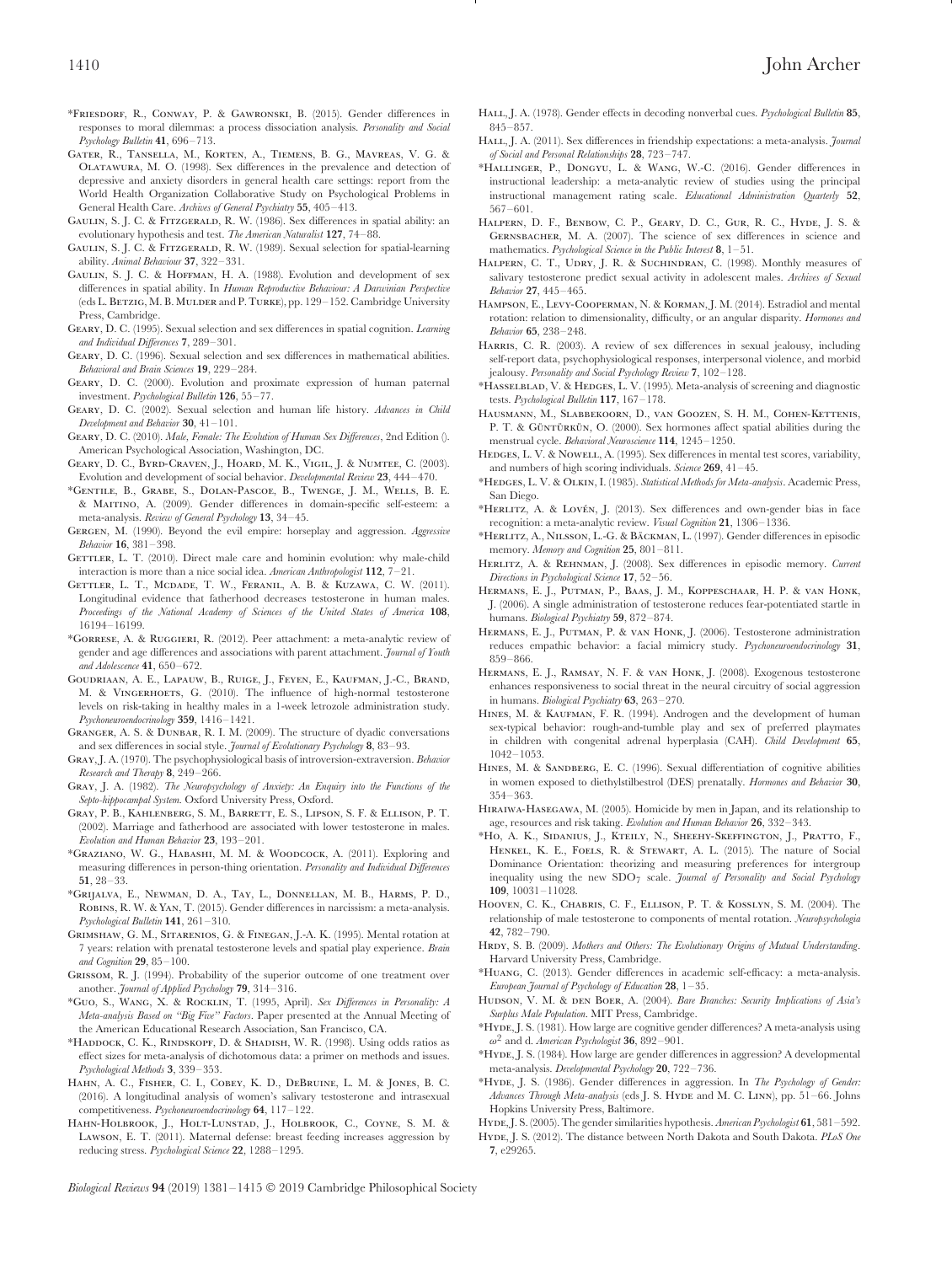- \*Friesdorf, R., Conway, P. & Gawronski, B. (2015). Gender differences in responses to moral dilemmas: a process dissociation analysis. *Personality and Social Psychology Bulletin* **41**, 696–713.
- Gater, R., Tansella, M., Korten, A., Tiemens, B. G., Mavreas, V. G. & Olatawura, M. O. (1998). Sex differences in the prevalence and detection of depressive and anxiety disorders in general health care settings: report from the World Health Organization Collaborative Study on Psychological Problems in General Health Care. *Archives of General Psychiatry* **55**, 405–413.
- GAULIN, S. J. C. & FITZGERALD, R. W. (1986). Sex differences in spatial ability: an evolutionary hypothesis and test. *The American Naturalist* **127**, 74–88.
- GAULIN, S. J. C. & FITZGERALD, R. W. (1989). Sexual selection for spatial-learning ability. *Animal Behaviour* **37**, 322–331.
- GAULIN, S. J. C. & HOFFMAN, H. A. (1988). Evolution and development of sex differences in spatial ability. In *Human Reproductive Behaviour: A Darwinian Perspective* (eds L. BETZIG, M. B. MULDER and P. TURKE), pp. 129-152. Cambridge University Press, Cambridge.
- Geary, D. C. (1995). Sexual selection and sex differences in spatial cognition. *Learning and Individual Differences* **7**, 289–301.
- Geary, D. C. (1996). Sexual selection and sex differences in mathematical abilities. *Behavioral and Brain Sciences* **19**, 229–284.
- Geary, D. C. (2000). Evolution and proximate expression of human paternal investment. *Psychological Bulletin* **126**, 55–77.
- Geary, D. C. (2002). Sexual selection and human life history. *Advances in Child Development and Behavior* **30**, 41–101.
- Geary, D. C. (2010). *Male, Female: The Evolution of Human Sex Differences*, 2nd Edition (). American Psychological Association, Washington, DC.
- Geary, D. C., Byrd-Craven, J., Hoard, M. K., Vigil, J. & Numtee, C. (2003). Evolution and development of social behavior. *Developmental Review* **23**, 444–470.
- \*Gentile, B., Grabe, S., Dolan-Pascoe, B., Twenge, J. M., Wells, B. E. & Maitino, A. (2009). Gender differences in domain-specific self-esteem: a meta-analysis. *Review of General Psychology* **13**, 34–45.
- GERGEN, M. (1990). Beyond the evil empire: horseplay and aggression. *Aggressive Behavior* **16**, 381–398.
- GETTLER, L. T. (2010). Direct male care and hominin evolution: why male-child interaction is more than a nice social idea. *American Anthropologist* **112**, 7–21.
- Gettler, L. T., Mcdade, T. W., Feranil, A. B. & Kuzawa, C. W. (2011). Longitudinal evidence that fatherhood decreases testosterone in human males. *Proceedings of the National Academy of Sciences of the United States of America* **108**, 16194–16199.
- \*Gorrese, A. & Ruggieri, R. (2012). Peer attachment: a meta-analytic review of gender and age differences and associations with parent attachment. *Journal of Youth and Adolescence* **41**, 650–672.
- Goudriaan, A. E., Lapauw, B., Ruige, J., Feyen, E., Kaufman, J.-C., Brand, M. & VINGERHOETS, G. (2010). The influence of high-normal testosterone levels on risk-taking in healthy males in a 1-week letrozole administration study. *Psychoneuroendocrinology* **359**, 1416–1421.
- Granger, A. S. & Dunbar, R. I. M. (2009). The structure of dyadic conversations and sex differences in social style. *Journal of Evolutionary Psychology* **8**, 83–93.
- Gray, J. A. (1970). The psychophysiological basis of introversion-extraversion. *Behavior Research and Therapy* **8**, 249–266.
- Gray, J. A. (1982). *The Neuropsychology of Anxiety: An Enquiry into the Functions of the Septo-hippocampal System*. Oxford University Press, Oxford.
- Gray, P. B., Kahlenberg, S. M., Barrett, E. S., Lipson, S. F. & Ellison, P. T. (2002). Marriage and fatherhood are associated with lower testosterone in males. *Evolution and Human Behavior* **23**, 193–201.
- \*Graziano, W. G., Habashi, M. M. & Woodcock, A. (2011). Exploring and measuring differences in person-thing orientation. *Personality and Individual Differences* **51**, 28–33.
- \*Grijalva, E., Newman, D. A., Tay, L., Donnellan, M. B., Harms, P. D., Robins, R. W. & Yan, T. (2015). Gender differences in narcissism: a meta-analysis. *Psychological Bulletin* **141**, 261–310.
- Grimshaw, G. M., Sitarenios, G. & Finegan, J.-A. K. (1995). Mental rotation at 7 years: relation with prenatal testosterone levels and spatial play experience. *Brain and Cognition* **29**, 85–100.
- GRISSOM, R. J. (1994). Probability of the superior outcome of one treatment over another. *Journal of Applied Psychology* **79**, 314–316.
- \*Guo, S., Wang, X. & Rocklin, T. (1995, April). *Sex Differences in Personality: A Meta-analysis Based on ''Big Five'' Factors*. Paper presented at the Annual Meeting of the American Educational Research Association, San Francisco, CA.
- \*Haddock, C. K., Rindskopf, D. & Shadish, W. R. (1998). Using odds ratios as effect sizes for meta-analysis of dichotomous data: a primer on methods and issues. *Psychological Methods* **3**, 339–353.
- Hahn, A. C., Fisher, C. I., Cobey, K. D., DeBruine, L. M. & Jones, B. C. (2016). A longitudinal analysis of women's salivary testosterone and intrasexual competitiveness. *Psychoneuroendocrinology* **64**, 117–122.
- Hahn-Holbrook, J., Holt-Lunstad, J., Holbrook, C., Coyne, S. M. & Lawson, E. T. (2011). Maternal defense: breast feeding increases aggression by reducing stress. *Psychological Science* **22**, 1288–1295.
- Hall, J. A. (1978). Gender effects in decoding nonverbal cues. *Psychological Bulletin* **85**, 845–857.
- Hall, J. A. (2011). Sex differences in friendship expectations: a meta-analysis. *Journal of Social and Personal Relationships* **28**, 723–747.
- \*Hallinger, P., Dongyu, L. & Wang, W.-C. (2016). Gender differences in instructional leadership: a meta-analytic review of studies using the principal instructional management rating scale. *Educational Administration Quarterly* **52**, 567–601.
- Halpern, D. F., Benbow, C. P., Geary, D. C., Gur, R. C., Hyde, J. S. & Gernsbacher, M. A. (2007). The science of sex differences in science and mathematics. *Psychological Science in the Public Interest* **8**, 1–51.
- HALPERN, C. T., UDRY, J. R. & SUCHINDRAN, C. (1998). Monthly measures of salivary testosterone predict sexual activity in adolescent males. *Archives of Sexual Behavior* **27**, 445–465.
- Hampson, E., Levy-Cooperman, N. & Korman, J. M. (2014). Estradiol and mental rotation: relation to dimensionality, difficulty, or an angular disparity. *Hormones and Behavior* **65**, 238–248.
- HARRIS, C. R. (2003). A review of sex differences in sexual jealousy, including self-report data, psychophysiological responses, interpersonal violence, and morbid jealousy. *Personality and Social Psychology Review* **7**, 102–128.
- \*Hasselblad, V. & Hedges, L. V. (1995). Meta-analysis of screening and diagnostic tests. *Psychological Bulletin* **117**, 167–178.
- Hausmann, M., Slabbekoorn, D., van Goozen, S. H. M., Cohen-Kettenis, P. T. & GÜNTÜRKÜN, O. (2000). Sex hormones affect spatial abilities during the menstrual cycle. *Behavioral Neuroscience* **114**, 1245–1250.
- HEDGES, L. V. & NOWELL, A. (1995). Sex differences in mental test scores, variability, and numbers of high scoring individuals. *Science* **269**, 41–45.
- \*Hedges, L. V. & Olkin, I. (1985). *Statistical Methods for Meta-analysis*. Academic Press, San Diego.
- \*HERLITZ, A. & LOVÉN, J. (2013). Sex differences and own-gender bias in face recognition: a meta-analytic review. *Visual Cognition* **21**, 1306–1336.
- \*HERLITZ, A., NILSSON, L.-G. & BACKMAN, L. (1997). Gender differences in episodic memory. *Memory and Cognition* **25**, 801–811.
- HERLITZ, A. & REHNMAN, J. (2008). Sex differences in episodic memory. *Current Directions in Psychological Science* **17**, 52–56.
- Hermans, E. J., Putman, P., Baas, J. M., Koppeschaar, H. P. & van Honk, J. (2006). A single administration of testosterone reduces fear-potentiated startle in humans. *Biological Psychiatry* **59**, 872–874.
- Hermans, E. J., Putman, P. & van Honk, J. (2006). Testosterone administration reduces empathic behavior: a facial mimicry study. *Psychoneuroendocrinology* **31**, 859–866.
- Hermans, E. J., Ramsay, N. F. & van Honk, J. (2008). Exogenous testosterone enhances responsiveness to social threat in the neural circuitry of social aggression in humans. *Biological Psychiatry* **63**, 263–270.
- HINES, M. & KAUFMAN, F. R. (1994). Androgen and the development of human sex-typical behavior: rough-and-tumble play and sex of preferred playmates in children with congenital adrenal hyperplasia (CAH). *Child Development* **65**, 1042–1053.
- HINES, M. & SANDBERG, E. C. (1996). Sexual differentiation of cognitive abilities in women exposed to diethylstilbestrol (DES) prenatally. *Hormones and Behavior* **30**, 354–363.
- Hiraiwa-Hasegawa, M. (2005). Homicide by men in Japan, and its relationship to age, resources and risk taking. *Evolution and Human Behavior* **26**, 332–343.
- \*Ho, A. K., Sidanius, J., Kteily, N., Sheehy-Skeffington, J., Pratto, F., Henkel, K. E., Foels, R. & Stewart, A. L. (2015). The nature of Social Dominance Orientation: theorizing and measuring preferences for intergroup inequality using the new SDO7 scale. *Journal of Personality and Social Psychology* **109**, 10031–11028.
- Hooven, C. K., Chabris, C. F., Ellison, P. T. & Kosslyn, S. M. (2004). The relationship of male testosterone to components of mental rotation. *Neuropsychologia* **42**, 782–790.
- HRDY, S. B. (2009). *Mothers and Others: The Evolutionary Origins of Mutual Understanding* Harvard University Press, Cambridge.
- \*Huang, C. (2013). Gender differences in academic self-efficacy: a meta-analysis. *European Journal of Psychology of Education* **28**, 1–35.
- HUDSON, V. M. & DEN BOER, A. (2004). *Bare Branches: Security Implications of Asia's Surplus Male Population*. MIT Press, Cambridge.
- \*Hyde, J. S. (1981). How large are cognitive gender differences? A meta-analysis using *ω*<sup>2</sup> and d. *American Psychologist* **36**, 892–901.
- \*Hyde, J. S. (1984). How large are gender differences in aggression? A developmental meta-analysis. *Developmental Psychology* **20**, 722–736.
- \*Hyde, J. S. (1986). Gender differences in aggression. In *The Psychology of Gender:* Advances Through Meta-analysis (eds J. S. HYDE and M. C. LINN), pp. 51-66. Johns Hopkins University Press, Baltimore.
- Hyde, J. S. (2005). The gender similarities hypothesis. *American Psychologist* **61**, 581–592.
- Hyde, J. S. (2012). The distance between North Dakota and South Dakota. *PLoS One* **7**, e29265.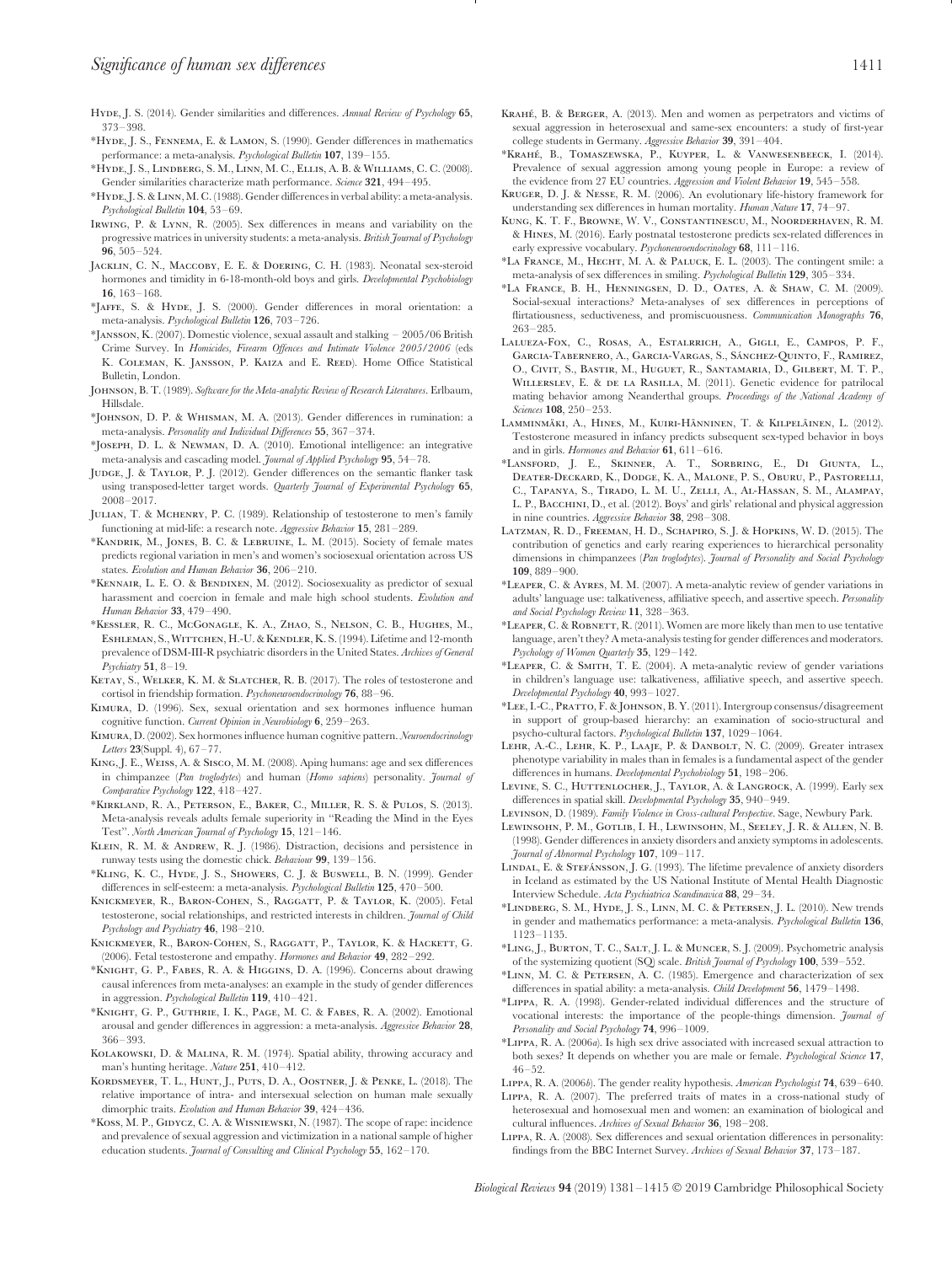- Hyde, J. S. (2014). Gender similarities and differences. *Annual Review of Psychology* **65**, 373–398.
- \*Hyde, J. S., Fennema, E. & Lamon, S. (1990). Gender differences in mathematics performance: a meta-analysis. *Psychological Bulletin* **107**, 139–155.
- \*Hyde, J. S., Lindberg, S. M., Linn, M. C., Ellis, A. B. & Williams, C. C. (2008). Gender similarities characterize math performance. *Science* **321**, 494–495.
- \*Hyde, J. S. &Linn, M. C. (1988). Gender differences in verbal ability: a meta-analysis. *Psychological Bulletin* **104**, 53–69.
- Irwing, P. & Lynn, R. (2005). Sex differences in means and variability on the progressive matrices in university students: a meta-analysis. *British Journal of Psychology* **96**, 505–524.
- Jacklin, C. N., Maccoby, E. E. & Doering, C. H. (1983). Neonatal sex-steroid hormones and timidity in 6-18-month-old boys and girls. *Developmental Psychobiology* **16**, 163–168.
- \*Jaffe, S. & Hyde, J. S. (2000). Gender differences in moral orientation: a meta-analysis. *Psychological Bulletin* **126**, 703–726.
- \*Jansson, K. (2007). Domestic violence, sexual assault and stalking 2005/06 British Crime Survey. In *Homicides, Firearm Offences and Intimate Violence 2005/2006* (eds K. COLEMAN, K. JANSSON, P. KAIZA and E. REED). Home Office Statistical Bulletin, London.
- Johnson, B. T. (1989). *Software for the Meta-analytic Review of Research Literatures*. Erlbaum, Hillsdale.
- \*Johnson, D. P. & Whisman, M. A. (2013). Gender differences in rumination: a meta-analysis. *Personality and Individual Differences* **55**, 367–374.
- \*Joseph, D. L. & Newman, D. A. (2010). Emotional intelligence: an integrative meta-analysis and cascading model. *Journal of Applied Psychology* **95**, 54–78.
- JUDGE, J. & TAYLOR, P. J. (2012). Gender differences on the semantic flanker task using transposed-letter target words. *Quarterly Journal of Experimental Psychology* **65**, 2008–2017.
- Julian, T. & Mchenry, P. C. (1989). Relationship of testosterone to men's family functioning at mid-life: a research note. *Aggressive Behavior* **15**, 281–289.
- \*Kandrik, M., Jones, B. C. & Lebruine, L. M. (2015). Society of female mates predicts regional variation in men's and women's sociosexual orientation across US states. *Evolution and Human Behavior* **36**, 206–210.
- \*Kennair, L. E. O. & Bendixen, M. (2012). Sociosexuality as predictor of sexual harassment and coercion in female and male high school students. *Evolution and Human Behavior* **33**, 479–490.
- \*Kessler, R. C., McGonagle, K. A., Zhao, S., Nelson, C. B., Hughes, M., ESHLEMAN, S., WITTCHEN, H.-U. & KENDLER, K. S. (1994). Lifetime and 12-month prevalence of DSM-III-R psychiatric disorders in the United States. *Archives of General Psychiatry* **51**, 8–19.
- KETAY, S., WELKER, K. M. & SLATCHER, R. B. (2017). The roles of testosterone and cortisol in friendship formation. *Psychoneuroendocrinology* **76**, 88–96.
- Kimura, D. (1996). Sex, sexual orientation and sex hormones influence human cognitive function. *Current Opinion in Neurobiology* **6**, 259–263.
- Kimura, D. (2002). Sex hormones influence human cognitive pattern. *Neuroendocrinology Letters* **23**(Suppl. 4), 67–77.
- King, J. E., Weiss, A. & Sisco, M. M. (2008). Aping humans: age and sex differences in chimpanzee (*Pan troglodytes*) and human (*Homo sapiens*) personality. *Journal of Comparative Psychology* **122**, 418–427.
- \*Kirkland, R. A., Peterson, E., Baker, C., Miller, R. S. & Pulos, S. (2013). Meta-analysis reveals adults female superiority in ''Reading the Mind in the Eyes Test''. *North American Journal of Psychology* **15**, 121–146.
- KLEIN, R. M. & ANDREW, R. J. (1986). Distraction, decisions and persistence in runway tests using the domestic chick. *Behaviour* **99**, 139–156.
- \*Kling, K. C., Hyde, J. S., Showers, C. J. & Buswell, B. N. (1999). Gender differences in self-esteem: a meta-analysis. *Psychological Bulletin* **125**, 470–500.
- KNICKMEYER, R., BARON-COHEN, S., RAGGATT, P. & TAYLOR, K. (2005). Fetal testosterone, social relationships, and restricted interests in children. *Journal of Child Psychology and Psychiatry* **46**, 198–210.
- Knickmeyer, R., Baron-Cohen, S., Raggatt, P., Taylor, K. & Hackett, G. (2006). Fetal testosterone and empathy. *Hormones and Behavior* **49**, 282–292.
- \*Knight, G. P., Fabes, R. A. & Higgins, D. A. (1996). Concerns about drawing causal inferences from meta-analyses: an example in the study of gender differences in aggression. *Psychological Bulletin* **119**, 410–421.
- \*Knight, G. P., Guthrie, I. K., Page, M. C. & Fabes, R. A. (2002). Emotional arousal and gender differences in aggression: a meta-analysis. *Aggressive Behavior* **28**, 366–393.
- Kolakowski, D. & Malina, R. M. (1974). Spatial ability, throwing accuracy and man's hunting heritage. *Nature* **251**, 410–412.
- KORDSMEYER, T. L., HUNT, J., PUTS, D. A., OOSTNER, J. & PENKE, L. (2018). The relative importance of intra- and intersexual selection on human male sexually dimorphic traits. *Evolution and Human Behavior* **39**, 424–436.
- \*Koss, M. P., Gidycz, C. A. & Wisniewski, N. (1987). The scope of rape: incidence and prevalence of sexual aggression and victimization in a national sample of higher education students. *Journal of Consulting and Clinical Psychology* **55**, 162–170.
- KRAHÉ, B. & BERGER, A. (2013). Men and women as perpetrators and victims of sexual aggression in heterosexual and same-sex encounters: a study of first-year college students in Germany. *Aggressive Behavior* **39**, 391–404.
- \*Krahe´, B., Tomaszewska, P., Kuyper, L. & Vanwesenbeeck, I. (2014). Prevalence of sexual aggression among young people in Europe: a review of the evidence from 27 EU countries. *Aggression and Violent Behavior* **19**, 545–558.
- Kruger, D. J. & Nesse, R. M. (2006). An evolutionary life-history framework for understanding sex differences in human mortality. *Human Nature* **17**, 74–97.
- Kung, K. T. F., Browne, W. V., Constantinescu, M., Noorderhaven, R. M. & Hines, M. (2016). Early postnatal testosterone predicts sex-related differences in early expressive vocabulary. *Psychoneuroendocrinology* **68**, 111–116.
- \*La France, M., Hecht, M. A. & Paluck, E. L. (2003). The contingent smile: a meta-analysis of sex differences in smiling. *Psychological Bulletin* **129**, 305–334.
- \*La France, B. H., Henningsen, D. D., Oates, A. & Shaw, C. M. (2009). Social-sexual interactions? Meta-analyses of sex differences in perceptions of flirtatiousness, seductiveness, and promiscuousness. *Communication Monographs* **76**, 263–285.
- Lalueza-Fox, C., Rosas, A., Estalrrich, A., Gigli, E., Campos, P. F., GARCIA-TABERNERO, A., GARCIA-VARGAS, S., SÁNCHEZ-QUINTO, F., RAMIREZ, O., Civit, S., Bastir, M., Huguet, R., Santamaria, D., Gilbert, M. T. P., Willerslev, E. & de la Rasilla, M. (2011). Genetic evidence for patrilocal mating behavior among Neanderthal groups. *Proceedings of the National Academy of Sciences* **108**, 250–253.
- LAMMINMÄKI, A., HINES, M., KUIRI-HÄNNINEN, T. & KILPELÄINEN, L. (2012). Testosterone measured in infancy predicts subsequent sex-typed behavior in boys and in girls. *Hormones and Behavior* **61**, 611–616.
- \*Lansford, J. E., Skinner, A. T., Sorbring, E., Di Giunta, L., Deater-Deckard, K., Dodge, K. A., Malone, P. S., Oburu, P., Pastorelli, C., Tapanya, S., Tirado, L. M. U., Zelli, A., Al-Hassan, S. M., Alampay, L. P., BACCHINI, D., et al. (2012). Boys' and girls' relational and physical aggression in nine countries. *Aggressive Behavior* **38**, 298–308.
- Latzman, R. D., Freeman, H. D., Schapiro, S. J. & Hopkins, W. D. (2015). The contribution of genetics and early rearing experiences to hierarchical personality dimensions in chimpanzees (*Pan troglodytes*). *Journal of Personality and Social Psychology* **109**, 889–900.
- \*Leaper, C. & Ayres, M. M. (2007). A meta-analytic review of gender variations in adults' language use: talkativeness, affiliative speech, and assertive speech. *Personality and Social Psychology Review* **11**, 328–363.
- \*Leaper, C. & Robnett, R. (2011). Women are more likely than men to use tentative language, aren't they? A meta-analysis testing for gender differences and moderators. *Psychology of Women Quarterly* **35**, 129–142.
- \*Leaper, C. & Smith, T. E. (2004). A meta-analytic review of gender variations in children's language use: talkativeness, affiliative speech, and assertive speech. *Developmental Psychology* **40**, 993–1027.
- \*Lee, I.-C., Pratto, F. & Johnson, B. Y. (2011). Intergroup consensus/disagreement in support of group-based hierarchy: an examination of socio-structural and psycho-cultural factors. *Psychological Bulletin* **137**, 1029–1064.
- Lehr, A.-C., Lehr, K. P., Laaje, P. & Danbolt, N. C. (2009). Greater intrasex phenotype variability in males than in females is a fundamental aspect of the gender differences in humans. *Developmental Psychobiology* **51**, 198–206.
- LEVINE, S. C., HUTTENLOCHER, J., TAYLOR, A. & LANGROCK, A. (1999). Early sex differences in spatial skill. *Developmental Psychology* **35**, 940–949.
- Levinson, D. (1989). *Family Violence in Cross-cultural Perspective*. Sage, Newbury Park.
- Lewinsohn, P. M., Gotlib, I. H., Lewinsohn, M., Seeley, J. R. & Allen, N. B. (1998). Gender differences in anxiety disorders and anxiety symptoms in adolescents. *Journal of Abnormal Psychology* **107**, 109–117.
- LINDAL, E. & STEFÁNSSON, J. G. (1993). The lifetime prevalence of anxiety disorders in Iceland as estimated by the US National Institute of Mental Health Diagnostic Interview Schedule. *Acta Psychiatrica Scandinavica* **88**, 29–34.
- \*Lindberg, S. M., Hyde, J. S., Linn, M. C. & Petersen, J. L. (2010). New trends in gender and mathematics performance: a meta-analysis. *Psychological Bulletin* **136**, 1123–1135.
- \*Ling, J., Burton, T. C., Salt, J. L. & Muncer, S. J. (2009). Psychometric analysis of the systemizing quotient (SQ) scale. *British Journal of Psychology* **100**, 539–552.
- \*Linn, M. C. & Petersen, A. C. (1985). Emergence and characterization of sex differences in spatial ability: a meta-analysis. *Child Development* **56**, 1479–1498.
- \*Lippa, R. A. (1998). Gender-related individual differences and the structure of vocational interests: the importance of the people-things dimension. *Journal of Personality and Social Psychology* **74**, 996–1009.
- \*Lippa, R. A. (2006*a*). Is high sex drive associated with increased sexual attraction to both sexes? It depends on whether you are male or female. *Psychological Science* **17**, 46–52.
- Lippa, R. A. (2006*b*). The gender reality hypothesis. *American Psychologist* **74**, 639–640.
- Lippa, R. A. (2007). The preferred traits of mates in a cross-national study of heterosexual and homosexual men and women: an examination of biological and cultural influences. *Archives of Sexual Behavior* **36**, 198–208.
- Lippa, R. A. (2008). Sex differences and sexual orientation differences in personality: findings from the BBC Internet Survey. *Archives of Sexual Behavior* **37**, 173–187.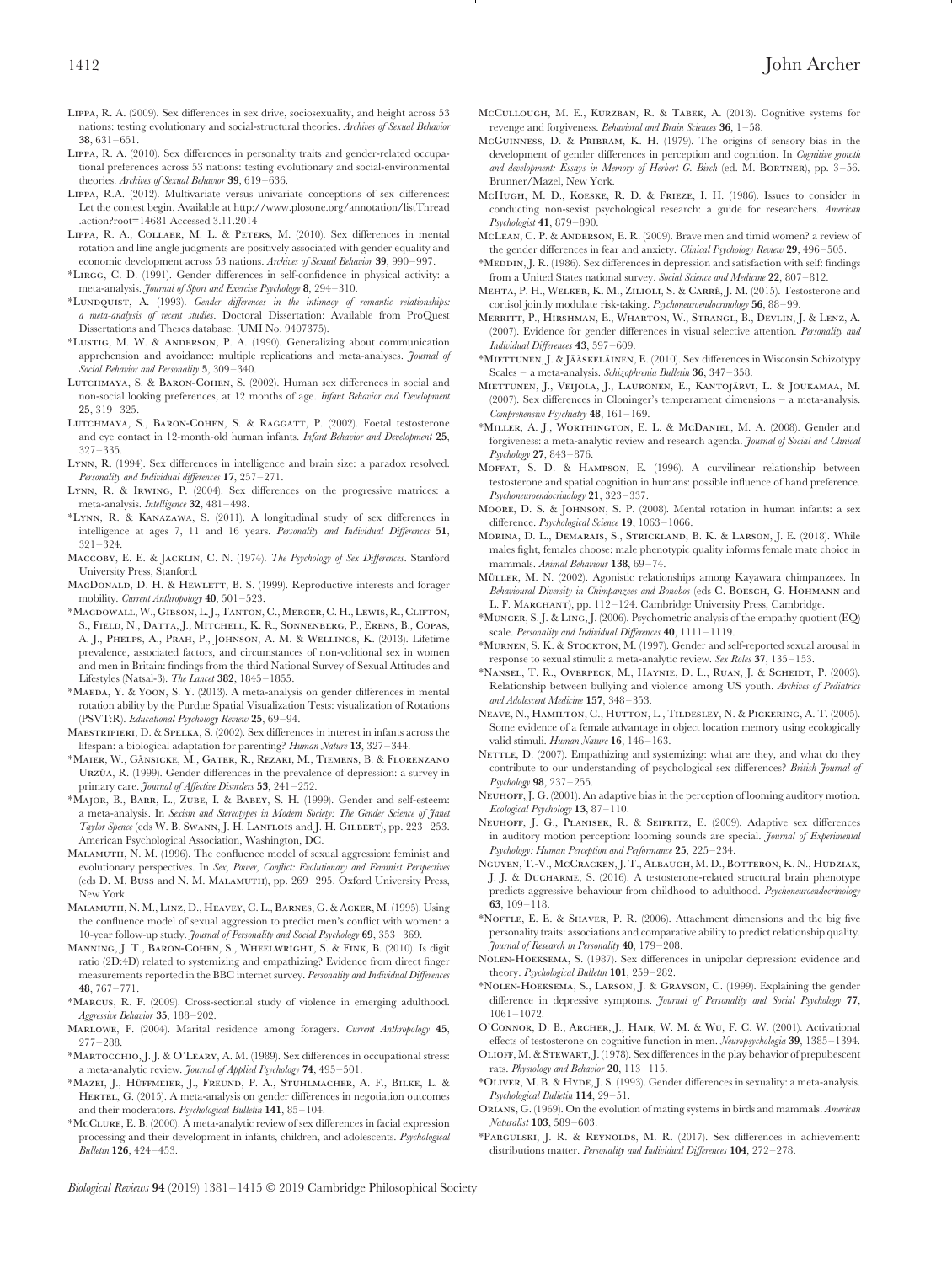- Lippa, R. A. (2009). Sex differences in sex drive, sociosexuality, and height across 53 nations: testing evolutionary and social-structural theories. *Archives of Sexual Behavior* **38**, 631–651.
- Lippa, R. A. (2010). Sex differences in personality traits and gender-related occupational preferences across 53 nations: testing evolutionary and social-environmental theories. *Archives of Sexual Behavior* **39**, 619–636.
- Lippa, R.A. (2012). Multivariate versus univariate conceptions of sex differences: Let the contest begin. Available at [http://www.plosone.org/annotation/listThread](http://www.plosone.org/annotation/listThread.action?root=14681) [.action?root=14681](http://www.plosone.org/annotation/listThread.action?root=14681) Accessed 3.11.2014
- Lippa, R. A., Collaer, M. L. & Peters, M. (2010). Sex differences in mental rotation and line angle judgments are positively associated with gender equality and economic development across 53 nations. *Archives of Sexual Behavior* **39**, 990–997.
- \*Lirgg, C. D. (1991). Gender differences in self-confidence in physical activity: a meta-analysis. *Journal of Sport and Exercise Psychology* **8**, 294–310.
- \*Lundquist, A. (1993). *Gender differences in the intimacy of romantic relationships: a meta-analysis of recent studies*. Doctoral Dissertation: Available from ProQuest Dissertations and Theses database. (UMI No. 9407375).
- \*Lustig, M. W. & Anderson, P. A. (1990). Generalizing about communication apprehension and avoidance: multiple replications and meta-analyses. *Journal of Social Behavior and Personality* **5**, 309–340.
- LUTCHMAYA, S. & BARON-COHEN, S. (2002). Human sex differences in social and non-social looking preferences, at 12 months of age. *Infant Behavior and Development* **25**, 319–325.
- LUTCHMAYA, S., BARON-COHEN, S. & RAGGATT, P. (2002). Foetal testosterone and eye contact in 12-month-old human infants. *Infant Behavior and Development* **25**, 327–335.
- Lynn, R. (1994). Sex differences in intelligence and brain size: a paradox resolved. *Personality and Individual differences* **17**, 257–271.
- Lynn, R. & Irwing, P. (2004). Sex differences on the progressive matrices: a meta-analysis. *Intelligence* **32**, 481–498.
- \*Lynn, R. & Kanazawa, S. (2011). A longitudinal study of sex differences in intelligence at ages 7, 11 and 16 years. *Personality and Individual Differences* **51**, 321–324.
- Maccoby, E. E. & Jacklin, C. N. (1974). *The Psychology of Sex Differences*. Stanford University Press, Stanford.
- MACDONALD, D. H. & HEWLETT, B. S. (1999). Reproductive interests and forager mobility. *Current Anthropology* **40**, 501–523.
- \*Macdowall, W., Gibson, L. J., Tanton, C., Mercer, C. H., Lewis, R.,Clifton, S., Field, N., Datta, J., Mitchell, K. R., Sonnenberg, P., Erens, B., Copas, A. J., Phelps, A., Prah, P., Johnson, A. M. & Wellings, K. (2013). Lifetime prevalence, associated factors, and circumstances of non-volitional sex in women and men in Britain: findings from the third National Survey of Sexual Attitudes and Lifestyles (Natsal-3). *The Lancet* **382**, 1845–1855.
- \*Maeda, Y. & Yoon, S. Y. (2013). A meta-analysis on gender differences in mental rotation ability by the Purdue Spatial Visualization Tests: visualization of Rotations (PSVT:R). *Educational Psychology Review* **25**, 69–94.
- Maestripieri, D. & Spelka, S. (2002). Sex differences in interest in infants across the lifespan: a biological adaptation for parenting? *Human Nature* **13**, 327–344.
- \*MAIER, W., GÄNSICKE, M., GATER, R., REZAKI, M., TIEMENS, B. & FLORENZANO URZÚA, R. (1999). Gender differences in the prevalence of depression: a survey in primary care. *Journal of Affective Disorders* **53**, 241–252.
- \*Major, B., Barr, L., Zube, I. & Babey, S. H. (1999). Gender and self-esteem: a meta-analysis. In *Sexism and Stereotypes in Modern Society: The Gender Science of Janet Taylor Spence* (eds W. B. Swann, J. H. Lanflois and J. H. Gilbert), pp. 223–253. American Psychological Association, Washington, DC.
- Malamuth, N. M. (1996). The confluence model of sexual aggression: feminist and evolutionary perspectives. In *Sex, Power, Conflict: Evolutionary and Feminist Perspectives* (eds D. M. Buss and N. M. Malamuth), pp. 269–295. Oxford University Press, New York.
- Malamuth, N. M., Linz, D., Heavey, C. L., Barnes, G. & Acker, M. (1995). Using the confluence model of sexual aggression to predict men's conflict with women: a 10-year follow-up study. *Journal of Personality and Social Psychology* **69**, 353–369.
- Manning, J. T., Baron-Cohen, S., Wheelwright, S. & Fink, B. (2010). Is digit ratio (2D:4D) related to systemizing and empathizing? Evidence from direct finger measurements reported in the BBC internet survey. *Personality and Individual Differences* **48**, 767–771.
- \*Marcus, R. F. (2009). Cross-sectional study of violence in emerging adulthood. *Aggressive Behavior* **35**, 188–202.
- Marlowe, F. (2004). Marital residence among foragers. *Current Anthropology* **45**, 277–288.
- \*Martocchio, J. J. & O'Leary, A. M. (1989). Sex differences in occupational stress: a meta-analytic review. *Journal of Applied Psychology* **74**, 495–501.
- \*Mazei, J., Hüffmeier, J., Freund, P. A., Stuhlmacher, A. F., Bilke, L. & HERTEL, G. (2015). A meta-analysis on gender differences in negotiation outcomes and their moderators. *Psychological Bulletin* **141**, 85–104.
- \*McClure, E. B. (2000). A meta-analytic review of sex differences in facial expression processing and their development in infants, children, and adolescents. *Psychological Bulletin* **126**, 424–453.
- McCullough, M. E., Kurzban, R. & Tabek, A. (2013). Cognitive systems for revenge and forgiveness. *Behavioral and Brain Sciences* **36**, 1–58.
- McGuinness, D. & Pribram, K. H. (1979). The origins of sensory bias in the development of gender differences in perception and cognition. In *Cognitive growth* and development: Essays in Memory of Herbert G. Birch (ed. M. BORTNER), pp. 3-56. Brunner/Mazel, New York.
- McHugh, M. D., Koeske, R. D. & Frieze, I. H. (1986). Issues to consider in conducting non-sexist psychological research: a guide for researchers. *American Psychologist* **41**, 879–890.
- McLean, C. P. & Anderson, E. R. (2009). Brave men and timid women? a review of the gender differences in fear and anxiety. *Clinical Psychology Review* **29**, 496–505.
- \*Meddin, J. R. (1986). Sex differences in depression and satisfaction with self: findings from a United States national survey. *Social Science and Medicine* **22**, 807–812.
- MEHTA, P. H., WELKER, K. M., ZILIOLI, S. & CARRÉ, J. M. (2015). Testosterone and cortisol jointly modulate risk-taking. *Psychoneuroendocrinology* **56**, 88–99.
- Merritt, P., Hirshman, E., Wharton, W., Strangl, B., Devlin, J. & Lenz, A. (2007). Evidence for gender differences in visual selective attention. *Personality and Individual Differences* **43**, 597–609.
- \*MIETTUNEN, J. & JÄÄSKELÄINEN, E. (2010). Sex differences in Wisconsin Schizotypy Scales – a meta-analysis. *Schizophrenia Bulletin* **36**, 347–358.
- MIETTUNEN, J., VEIJOLA, J., LAURONEN, E., KANTOJÄRVI, L. & JOUKAMAA, M. (2007). Sex differences in Cloninger's temperament dimensions – a meta-analysis. *Comprehensive Psychiatry* **48**, 161–169.
- \*Miller, A. J., Worthington, E. L. & McDaniel, M. A. (2008). Gender and forgiveness: a meta-analytic review and research agenda. *Journal of Social and Clinical Psychology* **27**, 843–876.
- Moffat, S. D. & Hampson, E. (1996). A curvilinear relationship between testosterone and spatial cognition in humans: possible influence of hand preference. *Psychoneuroendocrinology* **21**, 323–337.
- Moore, D. S. & Johnson, S. P. (2008). Mental rotation in human infants: a sex difference. *Psychological Science* **19**, 1063–1066.
- Morina, D. L., Demarais, S., Strickland, B. K. & Larson, J. E. (2018). While males fight, females choose: male phenotypic quality informs female mate choice in mammals. *Animal Behaviour* **138**, 69–74.
- MÜLLER, M. N. (2002). Agonistic relationships among Kayawara chimpanzees. In *Behavioural Diversity in Chimpanzees and Bonobos* (eds C. Boesch, G. Hohmann and L. F. Marchant), pp. 112–124. Cambridge University Press, Cambridge.
- \*Muncer, S. J. & Ling, J. (2006). Psychometric analysis of the empathy quotient (EQ) scale. *Personality and Individual Differences* **40**, 1111–1119.
- \*Murnen, S. K. & Stockton, M. (1997). Gender and self-reported sexual arousal in response to sexual stimuli: a meta-analytic review. *Sex Roles* **37**, 135–153.
- \*Nansel, T. R., Overpeck, M., Haynie, D. L., Ruan, J. & Scheidt, P. (2003). Relationship between bullying and violence among US youth. *Archives of Pediatrics and Adolescent Medicine* **157**, 348–353.
- Neave, N., Hamilton, C., Hutton, L., Tildesley, N. & Pickering, A. T. (2005). Some evidence of a female advantage in object location memory using ecologically valid stimuli. *Human Nature* **16**, 146–163.
- NETTLE, D. (2007). Empathizing and systemizing: what are they, and what do they contribute to our understanding of psychological sex differences? *British Journal of Psychology* **98**, 237–255.
- NEUHOFF, J. G. (2001). An adaptive bias in the perception of looming auditory motion. *Ecological Psychology* **13**, 87–110.
- Neuhoff, J. G., Planisek, R. & Seifritz, E. (2009). Adaptive sex differences in auditory motion perception: looming sounds are special. *Journal of Experimental Psychology: Human Perception and Performance* **25**, 225–234.
- Nguyen, T.-V., McCracken, J. T., Albaugh, M. D., Botteron, K. N., Hudziak, J. J. & Ducharme, S. (2016). A testosterone-related structural brain phenotype predicts aggressive behaviour from childhood to adulthood. *Psychoneuroendocrinology* **63**, 109–118.
- \*Noftle, E. E. & Shaver, P. R. (2006). Attachment dimensions and the big five personality traits: associations and comparative ability to predict relationship quality. *Journal of Research in Personality* **40**, 179–208.
- Nolen-Hoeksema, S. (1987). Sex differences in unipolar depression: evidence and theory. *Psychological Bulletin* **101**, 259–282.
- \*Nolen-Hoeksema, S., Larson, J. & Grayson, C. (1999). Explaining the gender difference in depressive symptoms. *Journal of Personality and Social Psychology* **77**, 1061–1072.
- O'Connor, D. B., Archer, J., Hair, W. M. & Wu, F. C. W. (2001). Activational effects of testosterone on cognitive function in men. *Neuropsychologia* **39**, 1385–1394. Olioff, M. & Stewart, J. (1978). Sex differences in the play behavior of prepubescent
- rats. *Physiology and Behavior* **20**, 113–115. \*Oliver, M. B. & Hyde, J. S. (1993). Gender differences in sexuality: a meta-analysis.
- *Psychological Bulletin* **114**, 29–51.
- Orians, G. (1969). On the evolution of mating systems in birds and mammals. *American Naturalist* **103**, 589–603.
- \*Pargulski, J. R. & Reynolds, M. R. (2017). Sex differences in achievement: distributions matter. *Personality and Individual Differences* **104**, 272–278.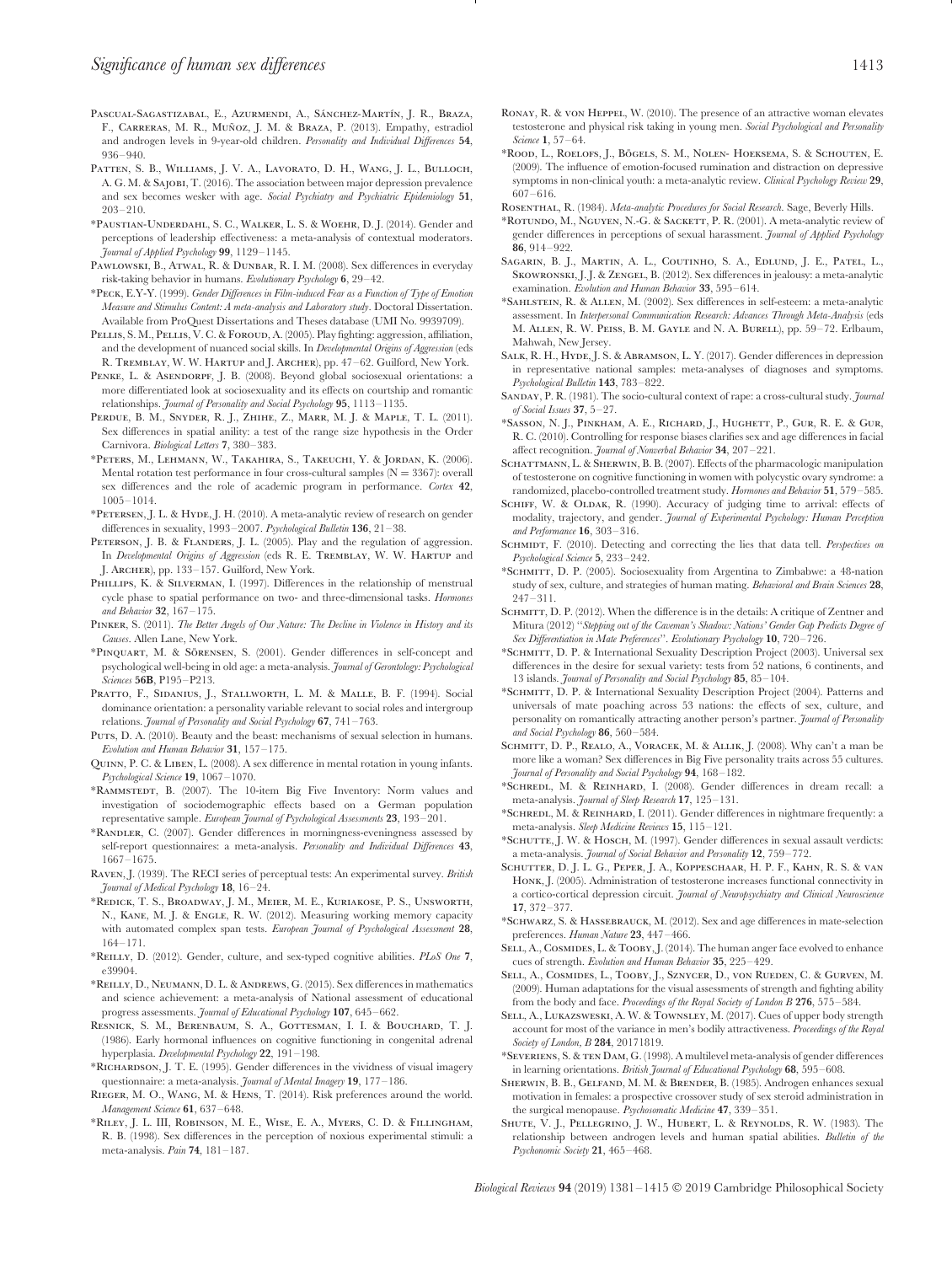- PASCUAL-SAGASTIZABAL, E., AZURMENDI, A., SÁNCHEZ-MARTÍN, J. R., BRAZA, F. CARRERAS, M. R., Muñoz J. M. & Braza, P. (2013). Empathy, estradiol and androgen levels in 9-year-old children. *Personality and Individual Differences* **54**, 936–940.
- PATTEN, S. B., WILLIAMS, J. V. A., LAVORATO, D. H., WANG, J. L., BULLOCH, A. G. M. & Sajobi, T. (2016). The association between major depression prevalence and sex becomes wesker with age. *Social Psychiatry and Psychiatric Epidemiology* **51**, 203–210.
- \*Paustian-Underdahl, S. C., Walker, L. S. & Woehr, D. J. (2014). Gender and perceptions of leadership effectiveness: a meta-analysis of contextual moderators. *Journal of Applied Psychology* **99**, 1129–1145.
- PAWLOWSKI, B., ATWAL, R. & DUNBAR, R. I. M. (2008). Sex differences in everyday risk-taking behavior in humans. *Evolutionary Psychology* **6**, 29–42.
- \*Peck, E.Y-Y. (1999). *Gender Differences in Film-induced Fear as a Function of Type of Emotion Measure and Stimulus Content: A meta-analysis and Laboratory study*. Doctoral Dissertation. Available from ProQuest Dissertations and Theses database (UMI No. 9939709).
- PELLIS, S. M., PELLIS, V. C. & FOROUD, A. (2005). Play fighting: aggression, affiliation, and the development of nuanced social skills. In *Developmental Origins of Aggression* (eds R. TREMBLAY, W. W. HARTUP and J. ARCHER), pp. 47-62. Guilford, New York.
- PENKE, L. & ASENDORPF, J. B. (2008). Beyond global sociosexual orientations: a more differentiated look at sociosexuality and its effects on courtship and romantic relationships. *Journal of Personality and Social Psychology* **95**, 1113–1135.
- Perdue, B. M., Snyder, R. J., Zhihe, Z., Marr, M. J. & Maple, T. L. (2011). Sex differences in spatial anility: a test of the range size hypothesis in the Order Carnivora. *Biological Letters* **7**, 380–383.
- \*Peters, M., Lehmann, W., Takahira, S., Takeuchi, Y. & Jordan, K. (2006). Mental rotation test performance in four cross-cultural samples  $(N = 3367)$ : overall sex differences and the role of academic program in performance. *Cortex* **42**, 1005–1014.
- \*Petersen, J. L. & Hyde, J. H. (2010). A meta-analytic review of research on gender differences in sexuality, 1993–2007. *Psychological Bulletin* **136**, 21–38.
- PETERSON, J. B. & FLANDERS, J. L. (2005). Play and the regulation of aggression. In *Developmental Origins of Aggression* (eds R. E. TREMBLAY, W. W. HARTUP and J. Archer), pp. 133–157. Guilford, New York.
- PHILLIPS, K. & SILVERMAN, I. (1997). Differences in the relationship of menstrual cycle phase to spatial performance on two- and three-dimensional tasks. *Hormones and Behavior* **32**, 167–175.
- Pinker, S. (2011). *The Better Angels of Our Nature: The Decline in Violence in History and its Causes*. Allen Lane, New York.
- \*PINQUART, M. & SÖRENSEN, S. (2001). Gender differences in self-concept and psychological well-being in old age: a meta-analysis. *Journal of Gerontology: Psychological Sciences* **56B**, P195–P213.
- PRATTO, F., SIDANIUS, J., STALLWORTH, L. M. & MALLE, B. F. (1994). Social dominance orientation: a personality variable relevant to social roles and intergroup relations. *Journal of Personality and Social Psychology* **67**, 741–763.
- Puts, D. A. (2010). Beauty and the beast: mechanisms of sexual selection in humans. *Evolution and Human Behavior* **31**, 157–175.
- Quinn, P. C. & Liben, L. (2008). A sex difference in mental rotation in young infants. *Psychological Science* **19**, 1067–1070.
- \*Rammstedt, B. (2007). The 10-item Big Five Inventory: Norm values and investigation of sociodemographic effects based on a German population representative sample. *European Journal of Psychological Assessments* **23**, 193–201.
- \*Randler, C. (2007). Gender differences in morningness-eveningness assessed by self-report questionnaires: a meta-analysis. *Personality and Individual Differences* **43**, 1667–1675.
- Raven, J. (1939). The RECI series of perceptual tests: An experimental survey. *British Journal of Medical Psychology* **18**, 16–24.
- \*Redick, T. S., Broadway, J. M., Meier, M. E., Kuriakose, P. S., Unsworth, N., KANE, M. J. & ENGLE, R. W. (2012). Measuring working memory capacity with automated complex span tests. *European Journal of Psychological Assessment* **28**, 164–171.
- \*Reilly, D. (2012). Gender, culture, and sex-typed cognitive abilities. *PLoS One* **7**, e39904.
- \*Reilly, D., Neumann, D. L. & Andrews, G. (2015). Sex differences in mathematics and science achievement: a meta-analysis of National assessment of educational progress assessments. *Journal of Educational Psychology* **107**, 645–662.
- Resnick, S. M., Berenbaum, S. A., Gottesman, I. I. & Bouchard, T. J. (1986). Early hormonal influences on cognitive functioning in congenital adrenal hyperplasia. *Developmental Psychology* **22**, 191–198.
- \*Richardson, J. T. E. (1995). Gender differences in the vividness of visual imagery questionnaire: a meta-analysis. *Journal of Mental Imagery* **19**, 177–186.
- Rieger, M. O., Wang, M. & Hens, T. (2014). Risk preferences around the world. *Management Science* **61**, 637–648.
- \*Riley, J. L. III, Robinson, M. E., Wise, E. A., Myers, C. D. & Fillingham, R. B. (1998). Sex differences in the perception of noxious experimental stimuli: a meta-analysis. *Pain* **74**, 181–187.
- Ronay, R. & von Heppel, W. (2010). The presence of an attractive woman elevates testosterone and physical risk taking in young men. *Social Psychological and Personality Science* **1**, 57–64.
- \*Rood, L., Roelofs, J., Bögels, S. M., Nolen- Hoeksema, S. & Schouten, E. (2009). The influence of emotion-focused rumination and distraction on depressive symptoms in non-clinical youth: a meta-analytic review. *Clinical Psychology Review* **29**, 607–616.
- Rosenthal, R. (1984). *Meta-analytic Procedures for Social Research*. Sage, Beverly Hills.
- \*Rotundo, M., Nguyen, N.-G. & Sackett, P. R. (2001). A meta-analytic review of gender differences in perceptions of sexual harassment. *Journal of Applied Psychology* **86**, 914–922.
- Sagarin, B. J., Martin, A. L., Coutinho, S. A., Edlund, J. E., Patel, L., Skowronski, J. J. & Zengel, B. (2012). Sex differences in jealousy: a meta-analytic examination. *Evolution and Human Behavior* **33**, 595–614.
- \*Sahlstein, R. & Allen, M. (2002). Sex differences in self-esteem: a meta-analytic assessment. In *Interpersonal Communication Research: Advances Through Meta-Analysis* (eds M. Allen, R. W. Peiss, B. M. Gayle and N. A. Burell), pp. 59–72. Erlbaum, Mahwah, New Jersey.
- Salk, R. H., Hyde, J. S. & Abramson, L. Y. (2017). Gender differences in depression in representative national samples: meta-analyses of diagnoses and symptoms. *Psychological Bulletin* **143**, 783–822.
- Sanday, P. R. (1981). The socio-cultural context of rape: a cross-cultural study. *Journal of Social Issues* **37**, 5–27.
- \*Sasson, N. J., Pinkham, A. E., Richard, J., Hughett, P., Gur, R. E. & Gur, R. C. (2010). Controlling for response biases clarifies sex and age differences in facial affect recognition. *Journal of Nonverbal Behavior* **34**, 207–221.
- SCHATTMANN, L. & SHERWIN, B. B. (2007). Effects of the pharmacologic manipulation of testosterone on cognitive functioning in women with polycystic ovary syndrome: a randomized, placebo-controlled treatment study. *Hormones and Behavior* **51**, 579–585.
- SCHIFF, W. & OLDAK, R. (1990). Accuracy of judging time to arrival: effects of modality, trajectory, and gender. *Journal of Experimental Psychology: Human Perception and Performance* **16**, 303–316.
- SCHMIDT, F. (2010). Detecting and correcting the lies that data tell. *Perspectives on Psychological Science* **5**, 233–242.
- \*Schmitt, D. P. (2005). Sociosexuality from Argentina to Zimbabwe: a 48-nation study of sex, culture, and strategies of human mating. *Behavioral and Brain Sciences* **28**, 247–311.
- SCHMITT, D. P. (2012). When the difference is in the details: A critique of Zentner and Mitura (2012) ''*Stepping out of the Caveman's Shadow: Nations' Gender Gap Predicts Degree of Sex Differentiation in Mate Preferences*''. *Evolutionary Psychology* **10**, 720–726.
- \*Schmitt, D. P. & International Sexuality Description Project (2003). Universal sex differences in the desire for sexual variety: tests from 52 nations, 6 continents, and 13 islands. *Journal of Personality and Social Psychology* **85**, 85–104.
- \*Schmitt, D. P. & International Sexuality Description Project (2004). Patterns and universals of mate poaching across 53 nations: the effects of sex, culture, and personality on romantically attracting another person's partner. *Journal of Personality and Social Psychology* **86**, 560–584.
- SCHMITT, D. P., REALO, A., VORACEK, M. & ALLIK, J. (2008). Why can't a man be more like a woman? Sex differences in Big Five personality traits across 55 cultures. *Journal of Personality and Social Psychology* **94**, 168–182.
- \*Schredl, M. & Reinhard, I. (2008). Gender differences in dream recall: a meta-analysis. *Journal of Sleep Research* **17**, 125–131.
- \*Schredl, M. & Reinhard, I. (2011). Gender differences in nightmare frequently: a meta-analysis. *Sleep Medicine Reviews* **15**, 115–121.
- \*SCHUTTE, J. W. & HOSCH, M. (1997). Gender differences in sexual assault verdicts: a meta-analysis. *Journal of Social Behavior and Personality* **12**, 759–772.
- Schutter, D. J. L. G., Peper, J. A., Koppeschaar, H. P. F., Kahn, R. S. & van HONK, J. (2005). Administration of testosterone increases functional connectivity in a cortico-cortical depression circuit. *Journal of Neuropsychiatry and Clinical Neuroscience* **17**, 372–377.
- \*Schwarz, S. & Hassebrauck, M. (2012). Sex and age differences in mate-selection preferences. *Human Nature* **23**, 447–466.
- SELL, A., COSMIDES, L. & TOOBY, J. (2014). The human anger face evolved to enhance cues of strength. *Evolution and Human Behavior* **35**, 225–429.
- Sell, A., Cosmides, L., Tooby, J., Sznycer, D., von Rueden, C. & Gurven, M. (2009). Human adaptations for the visual assessments of strength and fighting ability from the body and face. *Proceedings of the Royal Society of London B* **276**, 575–584.
- Sell, A., Lukazsweski, A. W. & Townsley, M. (2017). Cues of upper body strength account for most of the variance in men's bodily attractiveness. *Proceedings of the Royal Society of London, B* **284**, 20171819.
- \*Severiens, S. & ten Dam, G. (1998). A multilevel meta-analysis of gender differences in learning orientations. *British Journal of Educational Psychology* **68**, 595–608.
- Sherwin, B. B., Gelfand, M. M. & Brender, B. (1985). Androgen enhances sexual motivation in females: a prospective crossover study of sex steroid administration in the surgical menopause. *Psychosomatic Medicine* **47**, 339–351.
- Shute, V. J., Pellegrino, J. W., Hubert, L. & Reynolds, R. W. (1983). The relationship between androgen levels and human spatial abilities. *Bulletin of the Psychonomic Society* **21**, 465–468.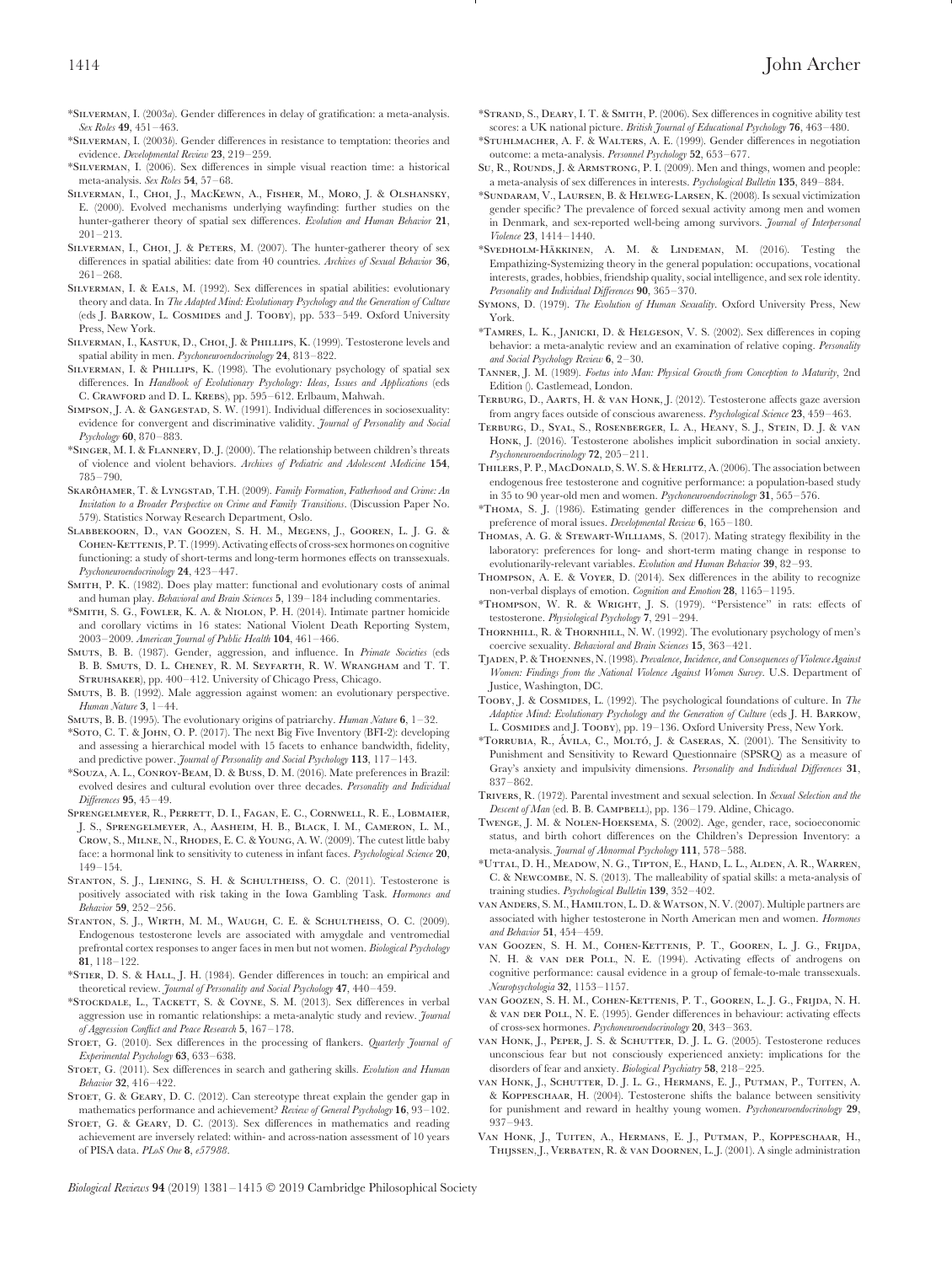\*Silverman, I. (2003*a*). Gender differences in delay of gratification: a meta-analysis. *Sex Roles* **49**, 451–463.

- \*Silverman, I. (2003*b*). Gender differences in resistance to temptation: theories and evidence. *Developmental Review* **23**, 219–259.
- \*Silverman, I. (2006). Sex differences in simple visual reaction time: a historical meta-analysis. *Sex Roles* **54**, 57–68.
- Silverman, I., Choi, J., MacKewn, A., Fisher, M., Moro, J. & Olshansky, E. (2000). Evolved mechanisms underlying wayfinding: further studies on the hunter-gatherer theory of spatial sex differences. *Evolution and Human Behavior* **21**, 201–213.
- SILVERMAN, I., CHOI, J. & PETERS, M. (2007). The hunter-gatherer theory of sex differences in spatial abilities: date from 40 countries. *Archives of Sexual Behavior* **36**, 261–268.
- Silverman, I. & Eals, M. (1992). Sex differences in spatial abilities: evolutionary theory and data. In *The Adapted Mind: Evolutionary Psychology and the Generation of Culture* (eds J. BARKOW, L. COSMIDES and J. TOOBY), pp. 533-549. Oxford University Press, New York.
- SILVERMAN, I., KASTUK, D., CHOI, J. & PHILLIPS, K. (1999). Testosterone levels and spatial ability in men. *Psychoneuroendocrinology* **24**, 813–822.
- SILVERMAN, I. & PHILLIPS, K. (1998). The evolutionary psychology of spatial sex differences. In *Handbook of Evolutionary Psychology: Ideas, Issues and Applications* (eds C. Crawford and D. L. Krebs), pp. 595–612. Erlbaum, Mahwah.
- SIMPSON, J. A. & GANGESTAD, S. W. (1991). Individual differences in sociosexuality: evidence for convergent and discriminative validity. *Journal of Personality and Social Psychology* **60**, 870–883.
- \*Singer, M. I. & Flannery, D. J. (2000). The relationship between children's threats of violence and violent behaviors. *Archives of Pediatric and Adolescent Medicine* **154**, 785–790.
- SKARÔHAMER, T. & LYNGSTAD, T.H. (2009). *Family Formation, Fatherhood and Crime: An Invitation to a Broader Perspective on Crime and Family Transitions*. (Discussion Paper No. 579). Statistics Norway Research Department, Oslo.
- Slabbekoorn, D., van Goozen, S. H. M., Megens, J., Gooren, L. J. G. & COHEN-KETTENIS, P. T. (1999). Activating effects of cross-sex hormones on cognitive functioning: a study of short-terms and long-term hormones effects on transsexuals. *Psychoneuroendocrinology* **24**, 423–447.
- SMITH, P. K. (1982). Does play matter: functional and evolutionary costs of animal and human play. *Behavioral and Brain Sciences* **5**, 139–184 including commentaries.
- \*Smith, S. G., Fowler, K. A. & Niolon, P. H. (2014). Intimate partner homicide and corollary victims in 16 states: National Violent Death Reporting System, 2003–2009. *American Journal of Public Health* **104**, 461–466.
- Smuts, B. B. (1987). Gender, aggression, and influence. In *Primate Societies* (eds B. B. Smuts, D. L. Cheney, R. M. Seyfarth, R. W. Wrangham and T. T. STRUHSAKER), pp. 400–412. University of Chicago Press, Chicago.
- Smuts, B. B. (1992). Male aggression against women: an evolutionary perspective. *Human Nature* **3**, 1–44.
- Smuts, B. B. (1995). The evolutionary origins of patriarchy. *Human Nature* **6**, 1–32.
- \*Soto, C. T. & John, O. P. (2017). The next Big Five Inventory (BFI-2): developing and assessing a hierarchical model with 15 facets to enhance bandwidth, fidelity, and predictive power. *Journal of Personality and Social Psychology* **113**, 117–143.
- \*Souza, A. L., Conroy-Beam, D. & Buss, D. M. (2016). Mate preferences in Brazil: evolved desires and cultural evolution over three decades. *Personality and Individual Differences* **95**, 45–49.
- Sprengelmeyer, R., Perrett, D. I., Fagan, E. C., Cornwell, R. E., Lobmaier, J. S., Sprengelmeyer, A., Aasheim, H. B., Black, I. M., Cameron, L. M., Crow, S., Milne, N., Rhodes, E. C. & Young, A. W. (2009). The cutest little baby face: a hormonal link to sensitivity to cuteness in infant faces. *Psychological Science* **20**, 149–154.
- STANTON, S. J., LIENING, S. H. & SCHULTHEISS, O. C. (2011). Testosterone is positively associated with risk taking in the Iowa Gambling Task. *Hormones and Behavior* **59**, 252–256.
- Stanton, S. J., Wirth, M. M., Waugh, C. E. & Schultheiss, O. C. (2009). Endogenous testosterone levels are associated with amygdale and ventromedial prefrontal cortex responses to anger faces in men but not women. *Biological Psychology* **81**, 118–122.
- \*Stier, D. S. & Hall, J. H. (1984). Gender differences in touch: an empirical and theoretical review. *Journal of Personality and Social Psychology* **47**, 440–459.
- \*STOCKDALE, L., TACKETT, S. & COYNE, S. M. (2013). Sex differences in verbal aggression use in romantic relationships: a meta-analytic study and review. *Journal of Aggression Conflict and Peace Research* **5**, 167–178.
- STOET, G. (2010). Sex differences in the processing of flankers. *Quarterly Journal of Experimental Psychology* **63**, 633–638.
- STOET, G. (2011). Sex differences in search and gathering skills. *Evolution and Human Behavior* **32**, 416–422.
- STOET, G. & GEARY, D. C. (2012). Can stereotype threat explain the gender gap in mathematics performance and achievement? *Review of General Psychology* **16**, 93–102.
- STOET, G. & GEARY, D. C. (2013). Sex differences in mathematics and reading achievement are inversely related: within- and across-nation assessment of 10 years of PISA data. *PLoS One* **8**, *e57988*.
- \*Strand, S., Deary, I. T. & Smith, P. (2006). Sex differences in cognitive ability test scores: a UK national picture. *British Journal of Educational Psychology* **76**, 463–480.
- \*Stuhlmacher, A. F. & Walters, A. E. (1999). Gender differences in negotiation outcome: a meta-analysis. *Personnel Psychology* **52**, 653–677.
- Su, R., ROUNDS, J. & ARMSTRONG, P. I. (2009). Men and things, women and people: a meta-analysis of sex differences in interests. *Psychological Bulletin* **135**, 849–884.
- \*Sundaram, V., Laursen, B. & Helweg-Larsen, K. (2008). Is sexual victimization gender specific? The prevalence of forced sexual activity among men and women in Denmark, and sex-reported well-being among survivors. *Journal of Interpersonal Violence* **23**, 1414–1440.
- \*Svedholm-Häkkinen, A. M. & Lindeman, M. (2016). Testing the Empathizing-Systemizing theory in the general population: occupations, vocational interests, grades, hobbies, friendship quality, social intelligence, and sex role identity. *Personality and Individual Differences* **90**, 365–370.
- Symons, D. (1979). *The Evolution of Human Sexuality*. Oxford University Press, New York.
- \*Tamres, L. K., Janicki, D. & Helgeson, V. S. (2002). Sex differences in coping behavior: a meta-analytic review and an examination of relative coping. *Personality and Social Psychology Review* **6**, 2–30.
- Tanner, J. M. (1989). *Foetus into Man: Physical Growth from Conception to Maturity*, 2nd Edition (). Castlemead, London.
- Terburg, D., Aarts, H. & van Honk, J. (2012). Testosterone affects gaze aversion from angry faces outside of conscious awareness. *Psychological Science* **23**, 459–463.
- Terburg, D., Syal, S., Rosenberger, L. A., Heany, S. J., Stein, D. J. & van HONK, J. (2016). Testosterone abolishes implicit subordination in social anxiety. *Psychoneuroendocrinology* **72**, 205–211.
- THILERS, P. P., MACDONALD, S. W. S. & HERLITZ, A. (2006). The association between endogenous free testosterone and cognitive performance: a population-based study in 35 to 90 year-old men and women. *Psychoneuroendocrinology* **31**, 565–576.
- \*Thoma, S. J. (1986). Estimating gender differences in the comprehension and preference of moral issues. *Developmental Review* **6**, 165–180.
- Thomas, A. G. & Stewart-Williams, S. (2017). Mating strategy flexibility in the laboratory: preferences for long- and short-term mating change in response to evolutionarily-relevant variables. *Evolution and Human Behavior* **39**, 82–93.
- Thompson, A. E. & Voyer, D. (2014). Sex differences in the ability to recognize non-verbal displays of emotion. *Cognition and Emotion* **28**, 1165–1195.
- \*Thompson, W. R. & Wright, J. S. (1979). ''Persistence'' in rats: effects of testosterone. *Physiological Psychology* **7**, 291–294.
- Thornhill, R. & Thornhill, N. W. (1992). The evolutionary psychology of men's coercive sexuality. *Behavioral and Brain Sciences* **15**, 363–421.
- Tjaden, P. &Thoennes, N. (1998). *Prevalence, Incidence, and Consequences of Violence Against Women: Findings from the National Violence Against Women Survey*. U.S. Department of Justice, Washington, DC.
- Tooby, J. & Cosmides, L. (1992). The psychological foundations of culture. In *The Adaptive Mind: Evolutionary Psychology and the Generation of Culture* (eds J. H. Barkow, L. Cosmides and J. Tooby), pp. 19–136. Oxford University Press, New York.
- \*TORRUBIA, R., ÁVILA, C., MOLTÓ, J. & CASERAS, X. (2001). The Sensitivity to Punishment and Sensitivity to Reward Questionnaire (SPSRQ) as a measure of Gray's anxiety and impulsivity dimensions. *Personality and Individual Differences* **31**, 837–862.
- Trivers, R. (1972). Parental investment and sexual selection. In *Sexual Selection and the* Descent of Man (ed. B. B. CAMPBELL), pp. 136-179. Aldine, Chicago.
- Twenge, J. M. & Nolen-Hoeksema, S. (2002). Age, gender, race, socioeconomic status, and birth cohort differences on the Children's Depression Inventory: a meta-analysis. *Journal of Abnormal Psychology* **111**, 578–588.
- \*Uttal, D. H., Meadow, N. G., Tipton, E., Hand, L. L., Alden, A. R., Warren, C. & Newcombe, N. S. (2013). The malleability of spatial skills: a meta-analysis of training studies. *Psychological Bulletin* **139**, 352–402.
- van Anders, S. M., Hamilton, L. D. & Watson, N. V. (2007). Multiple partners are associated with higher testosterone in North American men and women. *Hormones and Behavior* **51**, 454–459.
- van Goozen, S. H. M., Cohen-Kettenis, P. T., Gooren, L. J. G., Frijda, N. H. & VAN DER POLL, N. E. (1994). Activating effects of androgens on cognitive performance: causal evidence in a group of female-to-male transsexuals. *Neuropsychologia* **32**, 1153–1157.
- van Goozen, S. H. M., Cohen-Kettenis, P. T., Gooren, L. J. G., Frijda, N. H. & van der Poll, N. E. (1995). Gender differences in behaviour: activating effects of cross-sex hormones. *Psychoneuroendocrinology* **20**, 343–363.
- van Honk, J., Peper, J. S. & SCHUTTER, D. J. L. G. (2005). Testosterone reduces unconscious fear but not consciously experienced anxiety: implications for the disorders of fear and anxiety. *Biological Psychiatry* **58**, 218–225.
- van Honk, J., Schutter, D. J. L. G., Hermans, E. J., Putman, P., Tuiten, A. & Koppeschaar, H. (2004). Testosterone shifts the balance between sensitivity for punishment and reward in healthy young women. *Psychoneuroendocrinology* **29**, 937–943.
- Van Honk, J., Tuiten, A., Hermans, E. J., Putman, P., Koppeschaar, H., Thijssen, J., Verbaten, R. & van Doornen, L. J. (2001). A single administration